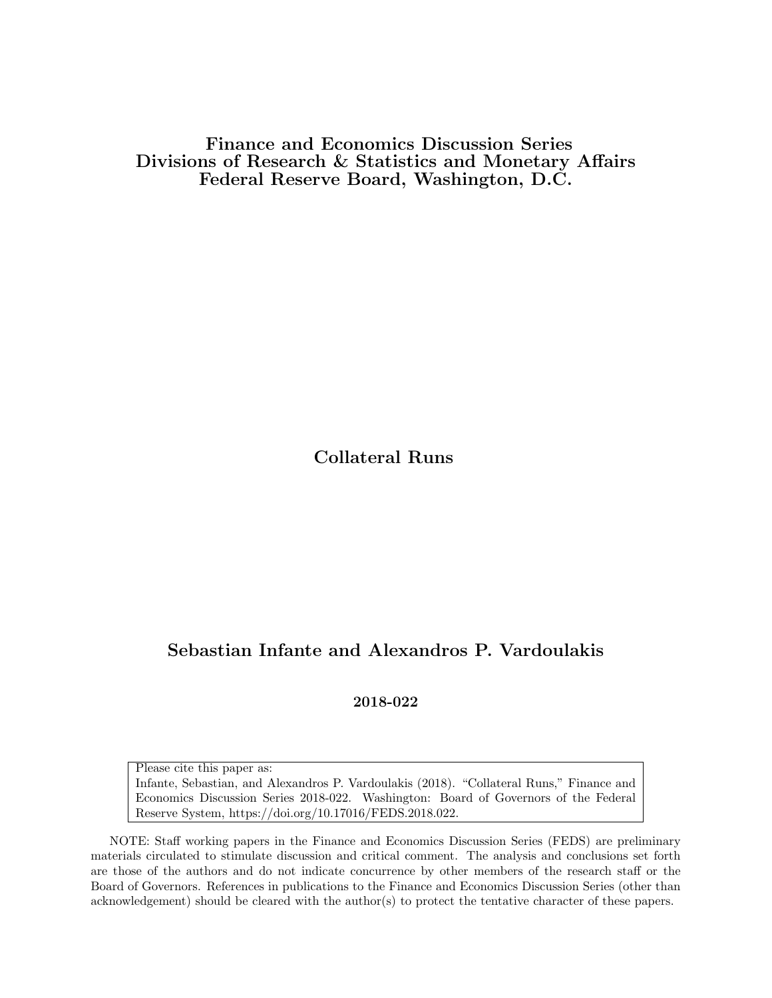Finance and Economics Discussion Series Divisions of Research & Statistics and Monetary Affairs Federal Reserve Board, Washington, D.C.

Collateral Runs

# Sebastian Infante and Alexandros P. Vardoulakis

2018-022

Please cite this paper as: Infante, Sebastian, and Alexandros P. Vardoulakis (2018). "Collateral Runs," Finance and Economics Discussion Series 2018-022. Washington: Board of Governors of the Federal Reserve System, https://doi.org/10.17016/FEDS.2018.022.

NOTE: Staff working papers in the Finance and Economics Discussion Series (FEDS) are preliminary materials circulated to stimulate discussion and critical comment. The analysis and conclusions set forth are those of the authors and do not indicate concurrence by other members of the research staff or the Board of Governors. References in publications to the Finance and Economics Discussion Series (other than acknowledgement) should be cleared with the author(s) to protect the tentative character of these papers.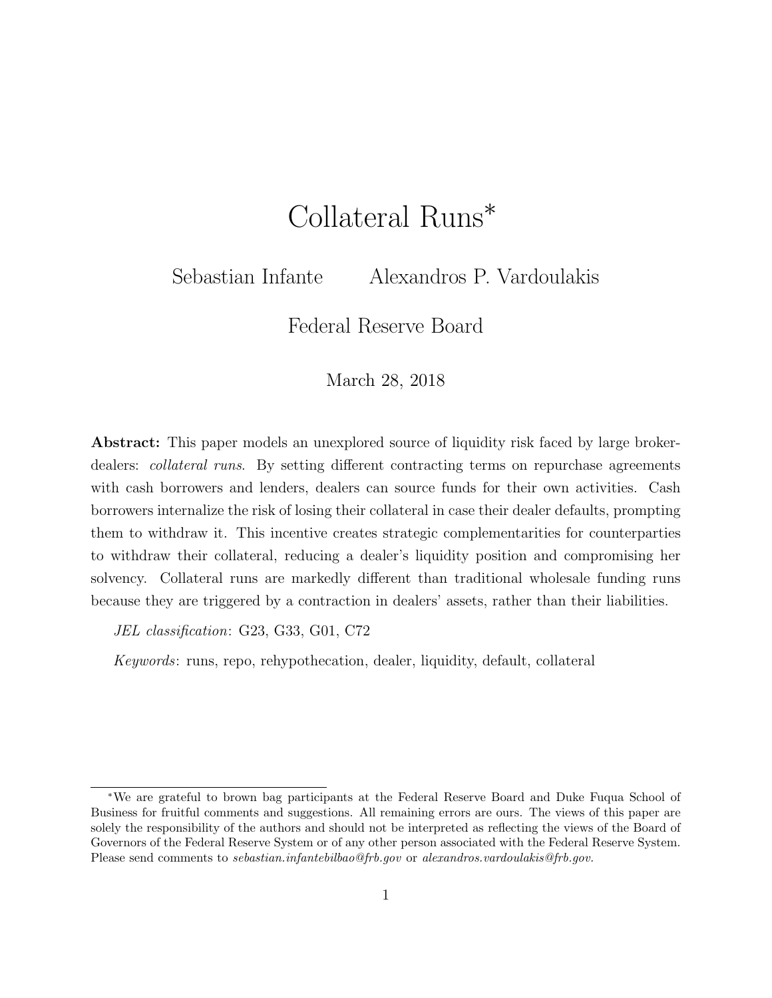# Collateral Runs<sup>∗</sup>

Sebastian Infante Alexandros P. Vardoulakis

Federal Reserve Board

March 28, 2018

Abstract: This paper models an unexplored source of liquidity risk faced by large brokerdealers: *collateral runs.* By setting different contracting terms on repurchase agreements with cash borrowers and lenders, dealers can source funds for their own activities. Cash borrowers internalize the risk of losing their collateral in case their dealer defaults, prompting them to withdraw it. This incentive creates strategic complementarities for counterparties to withdraw their collateral, reducing a dealer's liquidity position and compromising her solvency. Collateral runs are markedly different than traditional wholesale funding runs because they are triggered by a contraction in dealers' assets, rather than their liabilities.

JEL classification: G23, G33, G01, C72

Keywords: runs, repo, rehypothecation, dealer, liquidity, default, collateral

<sup>∗</sup>We are grateful to brown bag participants at the Federal Reserve Board and Duke Fuqua School of Business for fruitful comments and suggestions. All remaining errors are ours. The views of this paper are solely the responsibility of the authors and should not be interpreted as reflecting the views of the Board of Governors of the Federal Reserve System or of any other person associated with the Federal Reserve System. Please send comments to *sebastian.infantebilbao@frb.gov* or *alexandros.vardoulakis@frb.gov.*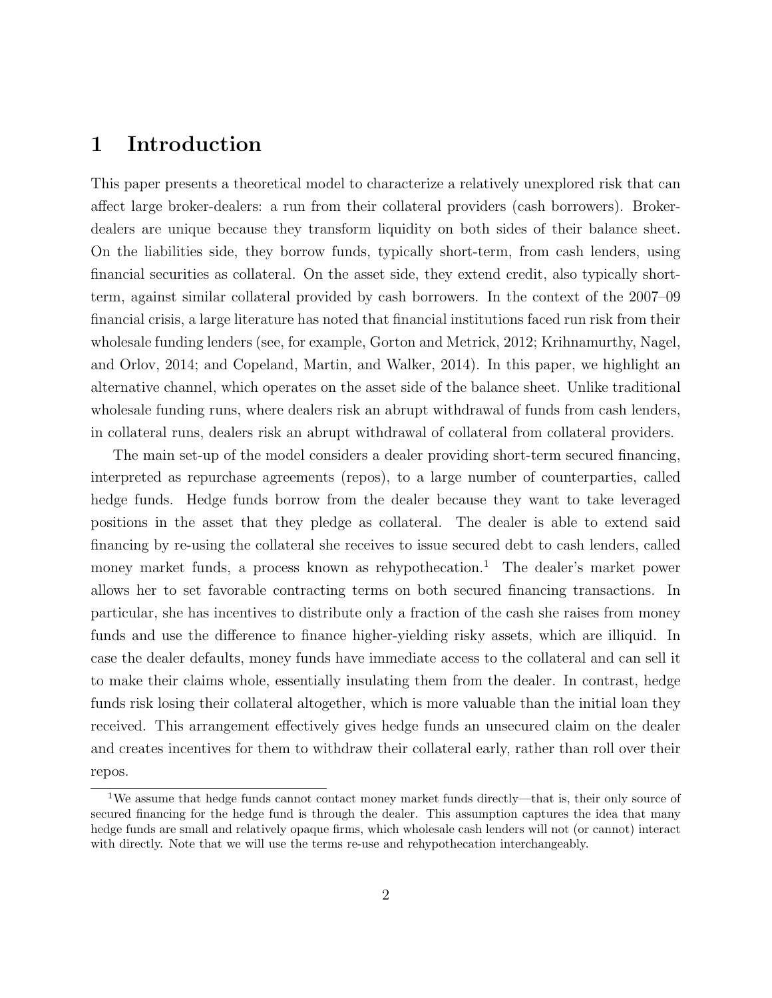## 1 Introduction

This paper presents a theoretical model to characterize a relatively unexplored risk that can affect large broker-dealers: a run from their collateral providers (cash borrowers). Brokerdealers are unique because they transform liquidity on both sides of their balance sheet. On the liabilities side, they borrow funds, typically short-term, from cash lenders, using financial securities as collateral. On the asset side, they extend credit, also typically shortterm, against similar collateral provided by cash borrowers. In the context of the 2007–09 financial crisis, a large literature has noted that financial institutions faced run risk from their wholesale funding lenders (see, for example, Gorton and Metrick, 2012; Krihnamurthy, Nagel, and Orlov, 2014; and Copeland, Martin, and Walker, 2014). In this paper, we highlight an alternative channel, which operates on the asset side of the balance sheet. Unlike traditional wholesale funding runs, where dealers risk an abrupt withdrawal of funds from cash lenders, in collateral runs, dealers risk an abrupt withdrawal of collateral from collateral providers.

The main set-up of the model considers a dealer providing short-term secured financing, interpreted as repurchase agreements (repos), to a large number of counterparties, called hedge funds. Hedge funds borrow from the dealer because they want to take leveraged positions in the asset that they pledge as collateral. The dealer is able to extend said financing by re-using the collateral she receives to issue secured debt to cash lenders, called money market funds, a process known as rehypothecation.<sup>1</sup> The dealer's market power allows her to set favorable contracting terms on both secured financing transactions. In particular, she has incentives to distribute only a fraction of the cash she raises from money funds and use the difference to finance higher-yielding risky assets, which are illiquid. In case the dealer defaults, money funds have immediate access to the collateral and can sell it to make their claims whole, essentially insulating them from the dealer. In contrast, hedge funds risk losing their collateral altogether, which is more valuable than the initial loan they received. This arrangement effectively gives hedge funds an unsecured claim on the dealer and creates incentives for them to withdraw their collateral early, rather than roll over their repos.

<sup>1</sup>We assume that hedge funds cannot contact money market funds directly—that is, their only source of secured financing for the hedge fund is through the dealer. This assumption captures the idea that many hedge funds are small and relatively opaque firms, which wholesale cash lenders will not (or cannot) interact with directly. Note that we will use the terms re-use and rehypothecation interchangeably.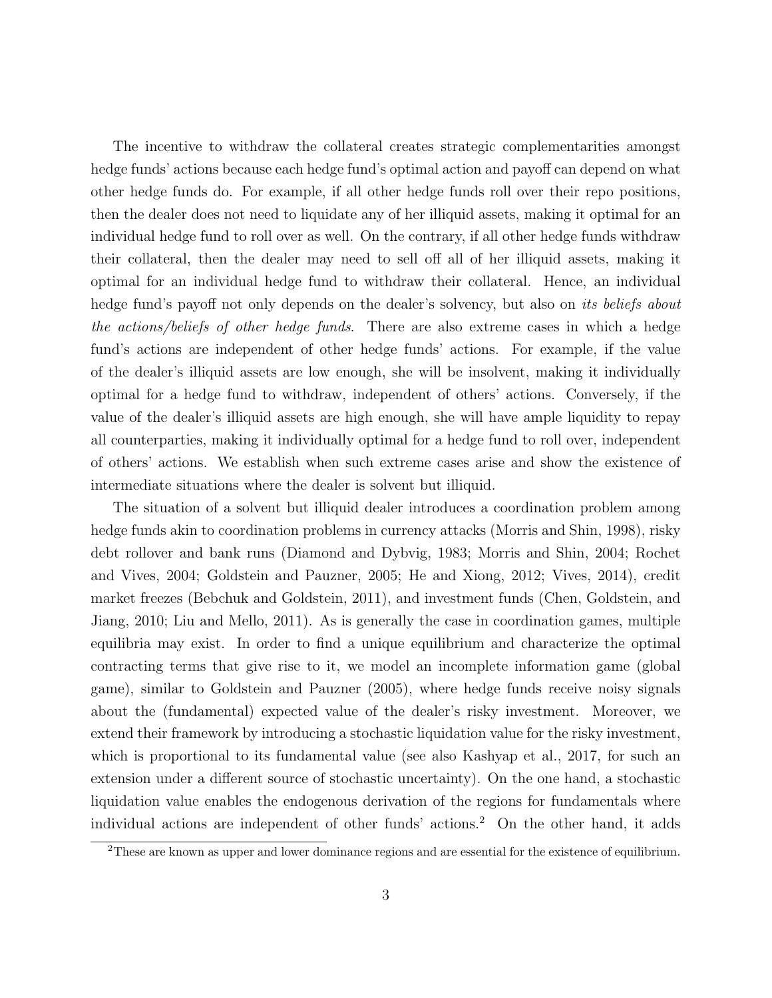The incentive to withdraw the collateral creates strategic complementarities amongst hedge funds' actions because each hedge fund's optimal action and payoff can depend on what other hedge funds do. For example, if all other hedge funds roll over their repo positions, then the dealer does not need to liquidate any of her illiquid assets, making it optimal for an individual hedge fund to roll over as well. On the contrary, if all other hedge funds withdraw their collateral, then the dealer may need to sell off all of her illiquid assets, making it optimal for an individual hedge fund to withdraw their collateral. Hence, an individual hedge fund's payoff not only depends on the dealer's solvency, but also on *its beliefs about* the actions/beliefs of other hedge funds. There are also extreme cases in which a hedge fund's actions are independent of other hedge funds' actions. For example, if the value of the dealer's illiquid assets are low enough, she will be insolvent, making it individually optimal for a hedge fund to withdraw, independent of others' actions. Conversely, if the value of the dealer's illiquid assets are high enough, she will have ample liquidity to repay all counterparties, making it individually optimal for a hedge fund to roll over, independent of others' actions. We establish when such extreme cases arise and show the existence of intermediate situations where the dealer is solvent but illiquid.

The situation of a solvent but illiquid dealer introduces a coordination problem among hedge funds akin to coordination problems in currency attacks (Morris and Shin, 1998), risky debt rollover and bank runs (Diamond and Dybvig, 1983; Morris and Shin, 2004; Rochet and Vives, 2004; Goldstein and Pauzner, 2005; He and Xiong, 2012; Vives, 2014), credit market freezes (Bebchuk and Goldstein, 2011), and investment funds (Chen, Goldstein, and Jiang, 2010; Liu and Mello, 2011). As is generally the case in coordination games, multiple equilibria may exist. In order to find a unique equilibrium and characterize the optimal contracting terms that give rise to it, we model an incomplete information game (global game), similar to Goldstein and Pauzner (2005), where hedge funds receive noisy signals about the (fundamental) expected value of the dealer's risky investment. Moreover, we extend their framework by introducing a stochastic liquidation value for the risky investment, which is proportional to its fundamental value (see also Kashyap et al., 2017, for such an extension under a different source of stochastic uncertainty). On the one hand, a stochastic liquidation value enables the endogenous derivation of the regions for fundamentals where individual actions are independent of other funds' actions. <sup>2</sup> On the other hand, it adds

<sup>&</sup>lt;sup>2</sup>These are known as upper and lower dominance regions and are essential for the existence of equilibrium.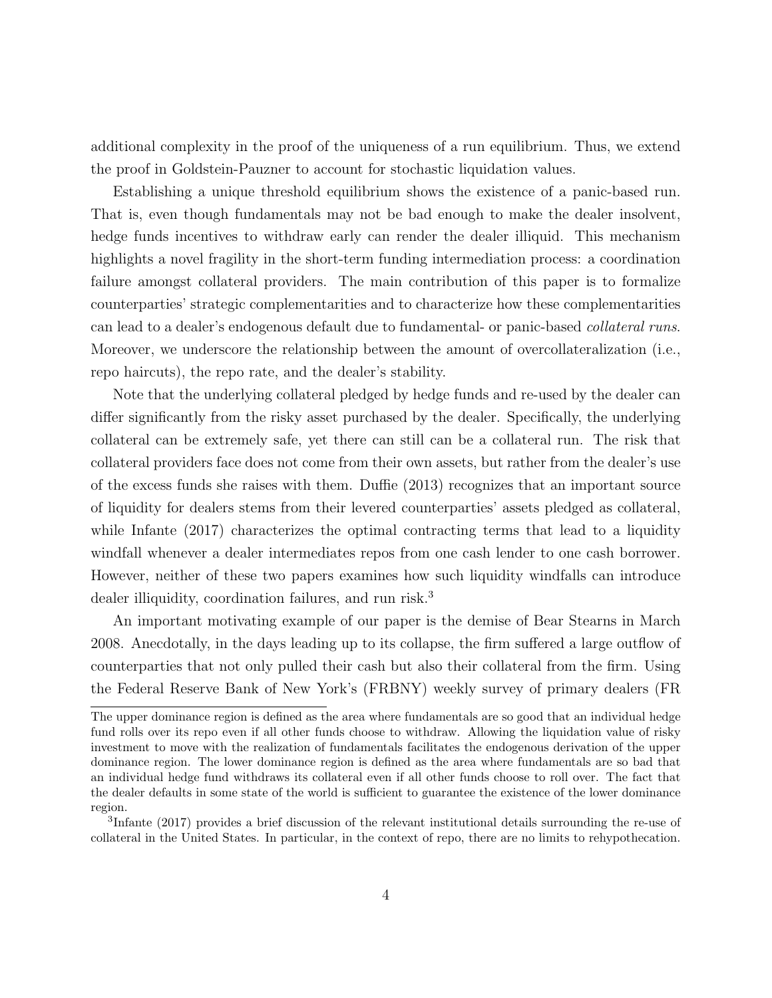additional complexity in the proof of the uniqueness of a run equilibrium. Thus, we extend the proof in Goldstein-Pauzner to account for stochastic liquidation values.

Establishing a unique threshold equilibrium shows the existence of a panic-based run. That is, even though fundamentals may not be bad enough to make the dealer insolvent, hedge funds incentives to withdraw early can render the dealer illiquid. This mechanism highlights a novel fragility in the short-term funding intermediation process: a coordination failure amongst collateral providers. The main contribution of this paper is to formalize counterparties' strategic complementarities and to characterize how these complementarities can lead to a dealer's endogenous default due to fundamental- or panic-based collateral runs. Moreover, we underscore the relationship between the amount of overcollateralization (i.e., repo haircuts), the repo rate, and the dealer's stability.

Note that the underlying collateral pledged by hedge funds and re-used by the dealer can differ significantly from the risky asset purchased by the dealer. Specifically, the underlying collateral can be extremely safe, yet there can still can be a collateral run. The risk that collateral providers face does not come from their own assets, but rather from the dealer's use of the excess funds she raises with them. Duffie (2013) recognizes that an important source of liquidity for dealers stems from their levered counterparties' assets pledged as collateral, while Infante (2017) characterizes the optimal contracting terms that lead to a liquidity windfall whenever a dealer intermediates repos from one cash lender to one cash borrower. However, neither of these two papers examines how such liquidity windfalls can introduce dealer illiquidity, coordination failures, and run risk.<sup>3</sup>

An important motivating example of our paper is the demise of Bear Stearns in March 2008. Anecdotally, in the days leading up to its collapse, the firm suffered a large outflow of counterparties that not only pulled their cash but also their collateral from the firm. Using the Federal Reserve Bank of New York's (FRBNY) weekly survey of primary dealers (FR

The upper dominance region is defined as the area where fundamentals are so good that an individual hedge fund rolls over its repo even if all other funds choose to withdraw. Allowing the liquidation value of risky investment to move with the realization of fundamentals facilitates the endogenous derivation of the upper dominance region. The lower dominance region is defined as the area where fundamentals are so bad that an individual hedge fund withdraws its collateral even if all other funds choose to roll over. The fact that the dealer defaults in some state of the world is sufficient to guarantee the existence of the lower dominance region.

<sup>3</sup> Infante (2017) provides a brief discussion of the relevant institutional details surrounding the re-use of collateral in the United States. In particular, in the context of repo, there are no limits to rehypothecation.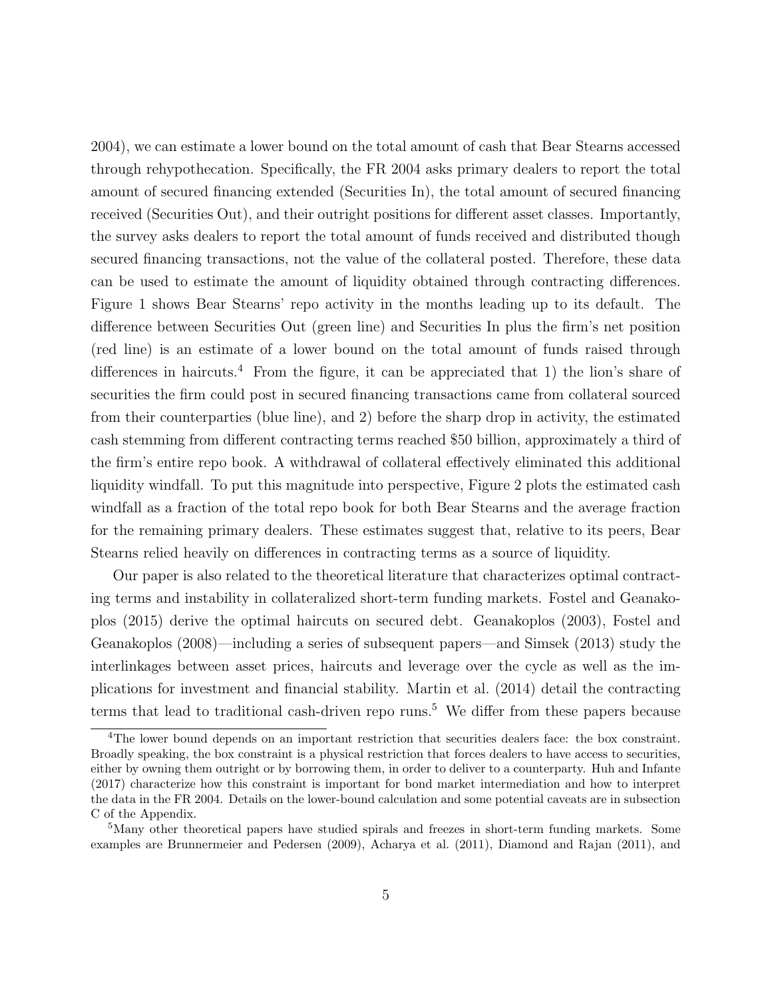2004), we can estimate a lower bound on the total amount of cash that Bear Stearns accessed through rehypothecation. Specifically, the FR 2004 asks primary dealers to report the total amount of secured financing extended (Securities In), the total amount of secured financing received (Securities Out), and their outright positions for different asset classes. Importantly, the survey asks dealers to report the total amount of funds received and distributed though secured financing transactions, not the value of the collateral posted. Therefore, these data can be used to estimate the amount of liquidity obtained through contracting differences. Figure 1 shows Bear Stearns' repo activity in the months leading up to its default. The difference between Securities Out (green line) and Securities In plus the firm's net position (red line) is an estimate of a lower bound on the total amount of funds raised through differences in haircuts.<sup>4</sup> From the figure, it can be appreciated that 1) the lion's share of securities the firm could post in secured financing transactions came from collateral sourced from their counterparties (blue line), and 2) before the sharp drop in activity, the estimated cash stemming from different contracting terms reached \$50 billion, approximately a third of the firm's entire repo book. A withdrawal of collateral effectively eliminated this additional liquidity windfall. To put this magnitude into perspective, Figure 2 plots the estimated cash windfall as a fraction of the total repo book for both Bear Stearns and the average fraction for the remaining primary dealers. These estimates suggest that, relative to its peers, Bear Stearns relied heavily on differences in contracting terms as a source of liquidity.

Our paper is also related to the theoretical literature that characterizes optimal contracting terms and instability in collateralized short-term funding markets. Fostel and Geanakoplos (2015) derive the optimal haircuts on secured debt. Geanakoplos (2003), Fostel and Geanakoplos (2008)—including a series of subsequent papers—and Simsek (2013) study the interlinkages between asset prices, haircuts and leverage over the cycle as well as the implications for investment and financial stability. Martin et al. (2014) detail the contracting terms that lead to traditional cash-driven repo runs.<sup>5</sup> We differ from these papers because

<sup>&</sup>lt;sup>4</sup>The lower bound depends on an important restriction that securities dealers face: the box constraint. Broadly speaking, the box constraint is a physical restriction that forces dealers to have access to securities, either by owning them outright or by borrowing them, in order to deliver to a counterparty. Huh and Infante (2017) characterize how this constraint is important for bond market intermediation and how to interpret the data in the FR 2004. Details on the lower-bound calculation and some potential caveats are in subsection C of the Appendix.

<sup>&</sup>lt;sup>5</sup>Many other theoretical papers have studied spirals and freezes in short-term funding markets. Some examples are Brunnermeier and Pedersen (2009), Acharya et al. (2011), Diamond and Rajan (2011), and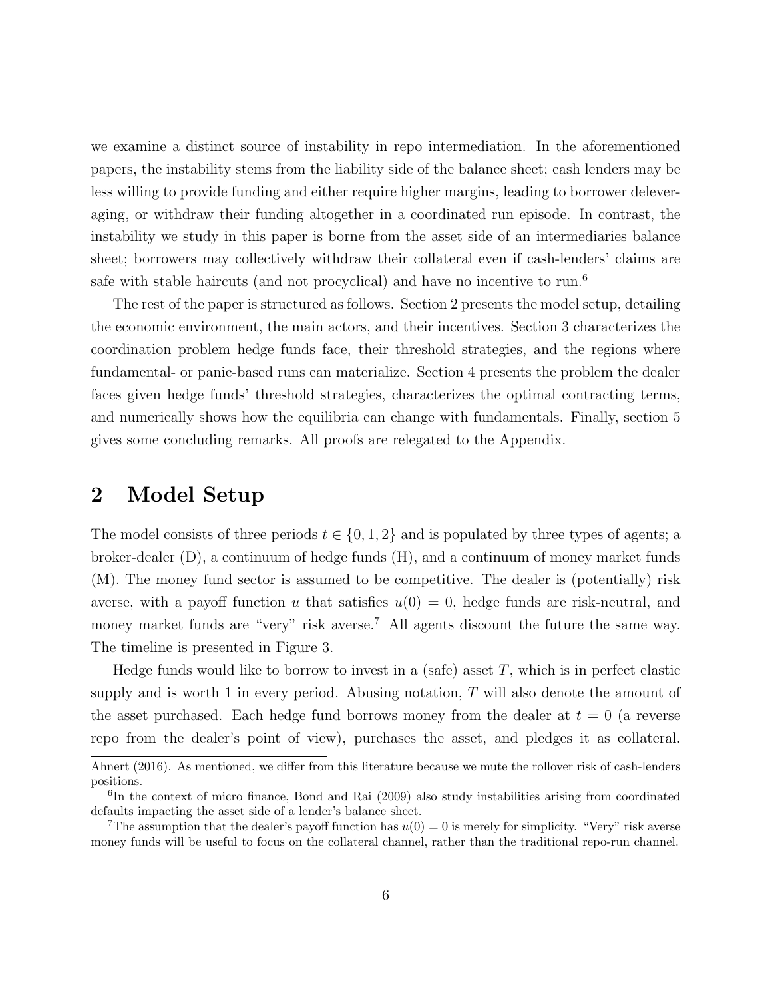we examine a distinct source of instability in repo intermediation. In the aforementioned papers, the instability stems from the liability side of the balance sheet; cash lenders may be less willing to provide funding and either require higher margins, leading to borrower deleveraging, or withdraw their funding altogether in a coordinated run episode. In contrast, the instability we study in this paper is borne from the asset side of an intermediaries balance sheet; borrowers may collectively withdraw their collateral even if cash-lenders' claims are safe with stable haircuts (and not procyclical) and have no incentive to run.<sup>6</sup>

The rest of the paper is structured as follows. Section 2 presents the model setup, detailing the economic environment, the main actors, and their incentives. Section 3 characterizes the coordination problem hedge funds face, their threshold strategies, and the regions where fundamental- or panic-based runs can materialize. Section 4 presents the problem the dealer faces given hedge funds' threshold strategies, characterizes the optimal contracting terms, and numerically shows how the equilibria can change with fundamentals. Finally, section 5 gives some concluding remarks. All proofs are relegated to the Appendix.

### 2 Model Setup

The model consists of three periods  $t \in \{0, 1, 2\}$  and is populated by three types of agents; a broker-dealer (D), a continuum of hedge funds (H), and a continuum of money market funds (M). The money fund sector is assumed to be competitive. The dealer is (potentially) risk averse, with a payoff function u that satisfies  $u(0) = 0$ , hedge funds are risk-neutral, and money market funds are "very" risk averse.<sup>7</sup> All agents discount the future the same way. The timeline is presented in Figure 3.

Hedge funds would like to borrow to invest in a (safe) asset  $T$ , which is in perfect elastic supply and is worth 1 in every period. Abusing notation,  $T$  will also denote the amount of the asset purchased. Each hedge fund borrows money from the dealer at  $t = 0$  (a reverse repo from the dealer's point of view), purchases the asset, and pledges it as collateral.

Ahnert (2016). As mentioned, we differ from this literature because we mute the rollover risk of cash-lenders positions.

<sup>&</sup>lt;sup>6</sup>In the context of micro finance, Bond and Rai (2009) also study instabilities arising from coordinated defaults impacting the asset side of a lender's balance sheet.

<sup>&</sup>lt;sup>7</sup>The assumption that the dealer's payoff function has  $u(0) = 0$  is merely for simplicity. "Very" risk averse money funds will be useful to focus on the collateral channel, rather than the traditional repo-run channel.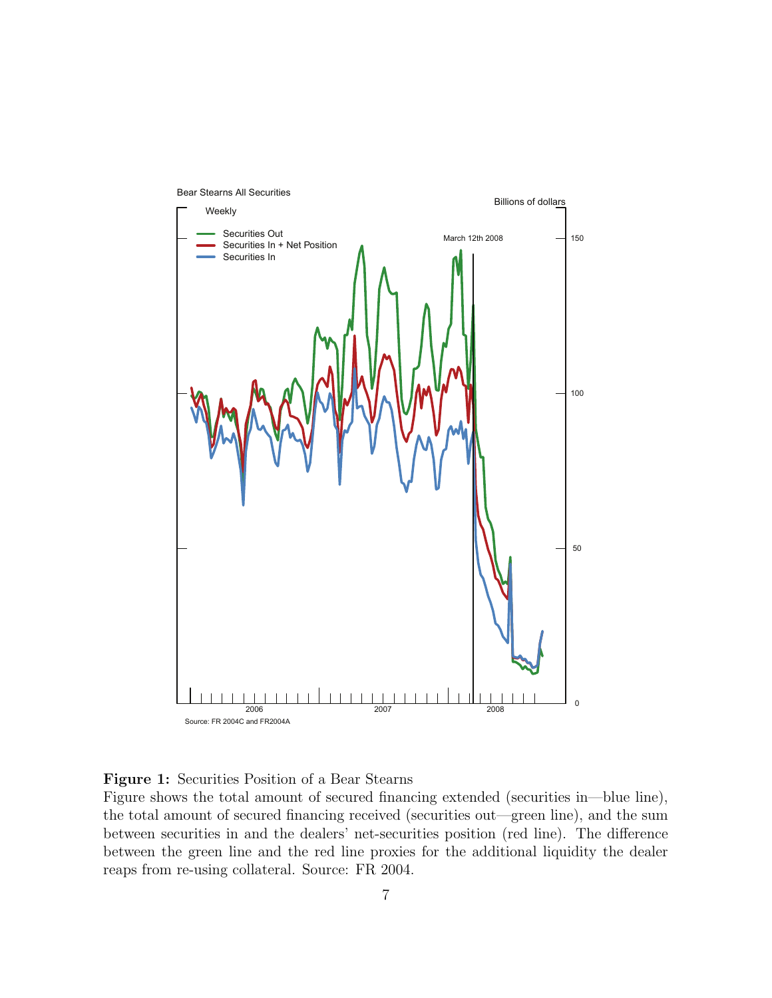



Figure shows the total amount of secured financing extended (securities in—blue line), the total amount of secured financing received (securities out—green line), and the sum between securities in and the dealers' net-securities position (red line). The difference between the green line and the red line proxies for the additional liquidity the dealer reaps from re-using collateral. Source: FR 2004.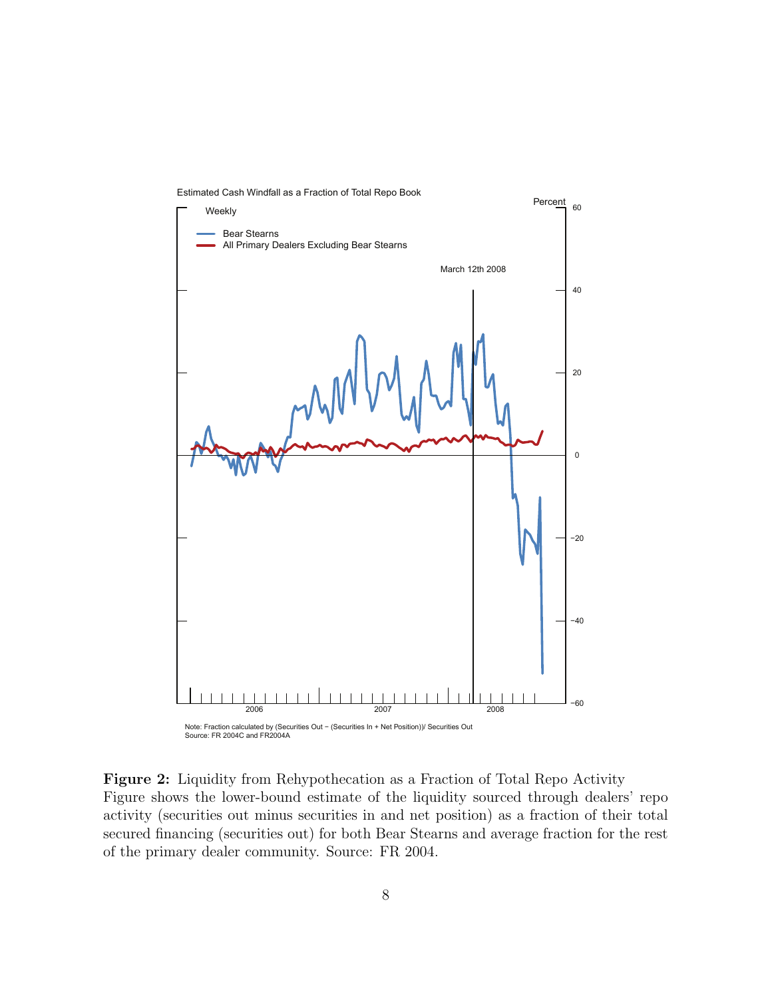

Figure 2: Liquidity from Rehypothecation as a Fraction of Total Repo Activity Figure shows the lower-bound estimate of the liquidity sourced through dealers' repo activity (securities out minus securities in and net position) as a fraction of their total secured financing (securities out) for both Bear Stearns and average fraction for the rest of the primary dealer community. Source: FR 2004.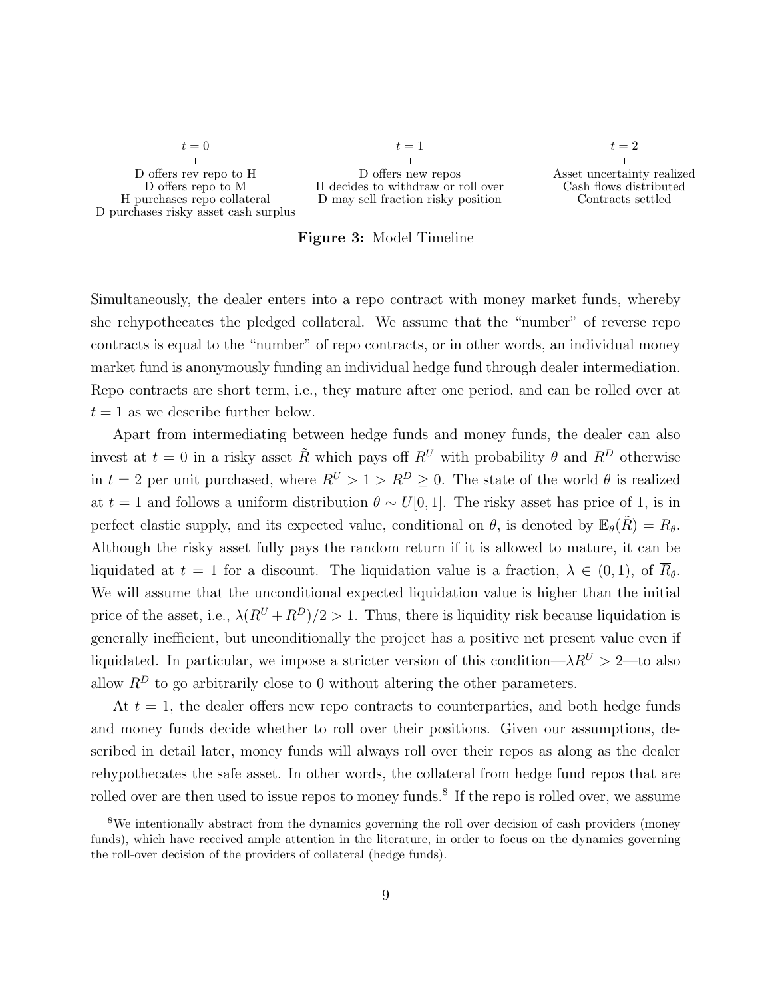

Figure 3: Model Timeline

Simultaneously, the dealer enters into a repo contract with money market funds, whereby she rehypothecates the pledged collateral. We assume that the "number" of reverse repo contracts is equal to the "number" of repo contracts, or in other words, an individual money market fund is anonymously funding an individual hedge fund through dealer intermediation. Repo contracts are short term, i.e., they mature after one period, and can be rolled over at  $t = 1$  as we describe further below.

Apart from intermediating between hedge funds and money funds, the dealer can also invest at  $t = 0$  in a risky asset  $\tilde{R}$  which pays off  $R^U$  with probability  $\theta$  and  $R^D$  otherwise in  $t = 2$  per unit purchased, where  $R^U > 1 > R^D \geq 0$ . The state of the world  $\theta$  is realized at t = 1 and follows a uniform distribution  $\theta \sim U[0, 1]$ . The risky asset has price of 1, is in perfect elastic supply, and its expected value, conditional on  $\theta$ , is denoted by  $\mathbb{E}_{\theta}(\tilde{R}) = \overline{R}_{\theta}$ . Although the risky asset fully pays the random return if it is allowed to mature, it can be liquidated at  $t = 1$  for a discount. The liquidation value is a fraction,  $\lambda \in (0, 1)$ , of  $R_{\theta}$ . We will assume that the unconditional expected liquidation value is higher than the initial price of the asset, i.e.,  $\lambda(R^{U}+R^{D})/2 > 1$ . Thus, there is liquidity risk because liquidation is generally inefficient, but unconditionally the project has a positive net present value even if liquidated. In particular, we impose a stricter version of this condition— $\lambda R^U > 2$ —to also allow  $R^D$  to go arbitrarily close to 0 without altering the other parameters.

At  $t = 1$ , the dealer offers new repo contracts to counterparties, and both hedge funds and money funds decide whether to roll over their positions. Given our assumptions, described in detail later, money funds will always roll over their repos as along as the dealer rehypothecates the safe asset. In other words, the collateral from hedge fund repos that are rolled over are then used to issue repos to money funds.<sup>8</sup> If the repo is rolled over, we assume

<sup>&</sup>lt;sup>8</sup>We intentionally abstract from the dynamics governing the roll over decision of cash providers (money funds), which have received ample attention in the literature, in order to focus on the dynamics governing the roll-over decision of the providers of collateral (hedge funds).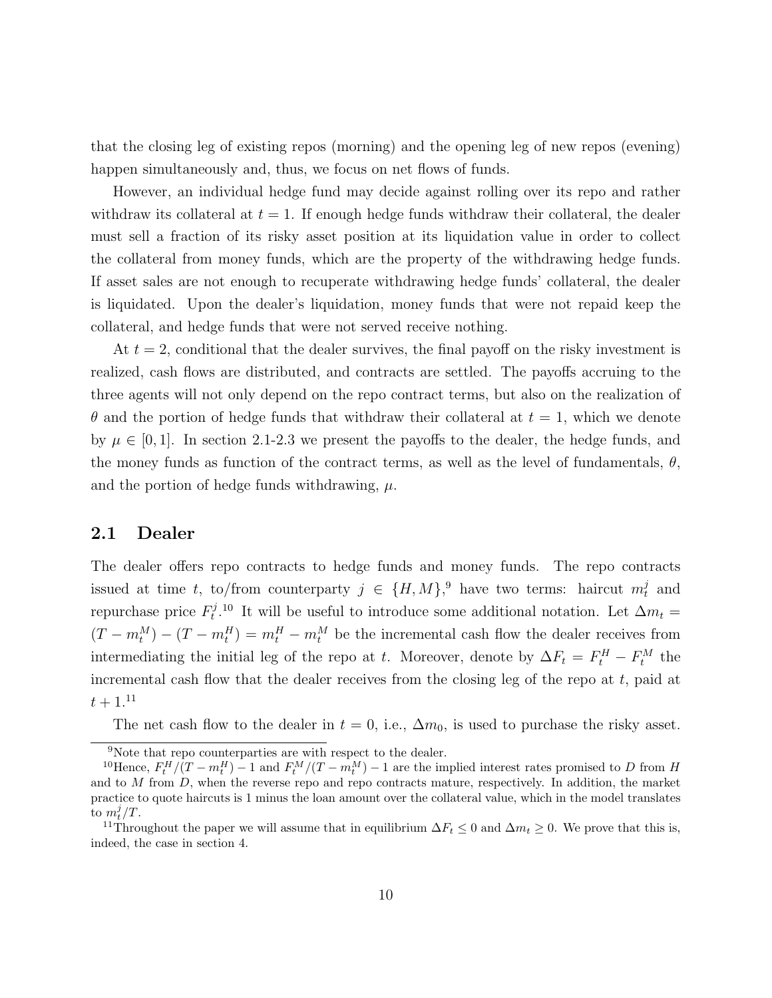that the closing leg of existing repos (morning) and the opening leg of new repos (evening) happen simultaneously and, thus, we focus on net flows of funds.

However, an individual hedge fund may decide against rolling over its repo and rather withdraw its collateral at  $t = 1$ . If enough hedge funds withdraw their collateral, the dealer must sell a fraction of its risky asset position at its liquidation value in order to collect the collateral from money funds, which are the property of the withdrawing hedge funds. If asset sales are not enough to recuperate withdrawing hedge funds' collateral, the dealer is liquidated. Upon the dealer's liquidation, money funds that were not repaid keep the collateral, and hedge funds that were not served receive nothing.

At  $t = 2$ , conditional that the dealer survives, the final payoff on the risky investment is realized, cash flows are distributed, and contracts are settled. The payoffs accruing to the three agents will not only depend on the repo contract terms, but also on the realization of  $\theta$  and the portion of hedge funds that withdraw their collateral at  $t = 1$ , which we denote by  $\mu \in [0, 1]$ . In section 2.1-2.3 we present the payoffs to the dealer, the hedge funds, and the money funds as function of the contract terms, as well as the level of fundamentals,  $\theta$ , and the portion of hedge funds withdrawing,  $\mu$ .

#### 2.1 Dealer

The dealer offers repo contracts to hedge funds and money funds. The repo contracts issued at time t, to/from counterparty  $j \in \{H, M\}$ ,<sup>9</sup> have two terms: haircut  $m_t^j$  and repurchase price  $F_t^j$ <sup> $t^{j}$ </sup>.<sup>10</sup> It will be useful to introduce some additional notation. Let  $\Delta m_t =$  $(T - m_t^M) - (T - m_t^H) = m_t^H - m_t^M$  be the incremental cash flow the dealer receives from intermediating the initial leg of the repo at t. Moreover, denote by  $\Delta F_t = F_t^H - F_t^M$  the incremental cash flow that the dealer receives from the closing leg of the repo at  $t$ , paid at  $t + 1.11$ 

The net cash flow to the dealer in  $t = 0$ , i.e.,  $\Delta m_0$ , is used to purchase the risky asset.

<sup>&</sup>lt;sup>9</sup>Note that repo counterparties are with respect to the dealer.

<sup>&</sup>lt;sup>10</sup>Hence,  $F_t^H/(T - m_t^H) - 1$  and  $F_t^M/(T - m_t^M) - 1$  are the implied interest rates promised to D from H and to  $M$  from  $D$ , when the reverse repo and repo contracts mature, respectively. In addition, the market practice to quote haircuts is 1 minus the loan amount over the collateral value, which in the model translates to  $m_t^j/T$ .

<sup>&</sup>lt;sup>11</sup>Throughout the paper we will assume that in equilibrium  $\Delta F_t \leq 0$  and  $\Delta m_t \geq 0$ . We prove that this is, indeed, the case in section 4.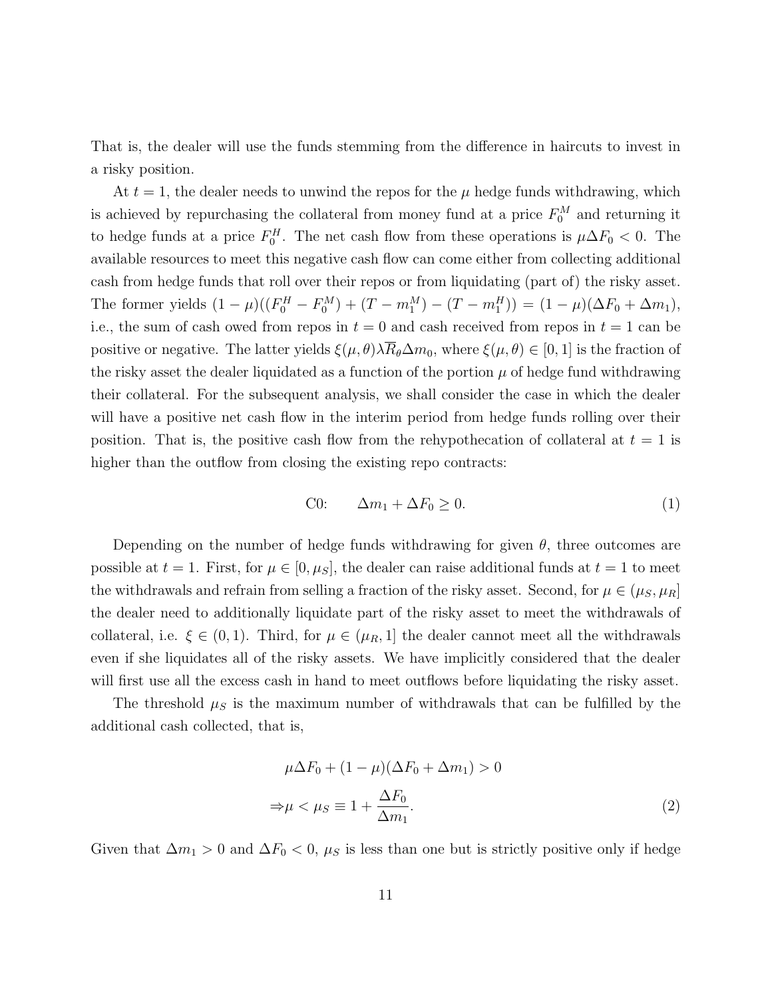That is, the dealer will use the funds stemming from the difference in haircuts to invest in a risky position.

At  $t = 1$ , the dealer needs to unwind the repos for the  $\mu$  hedge funds withdrawing, which is achieved by repurchasing the collateral from money fund at a price  $F_0^M$  and returning it to hedge funds at a price  $F_0^H$ . The net cash flow from these operations is  $\mu \Delta F_0 < 0$ . The available resources to meet this negative cash flow can come either from collecting additional cash from hedge funds that roll over their repos or from liquidating (part of) the risky asset. The former yields  $(1 - \mu)((F_0^H - F_0^M) + (T - m_1^M) - (T - m_1^H)) = (1 - \mu)(\Delta F_0 + \Delta m_1),$ i.e., the sum of cash owed from repos in  $t = 0$  and cash received from repos in  $t = 1$  can be positive or negative. The latter yields  $\xi(\mu, \theta) \lambda \overline{R}_{\theta} \Delta m_0$ , where  $\xi(\mu, \theta) \in [0, 1]$  is the fraction of the risky asset the dealer liquidated as a function of the portion  $\mu$  of hedge fund withdrawing their collateral. For the subsequent analysis, we shall consider the case in which the dealer will have a positive net cash flow in the interim period from hedge funds rolling over their position. That is, the positive cash flow from the rehypothecation of collateral at  $t = 1$  is higher than the outflow from closing the existing repo contracts:

$$
C0: \qquad \Delta m_1 + \Delta F_0 \ge 0. \tag{1}
$$

Depending on the number of hedge funds withdrawing for given  $\theta$ , three outcomes are possible at  $t = 1$ . First, for  $\mu \in [0, \mu_S]$ , the dealer can raise additional funds at  $t = 1$  to meet the withdrawals and refrain from selling a fraction of the risky asset. Second, for  $\mu \in (\mu_S, \mu_R]$ the dealer need to additionally liquidate part of the risky asset to meet the withdrawals of collateral, i.e.  $\xi \in (0,1)$ . Third, for  $\mu \in (\mu_R,1]$  the dealer cannot meet all the withdrawals even if she liquidates all of the risky assets. We have implicitly considered that the dealer will first use all the excess cash in hand to meet outflows before liquidating the risky asset.

The threshold  $\mu_S$  is the maximum number of withdrawals that can be fulfilled by the additional cash collected, that is,

$$
\mu \Delta F_0 + (1 - \mu)(\Delta F_0 + \Delta m_1) > 0
$$
  
\n
$$
\Rightarrow \mu < \mu_S \equiv 1 + \frac{\Delta F_0}{\Delta m_1}.
$$
\n(2)

Given that  $\Delta m_1 > 0$  and  $\Delta F_0 < 0$ ,  $\mu_S$  is less than one but is strictly positive only if hedge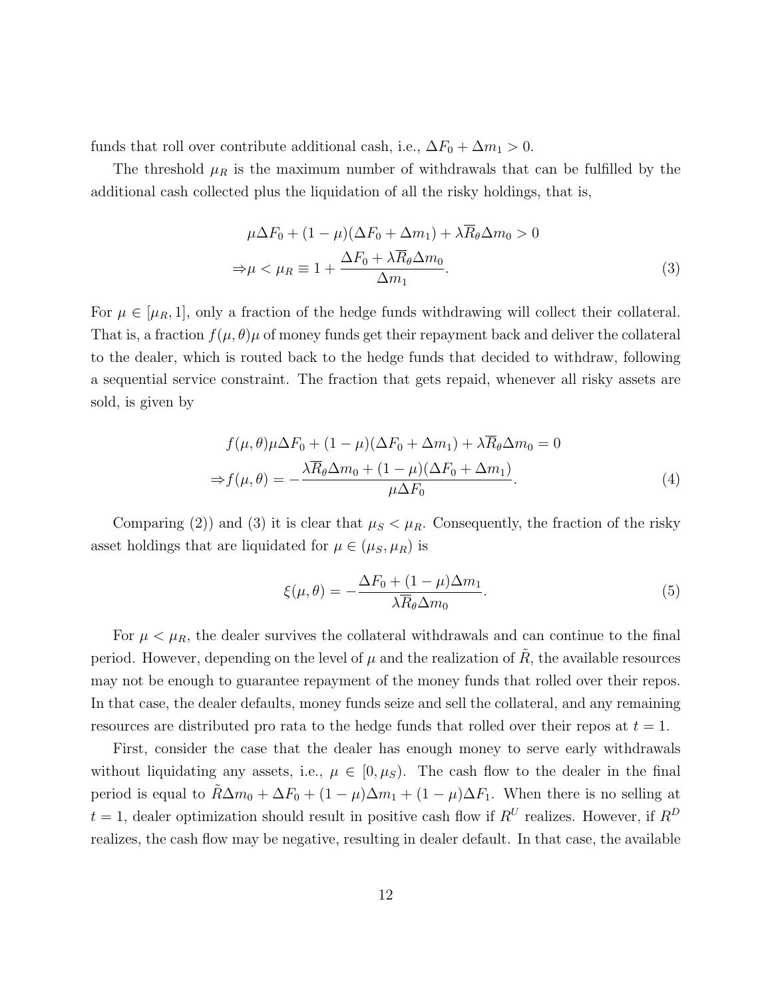funds that roll over contribute additional cash, i.e.,  $\Delta F_0 + \Delta m_1 > 0$ .

The threshold  $\mu_R$  is the maximum number of withdrawals that can be fulfilled by the additional cash collected plus the liquidation of all the risky holdings, that is,

$$
\mu \Delta F_0 + (1 - \mu)(\Delta F_0 + \Delta m_1) + \lambda \overline{R}_{\theta} \Delta m_0 > 0
$$
  
\n
$$
\Rightarrow \mu < \mu_R \equiv 1 + \frac{\Delta F_0 + \lambda \overline{R}_{\theta} \Delta m_0}{\Delta m_1}.
$$
\n(3)

For  $\mu \in [\mu_R, 1]$ , only a fraction of the hedge funds withdrawing will collect their collateral. That is, a fraction  $f(\mu, \theta)$  of money funds get their repayment back and deliver the collateral to the dealer, which is routed back to the hedge funds that decided to withdraw, following a sequential service constraint. The fraction that gets repaid, whenever all risky assets are sold, is given by

$$
f(\mu, \theta)\mu\Delta F_0 + (1 - \mu)(\Delta F_0 + \Delta m_1) + \lambda \overline{R}_{\theta}\Delta m_0 = 0
$$
  

$$
\Rightarrow f(\mu, \theta) = -\frac{\lambda \overline{R}_{\theta}\Delta m_0 + (1 - \mu)(\Delta F_0 + \Delta m_1)}{\mu \Delta F_0}.
$$
 (4)

Comparing (2)) and (3) it is clear that  $\mu_S < \mu_R$ . Consequently, the fraction of the risky asset holdings that are liquidated for  $\mu \in (\mu_S, \mu_R)$  is

$$
\xi(\mu,\theta) = -\frac{\Delta F_0 + (1-\mu)\Delta m_1}{\lambda \overline{R}_{\theta}\Delta m_0}.
$$
\n(5)

For  $\mu < \mu_R$ , the dealer survives the collateral withdrawals and can continue to the final period. However, depending on the level of  $\mu$  and the realization of  $\ddot{R}$ , the available resources may not be enough to guarantee repayment of the money funds that rolled over their repos. In that case, the dealer defaults, money funds seize and sell the collateral, and any remaining resources are distributed pro rata to the hedge funds that rolled over their repos at  $t = 1$ .

First, consider the case that the dealer has enough money to serve early withdrawals without liquidating any assets, i.e.,  $\mu \in [0, \mu_S)$ . The cash flow to the dealer in the final period is equal to  $\tilde{R}\Delta m_0 + \Delta F_0 + (1 - \mu)\Delta m_1 + (1 - \mu)\Delta F_1$ . When there is no selling at  $t = 1$ , dealer optimization should result in positive cash flow if  $R^U$  realizes. However, if  $R^D$ realizes, the cash flow may be negative, resulting in dealer default. In that case, the available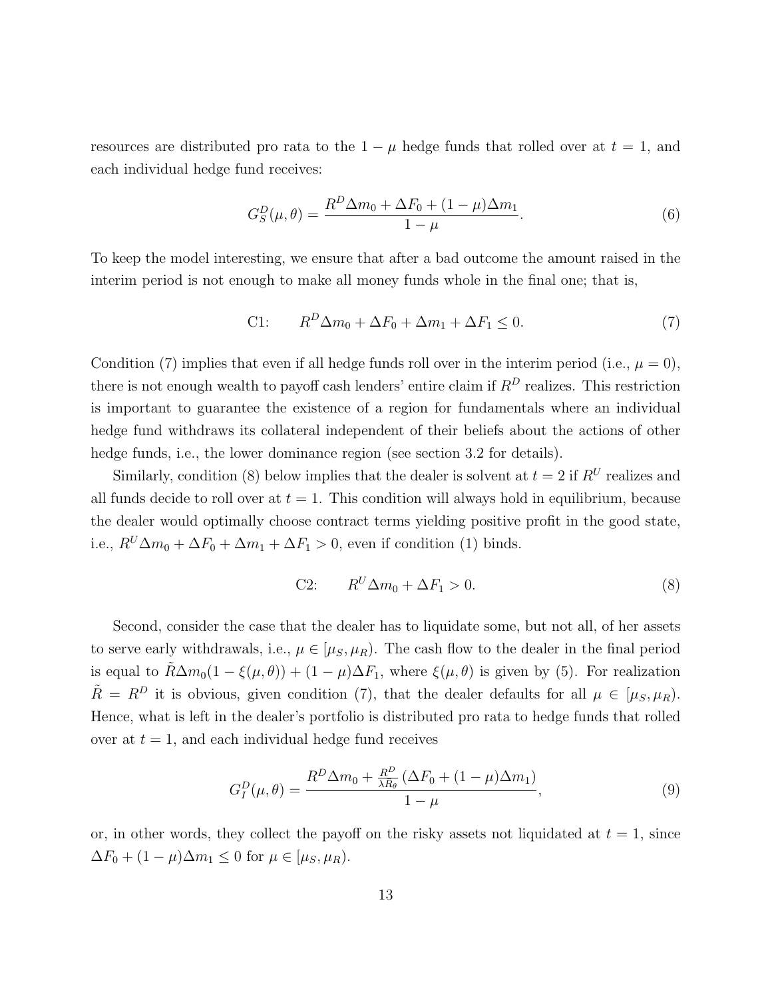resources are distributed pro rata to the  $1 - \mu$  hedge funds that rolled over at  $t = 1$ , and each individual hedge fund receives:

$$
G_S^D(\mu, \theta) = \frac{R^D \Delta m_0 + \Delta F_0 + (1 - \mu)\Delta m_1}{1 - \mu}.
$$
\n(6)

To keep the model interesting, we ensure that after a bad outcome the amount raised in the interim period is not enough to make all money funds whole in the final one; that is,

$$
C1: \qquad R^D \Delta m_0 + \Delta F_0 + \Delta m_1 + \Delta F_1 \le 0. \tag{7}
$$

Condition (7) implies that even if all hedge funds roll over in the interim period (i.e.,  $\mu = 0$ ), there is not enough wealth to payoff cash lenders' entire claim if  $R^D$  realizes. This restriction is important to guarantee the existence of a region for fundamentals where an individual hedge fund withdraws its collateral independent of their beliefs about the actions of other hedge funds, i.e., the lower dominance region (see section 3.2 for details).

Similarly, condition (8) below implies that the dealer is solvent at  $t = 2$  if  $R^U$  realizes and all funds decide to roll over at  $t = 1$ . This condition will always hold in equilibrium, because the dealer would optimally choose contract terms yielding positive profit in the good state, i.e.,  $R^U \Delta m_0 + \Delta F_0 + \Delta m_1 + \Delta F_1 > 0$ , even if condition (1) binds.

$$
C2: \qquad R^U \Delta m_0 + \Delta F_1 > 0. \tag{8}
$$

Second, consider the case that the dealer has to liquidate some, but not all, of her assets to serve early withdrawals, i.e.,  $\mu \in [\mu_S, \mu_R)$ . The cash flow to the dealer in the final period is equal to  $\tilde{R}\Delta m_0(1-\xi(\mu,\theta)) + (1-\mu)\Delta F_1$ , where  $\xi(\mu,\theta)$  is given by (5). For realization  $\tilde{R} = R^D$  it is obvious, given condition (7), that the dealer defaults for all  $\mu \in [\mu_S, \mu_R)$ . Hence, what is left in the dealer's portfolio is distributed pro rata to hedge funds that rolled over at  $t = 1$ , and each individual hedge fund receives

$$
G_I^D(\mu,\theta) = \frac{R^D \Delta m_0 + \frac{R^D}{\lambda \bar{R}_{\theta}} \left(\Delta F_0 + (1 - \mu)\Delta m_1\right)}{1 - \mu},\tag{9}
$$

or, in other words, they collect the payoff on the risky assets not liquidated at  $t = 1$ , since  $\Delta F_0 + (1 - \mu)\Delta m_1 \leq 0$  for  $\mu \in [\mu_S, \mu_R)$ .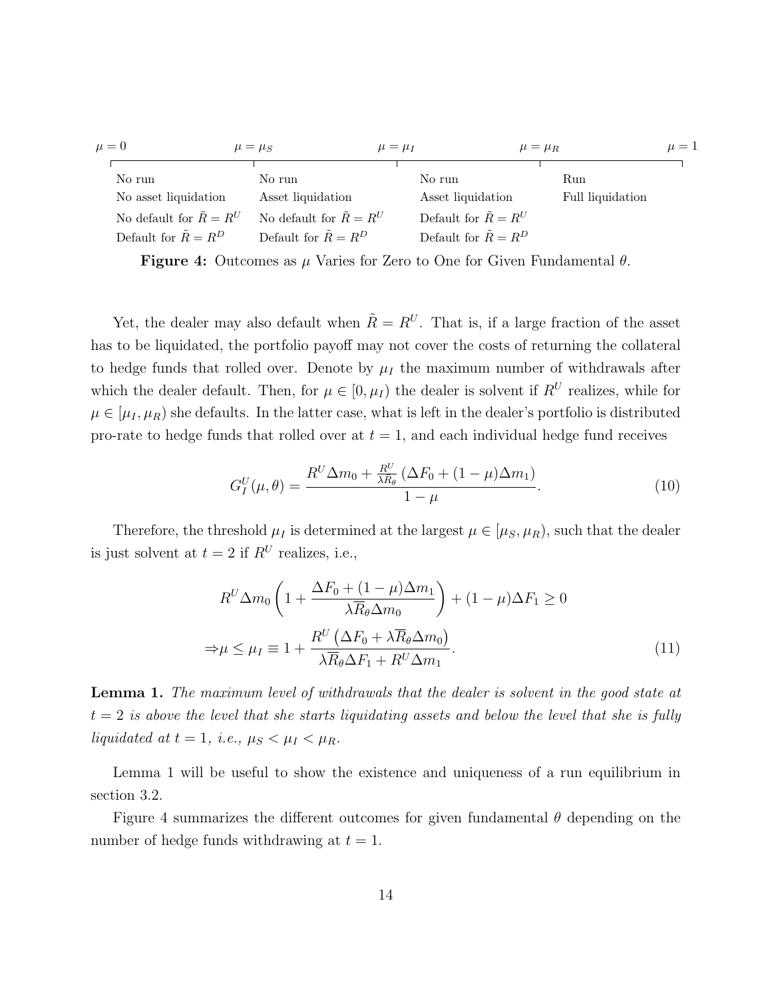| $\mu = 0$                        | $\mu = \mu_S$                    | $\mu = \mu_I$ | $\mu = \mu_R$                 |                  | $\mu=1$ |
|----------------------------------|----------------------------------|---------------|-------------------------------|------------------|---------|
| No run                           | No run                           | No run        |                               | Run              |         |
| No asset liquidation             | Asset liquidation                |               | Asset liquidation             | Full liquidation |         |
| No default for $\tilde{R} = R^U$ | No default for $\tilde{R} = R^U$ |               | Default for $\tilde{R} = R^U$ |                  |         |
| Default for $\tilde{R} = R^D$    | Default for $\tilde{R} = R^D$    |               | Default for $\tilde{R} = R^D$ |                  |         |

**Figure 4:** Outcomes as  $\mu$  Varies for Zero to One for Given Fundamental  $\theta$ .

Yet, the dealer may also default when  $\tilde{R} = R^U$ . That is, if a large fraction of the asset has to be liquidated, the portfolio payoff may not cover the costs of returning the collateral to hedge funds that rolled over. Denote by  $\mu_I$  the maximum number of withdrawals after which the dealer default. Then, for  $\mu \in [0, \mu_I)$  the dealer is solvent if  $R^U$  realizes, while for  $\mu \in [\mu_I, \mu_R]$  she defaults. In the latter case, what is left in the dealer's portfolio is distributed pro-rate to hedge funds that rolled over at  $t = 1$ , and each individual hedge fund receives

$$
G_I^U(\mu,\theta) = \frac{R^U \Delta m_0 + \frac{R^U}{\lambda \bar{R}_{\theta}} \left(\Delta F_0 + (1 - \mu)\Delta m_1\right)}{1 - \mu}.
$$
\n(10)

Therefore, the threshold  $\mu_I$  is determined at the largest  $\mu \in [\mu_S, \mu_R)$ , such that the dealer is just solvent at  $t = 2$  if  $R^U$  realizes, i.e.,

$$
R^{U} \Delta m_0 \left( 1 + \frac{\Delta F_0 + (1 - \mu)\Delta m_1}{\lambda \overline{R}_{\theta} \Delta m_0} \right) + (1 - \mu)\Delta F_1 \ge 0
$$
  

$$
\Rightarrow \mu \le \mu_I \equiv 1 + \frac{R^{U} \left( \Delta F_0 + \lambda \overline{R}_{\theta} \Delta m_0 \right)}{\lambda \overline{R}_{\theta} \Delta F_1 + R^{U} \Delta m_1}.
$$
 (11)

Lemma 1. The maximum level of withdrawals that the dealer is solvent in the good state at  $t = 2$  is above the level that she starts liquidating assets and below the level that she is fully liquidated at  $t = 1$ , i.e.,  $\mu_S < \mu_I < \mu_R$ .

Lemma 1 will be useful to show the existence and uniqueness of a run equilibrium in section 3.2.

Figure 4 summarizes the different outcomes for given fundamental  $\theta$  depending on the number of hedge funds withdrawing at  $t = 1$ .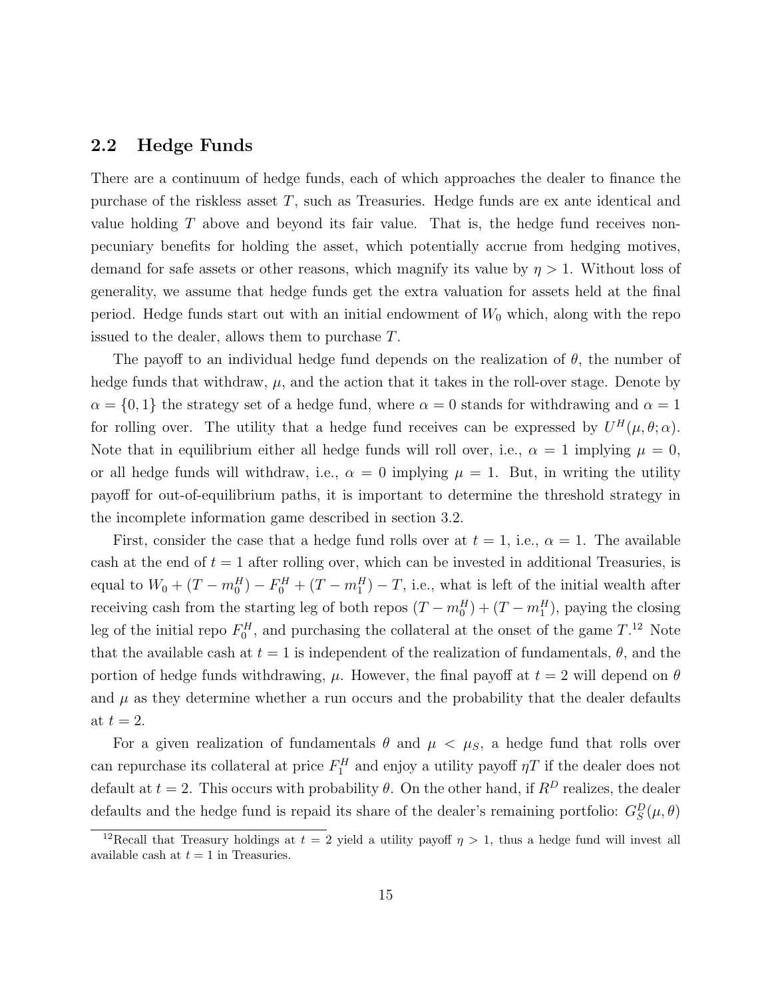### 2.2 Hedge Funds

There are a continuum of hedge funds, each of which approaches the dealer to finance the purchase of the riskless asset  $T$ , such as Treasuries. Hedge funds are ex ante identical and value holding T above and beyond its fair value. That is, the hedge fund receives nonpecuniary benefits for holding the asset, which potentially accrue from hedging motives, demand for safe assets or other reasons, which magnify its value by  $\eta > 1$ . Without loss of generality, we assume that hedge funds get the extra valuation for assets held at the final period. Hedge funds start out with an initial endowment of  $W_0$  which, along with the repo issued to the dealer, allows them to purchase T.

The payoff to an individual hedge fund depends on the realization of  $\theta$ , the number of hedge funds that withdraw,  $\mu$ , and the action that it takes in the roll-over stage. Denote by  $\alpha = \{0, 1\}$  the strategy set of a hedge fund, where  $\alpha = 0$  stands for withdrawing and  $\alpha = 1$ for rolling over. The utility that a hedge fund receives can be expressed by  $U^H(\mu, \theta; \alpha)$ . Note that in equilibrium either all hedge funds will roll over, i.e.,  $\alpha = 1$  implying  $\mu = 0$ , or all hedge funds will withdraw, i.e.,  $\alpha = 0$  implying  $\mu = 1$ . But, in writing the utility payoff for out-of-equilibrium paths, it is important to determine the threshold strategy in the incomplete information game described in section 3.2.

First, consider the case that a hedge fund rolls over at  $t = 1$ , i.e.,  $\alpha = 1$ . The available cash at the end of  $t = 1$  after rolling over, which can be invested in additional Treasuries, is equal to  $W_0 + (T - m_0^H) - F_0^H + (T - m_1^H) - T$ , i.e., what is left of the initial wealth after receiving cash from the starting leg of both repos  $(T - m_0^H) + (T - m_1^H)$ , paying the closing leg of the initial repo  $F_0^H$ , and purchasing the collateral at the onset of the game  $T.^{12}$  Note that the available cash at  $t = 1$  is independent of the realization of fundamentals,  $\theta$ , and the portion of hedge funds withdrawing,  $\mu$ . However, the final payoff at  $t = 2$  will depend on  $\theta$ and  $\mu$  as they determine whether a run occurs and the probability that the dealer defaults at  $t = 2$ .

For a given realization of fundamentals  $\theta$  and  $\mu < \mu_S$ , a hedge fund that rolls over can repurchase its collateral at price  $F_1^H$  and enjoy a utility payoff  $\eta T$  if the dealer does not default at  $t = 2$ . This occurs with probability  $\theta$ . On the other hand, if  $R^D$  realizes, the dealer defaults and the hedge fund is repaid its share of the dealer's remaining portfolio:  $G_S^D(\mu, \theta)$ 

<sup>&</sup>lt;sup>12</sup>Recall that Treasury holdings at  $t = 2$  yield a utility payoff  $\eta > 1$ , thus a hedge fund will invest all available cash at  $t = 1$  in Treasuries.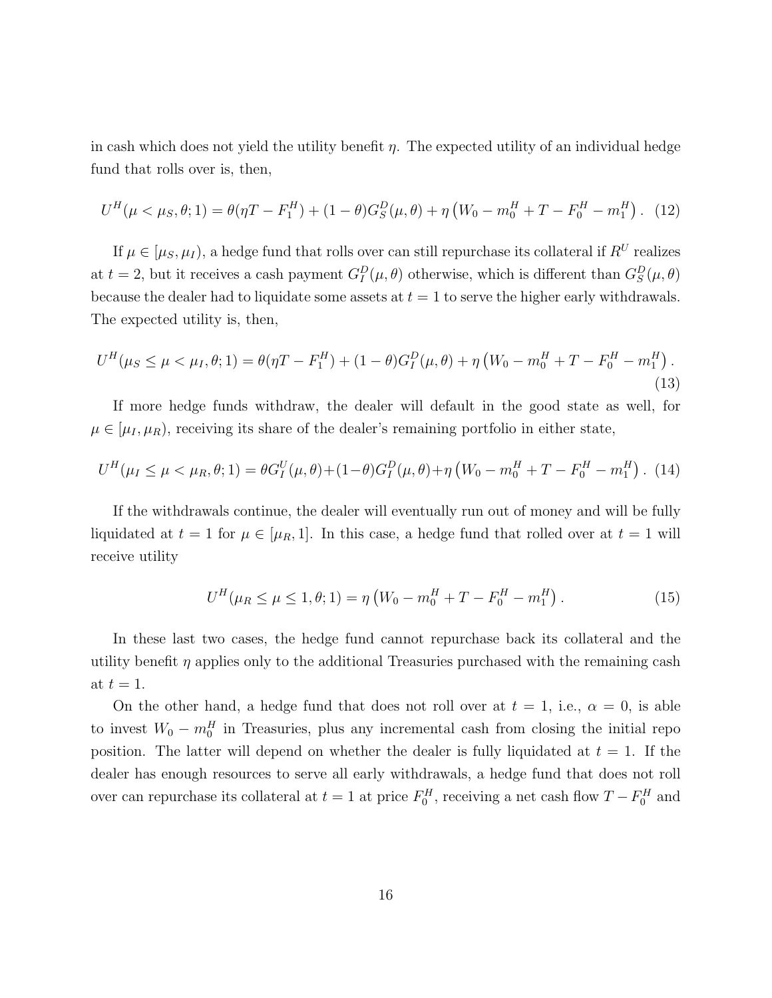in cash which does not yield the utility benefit  $\eta$ . The expected utility of an individual hedge fund that rolls over is, then,

$$
U^{H}(\mu < \mu_{S}, \theta; 1) = \theta(\eta T - F_{1}^{H}) + (1 - \theta)G_{S}^{D}(\mu, \theta) + \eta (W_{0} - m_{0}^{H} + T - F_{0}^{H} - m_{1}^{H}).
$$
 (12)

If  $\mu \in [\mu_S, \mu_I)$ , a hedge fund that rolls over can still repurchase its collateral if  $R^U$  realizes at  $t = 2$ , but it receives a cash payment  $G_I^D(\mu, \theta)$  otherwise, which is different than  $G_S^D(\mu, \theta)$ because the dealer had to liquidate some assets at  $t = 1$  to serve the higher early withdrawals. The expected utility is, then,

$$
U^{H}(\mu_{S} \le \mu < \mu_{I}, \theta; 1) = \theta(\eta T - F_{1}^{H}) + (1 - \theta)G_{I}^{D}(\mu, \theta) + \eta \left(W_{0} - m_{0}^{H} + T - F_{0}^{H} - m_{1}^{H}\right). \tag{13}
$$

If more hedge funds withdraw, the dealer will default in the good state as well, for  $\mu \in [\mu_I, \mu_R]$ , receiving its share of the dealer's remaining portfolio in either state,

$$
U^{H}(\mu_{I} \le \mu < \mu_{R}, \theta; 1) = \theta G_{I}^{U}(\mu, \theta) + (1 - \theta) G_{I}^{D}(\mu, \theta) + \eta \left( W_{0} - m_{0}^{H} + T - F_{0}^{H} - m_{1}^{H} \right). (14)
$$

If the withdrawals continue, the dealer will eventually run out of money and will be fully liquidated at  $t = 1$  for  $\mu \in [\mu_R, 1]$ . In this case, a hedge fund that rolled over at  $t = 1$  will receive utility

$$
U^{H}(\mu_{R} \le \mu \le 1, \theta; 1) = \eta \left( W_{0} - m_{0}^{H} + T - F_{0}^{H} - m_{1}^{H} \right). \tag{15}
$$

In these last two cases, the hedge fund cannot repurchase back its collateral and the utility benefit  $\eta$  applies only to the additional Treasuries purchased with the remaining cash at  $t = 1$ .

On the other hand, a hedge fund that does not roll over at  $t = 1$ , i.e.,  $\alpha = 0$ , is able to invest  $W_0 - m_0^H$  in Treasuries, plus any incremental cash from closing the initial repo position. The latter will depend on whether the dealer is fully liquidated at  $t = 1$ . If the dealer has enough resources to serve all early withdrawals, a hedge fund that does not roll over can repurchase its collateral at  $t = 1$  at price  $F_0^H$ , receiving a net cash flow  $T - F_0^H$  and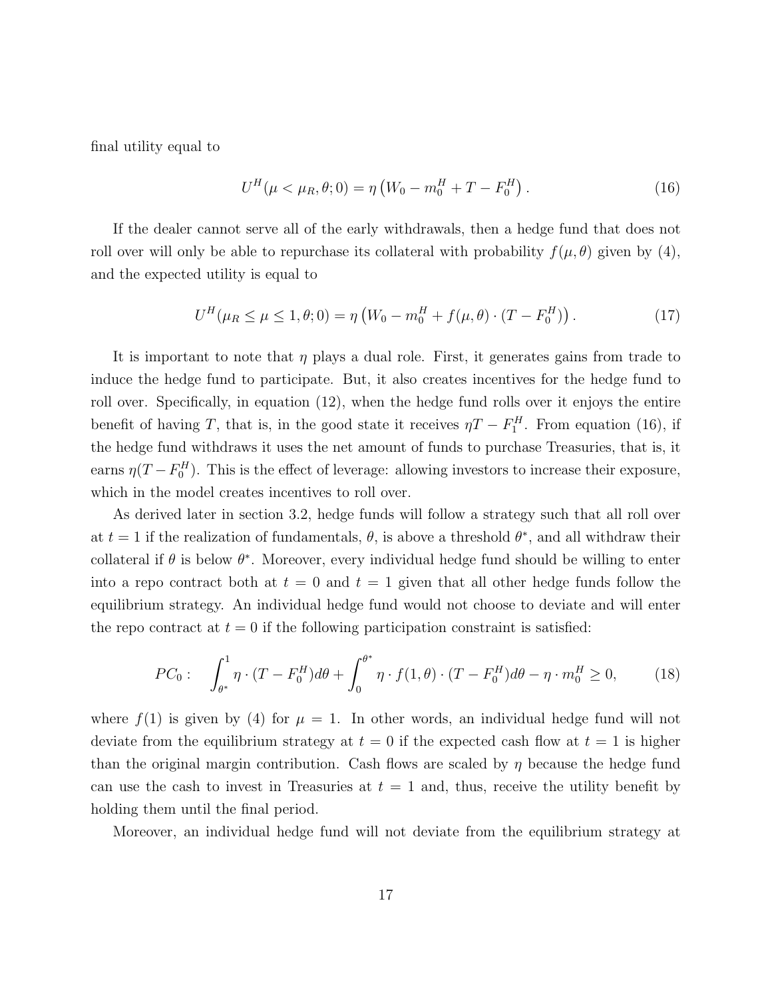final utility equal to

$$
U^{H}(\mu < \mu_{R}, \theta; 0) = \eta \left( W_{0} - m_{0}^{H} + T - F_{0}^{H} \right). \tag{16}
$$

If the dealer cannot serve all of the early withdrawals, then a hedge fund that does not roll over will only be able to repurchase its collateral with probability  $f(\mu, \theta)$  given by (4), and the expected utility is equal to

$$
U^{H}(\mu_{R} \le \mu \le 1, \theta; 0) = \eta \left( W_{0} - m_{0}^{H} + f(\mu, \theta) \cdot (T - F_{0}^{H}) \right). \tag{17}
$$

It is important to note that  $\eta$  plays a dual role. First, it generates gains from trade to induce the hedge fund to participate. But, it also creates incentives for the hedge fund to roll over. Specifically, in equation (12), when the hedge fund rolls over it enjoys the entire benefit of having T, that is, in the good state it receives  $\eta T - F_1^H$ . From equation (16), if the hedge fund withdraws it uses the net amount of funds to purchase Treasuries, that is, it earns  $\eta(T - F_0^H)$ . This is the effect of leverage: allowing investors to increase their exposure, which in the model creates incentives to roll over.

As derived later in section 3.2, hedge funds will follow a strategy such that all roll over at  $t = 1$  if the realization of fundamentals,  $\theta$ , is above a threshold  $\theta^*$ , and all withdraw their collateral if  $\theta$  is below  $\theta^*$ . Moreover, every individual hedge fund should be willing to enter into a repo contract both at  $t = 0$  and  $t = 1$  given that all other hedge funds follow the equilibrium strategy. An individual hedge fund would not choose to deviate and will enter the repo contract at  $t = 0$  if the following participation constraint is satisfied:

$$
PC_0: \quad \int_{\theta^*}^1 \eta \cdot (T - F_0^H) d\theta + \int_0^{\theta^*} \eta \cdot f(1, \theta) \cdot (T - F_0^H) d\theta - \eta \cdot m_0^H \ge 0, \tag{18}
$$

where  $f(1)$  is given by (4) for  $\mu = 1$ . In other words, an individual hedge fund will not deviate from the equilibrium strategy at  $t = 0$  if the expected cash flow at  $t = 1$  is higher than the original margin contribution. Cash flows are scaled by  $\eta$  because the hedge fund can use the cash to invest in Treasuries at  $t = 1$  and, thus, receive the utility benefit by holding them until the final period.

Moreover, an individual hedge fund will not deviate from the equilibrium strategy at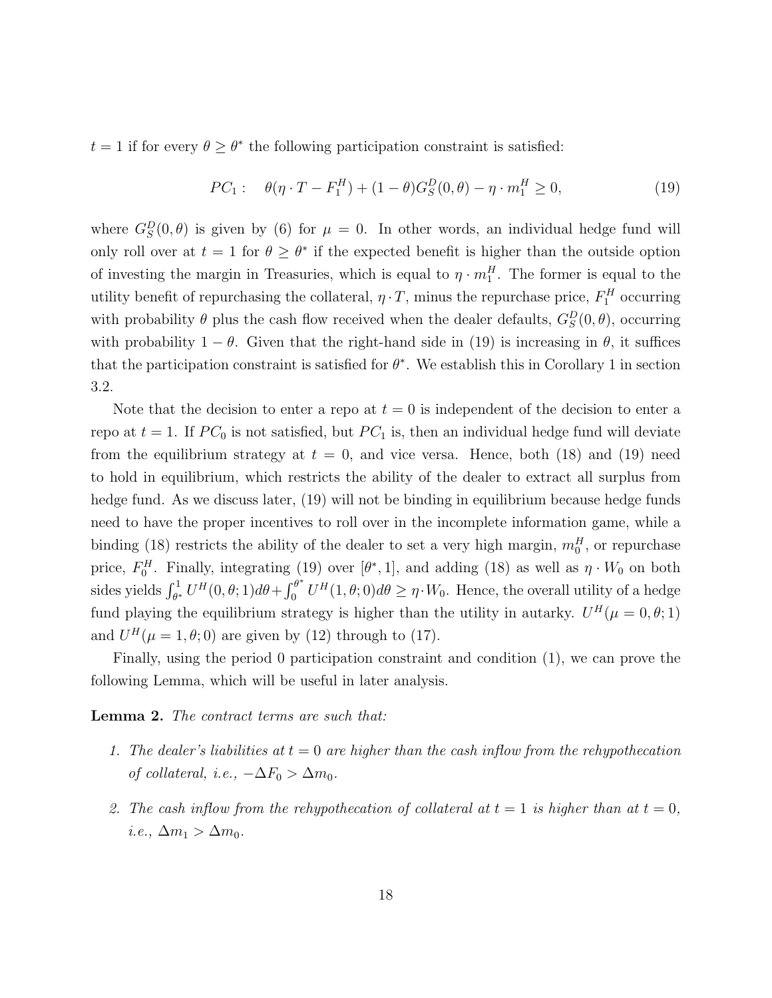$t = 1$  if for every  $\theta \geq \theta^*$  the following participation constraint is satisfied:

$$
PC_1: \quad \theta(\eta \cdot T - F_1^H) + (1 - \theta)G_S^D(0, \theta) - \eta \cdot m_1^H \ge 0,
$$
\n(19)

where  $G_S^D(0, \theta)$  is given by (6) for  $\mu = 0$ . In other words, an individual hedge fund will only roll over at  $t = 1$  for  $\theta \geq \theta^*$  if the expected benefit is higher than the outside option of investing the margin in Treasuries, which is equal to  $\eta \cdot m_1^H$ . The former is equal to the utility benefit of repurchasing the collateral,  $\eta \cdot T$ , minus the repurchase price,  $F_1^H$  occurring with probability  $\theta$  plus the cash flow received when the dealer defaults,  $G_S^D(0, \theta)$ , occurring with probability  $1 - \theta$ . Given that the right-hand side in (19) is increasing in  $\theta$ , it suffices that the participation constraint is satisfied for  $\theta^*$ . We establish this in Corollary 1 in section 3.2.

Note that the decision to enter a repo at  $t = 0$  is independent of the decision to enter a repo at  $t = 1$ . If  $PC_0$  is not satisfied, but  $PC_1$  is, then an individual hedge fund will deviate from the equilibrium strategy at  $t = 0$ , and vice versa. Hence, both (18) and (19) need to hold in equilibrium, which restricts the ability of the dealer to extract all surplus from hedge fund. As we discuss later, (19) will not be binding in equilibrium because hedge funds need to have the proper incentives to roll over in the incomplete information game, while a binding (18) restricts the ability of the dealer to set a very high margin,  $m_0^H$ , or repurchase price,  $F_0^H$ . Finally, integrating (19) over  $[\theta^*, 1]$ , and adding (18) as well as  $\eta \cdot W_0$  on both sides yields  $\int_{\theta^*}^1 U^H(0,\theta;1)d\theta + \int_0^{\theta^*}$  $\int_0^{\theta^*} U^H(1,\theta;0) d\theta \geq \eta \cdot W_0$ . Hence, the overall utility of a hedge fund playing the equilibrium strategy is higher than the utility in autarky.  $U^H(\mu=0,\theta;1)$ and  $U^H(\mu = 1, \theta; 0)$  are given by (12) through to (17).

Finally, using the period 0 participation constraint and condition (1), we can prove the following Lemma, which will be useful in later analysis.

#### Lemma 2. The contract terms are such that:

- 1. The dealer's liabilities at  $t = 0$  are higher than the cash inflow from the rehypothecation of collateral, i.e.,  $-\Delta F_0 > \Delta m_0$ .
- 2. The cash inflow from the rehypothecation of collateral at  $t = 1$  is higher than at  $t = 0$ , *i.e.*,  $\Delta m_1 > \Delta m_0$ .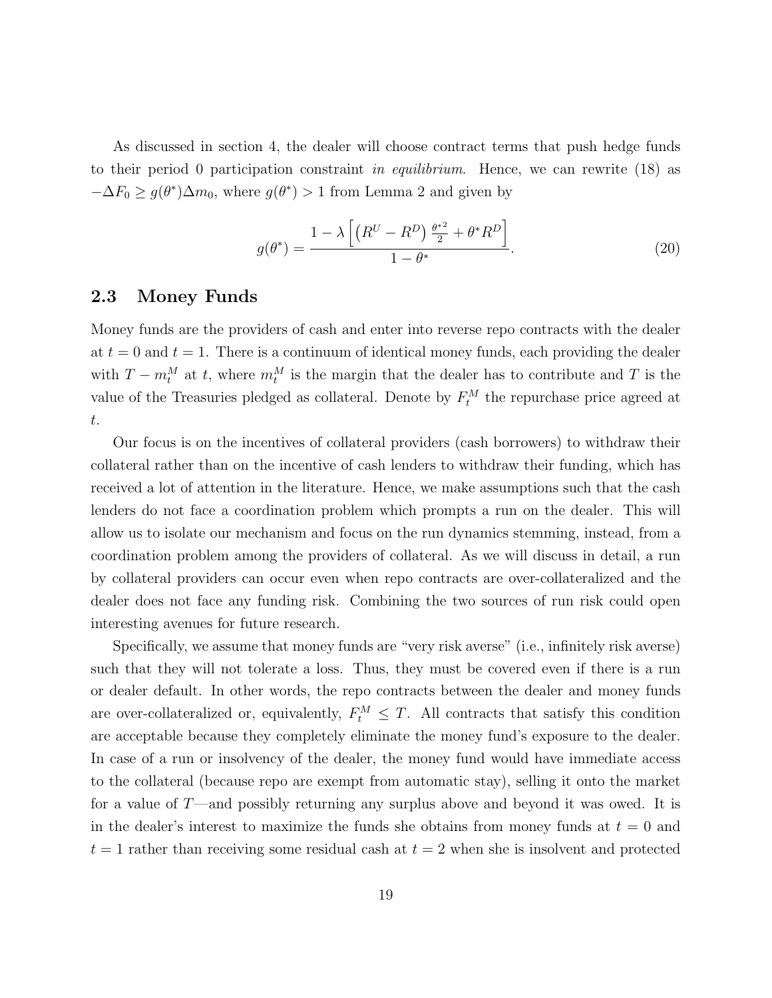As discussed in section 4, the dealer will choose contract terms that push hedge funds to their period 0 participation constraint in equilibrium. Hence, we can rewrite  $(18)$  as  $-\Delta F_0 \geq g(\theta^*) \Delta m_0$ , where  $g(\theta^*) > 1$  from Lemma 2 and given by

$$
g(\theta^*) = \frac{1 - \lambda \left[ \left( R^U - R^D \right) \frac{\theta^{*2}}{2} + \theta^* R^D \right]}{1 - \theta^*}.
$$
 (20)

#### 2.3 Money Funds

Money funds are the providers of cash and enter into reverse repo contracts with the dealer at  $t = 0$  and  $t = 1$ . There is a continuum of identical money funds, each providing the dealer with  $T - m_t^M$  at t, where  $m_t^M$  is the margin that the dealer has to contribute and T is the value of the Treasuries pledged as collateral. Denote by  $F_t^M$  the repurchase price agreed at t.

Our focus is on the incentives of collateral providers (cash borrowers) to withdraw their collateral rather than on the incentive of cash lenders to withdraw their funding, which has received a lot of attention in the literature. Hence, we make assumptions such that the cash lenders do not face a coordination problem which prompts a run on the dealer. This will allow us to isolate our mechanism and focus on the run dynamics stemming, instead, from a coordination problem among the providers of collateral. As we will discuss in detail, a run by collateral providers can occur even when repo contracts are over-collateralized and the dealer does not face any funding risk. Combining the two sources of run risk could open interesting avenues for future research.

Specifically, we assume that money funds are "very risk averse" (i.e., infinitely risk averse) such that they will not tolerate a loss. Thus, they must be covered even if there is a run or dealer default. In other words, the repo contracts between the dealer and money funds are over-collateralized or, equivalently,  $F_t^M \leq T$ . All contracts that satisfy this condition are acceptable because they completely eliminate the money fund's exposure to the dealer. In case of a run or insolvency of the dealer, the money fund would have immediate access to the collateral (because repo are exempt from automatic stay), selling it onto the market for a value of  $T$ —and possibly returning any surplus above and beyond it was owed. It is in the dealer's interest to maximize the funds she obtains from money funds at  $t = 0$  and  $t = 1$  rather than receiving some residual cash at  $t = 2$  when she is insolvent and protected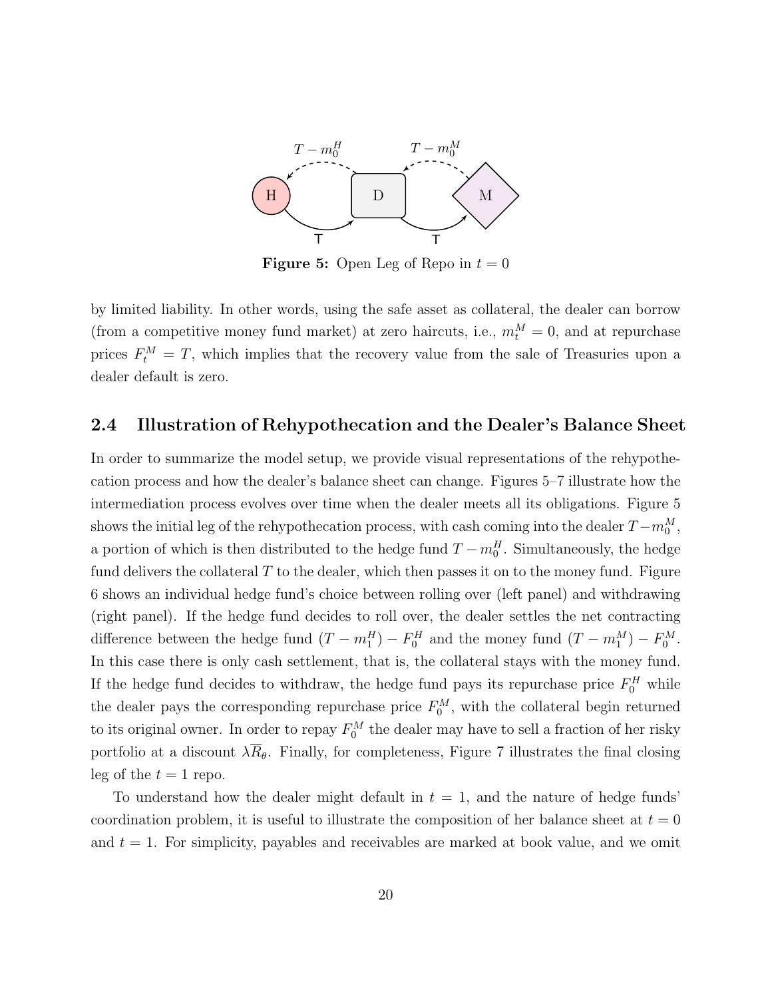

**Figure 5:** Open Leg of Repo in  $t = 0$ 

by limited liability. In other words, using the safe asset as collateral, the dealer can borrow (from a competitive money fund market) at zero haircuts, i.e.,  $m_t^M = 0$ , and at repurchase prices  $F_t^M = T$ , which implies that the recovery value from the sale of Treasuries upon a dealer default is zero.

#### 2.4 Illustration of Rehypothecation and the Dealer's Balance Sheet

In order to summarize the model setup, we provide visual representations of the rehypothecation process and how the dealer's balance sheet can change. Figures 5–7 illustrate how the intermediation process evolves over time when the dealer meets all its obligations. Figure 5 shows the initial leg of the rehypothecation process, with cash coming into the dealer  $T - m_0^M$ , a portion of which is then distributed to the hedge fund  $T - m_0^H$ . Simultaneously, the hedge fund delivers the collateral  $T$  to the dealer, which then passes it on to the money fund. Figure 6 shows an individual hedge fund's choice between rolling over (left panel) and withdrawing (right panel). If the hedge fund decides to roll over, the dealer settles the net contracting difference between the hedge fund  $(T - m_1^H) - F_0^H$  and the money fund  $(T - m_1^M) - F_0^M$ . In this case there is only cash settlement, that is, the collateral stays with the money fund. If the hedge fund decides to withdraw, the hedge fund pays its repurchase price  $F_0^H$  while the dealer pays the corresponding repurchase price  $F_0^M$ , with the collateral begin returned to its original owner. In order to repay  $F_0^M$  the dealer may have to sell a fraction of her risky portfolio at a discount  $\lambda \overline{R}_{\theta}$ . Finally, for completeness, Figure 7 illustrates the final closing leg of the  $t = 1$  repo.

To understand how the dealer might default in  $t = 1$ , and the nature of hedge funds coordination problem, it is useful to illustrate the composition of her balance sheet at  $t = 0$ and  $t = 1$ . For simplicity, payables and receivables are marked at book value, and we omit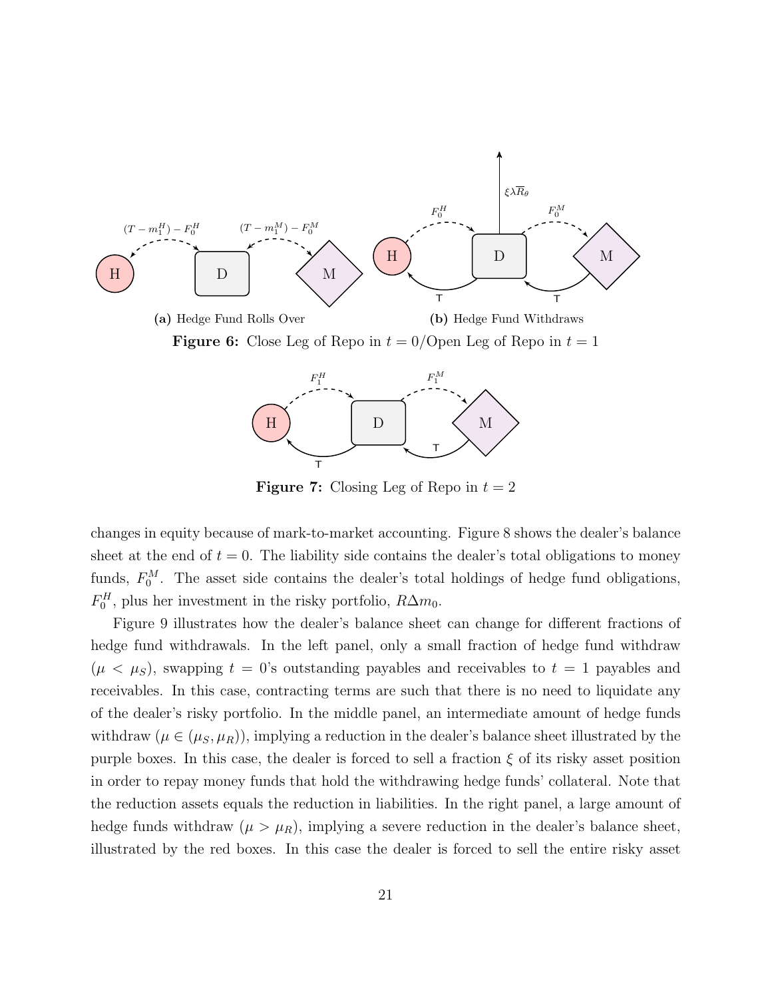



**Figure 7:** Closing Leg of Repo in  $t = 2$ 

changes in equity because of mark-to-market accounting. Figure 8 shows the dealer's balance sheet at the end of  $t = 0$ . The liability side contains the dealer's total obligations to money funds,  $F_0^M$ . The asset side contains the dealer's total holdings of hedge fund obligations,  $F_0^H$ , plus her investment in the risky portfolio,  $R\Delta m_0$ .

Figure 9 illustrates how the dealer's balance sheet can change for different fractions of hedge fund withdrawals. In the left panel, only a small fraction of hedge fund withdraw  $(\mu < \mu_S)$ , swapping  $t = 0$ 's outstanding payables and receivables to  $t = 1$  payables and receivables. In this case, contracting terms are such that there is no need to liquidate any of the dealer's risky portfolio. In the middle panel, an intermediate amount of hedge funds withdraw  $(\mu \in (\mu_S, \mu_R))$ , implying a reduction in the dealer's balance sheet illustrated by the purple boxes. In this case, the dealer is forced to sell a fraction  $\xi$  of its risky asset position in order to repay money funds that hold the withdrawing hedge funds' collateral. Note that the reduction assets equals the reduction in liabilities. In the right panel, a large amount of hedge funds withdraw  $(\mu > \mu_R)$ , implying a severe reduction in the dealer's balance sheet, illustrated by the red boxes. In this case the dealer is forced to sell the entire risky asset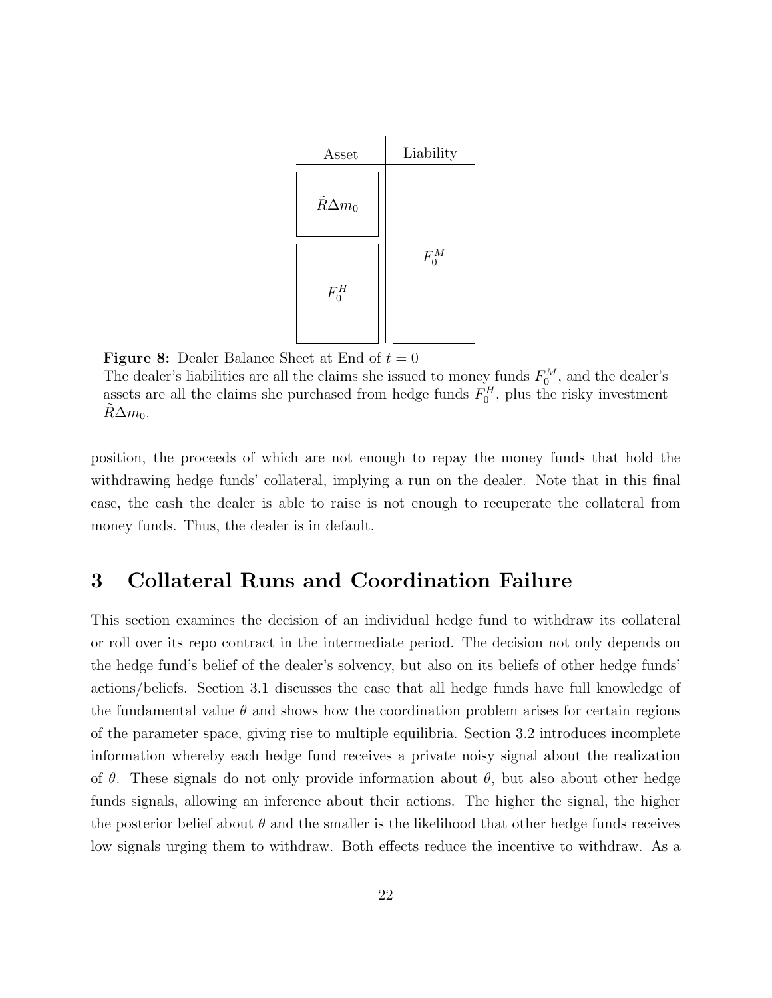

**Figure 8:** Dealer Balance Sheet at End of  $t = 0$ 

The dealer's liabilities are all the claims she issued to money funds  $F_0^M$ , and the dealer's assets are all the claims she purchased from hedge funds  $F_0^H$ , plus the risky investment  $R\Delta m_0$ .

position, the proceeds of which are not enough to repay the money funds that hold the withdrawing hedge funds' collateral, implying a run on the dealer. Note that in this final case, the cash the dealer is able to raise is not enough to recuperate the collateral from money funds. Thus, the dealer is in default.

## 3 Collateral Runs and Coordination Failure

This section examines the decision of an individual hedge fund to withdraw its collateral or roll over its repo contract in the intermediate period. The decision not only depends on the hedge fund's belief of the dealer's solvency, but also on its beliefs of other hedge funds' actions/beliefs. Section 3.1 discusses the case that all hedge funds have full knowledge of the fundamental value  $\theta$  and shows how the coordination problem arises for certain regions of the parameter space, giving rise to multiple equilibria. Section 3.2 introduces incomplete information whereby each hedge fund receives a private noisy signal about the realization of  $\theta$ . These signals do not only provide information about  $\theta$ , but also about other hedge funds signals, allowing an inference about their actions. The higher the signal, the higher the posterior belief about  $\theta$  and the smaller is the likelihood that other hedge funds receives low signals urging them to withdraw. Both effects reduce the incentive to withdraw. As a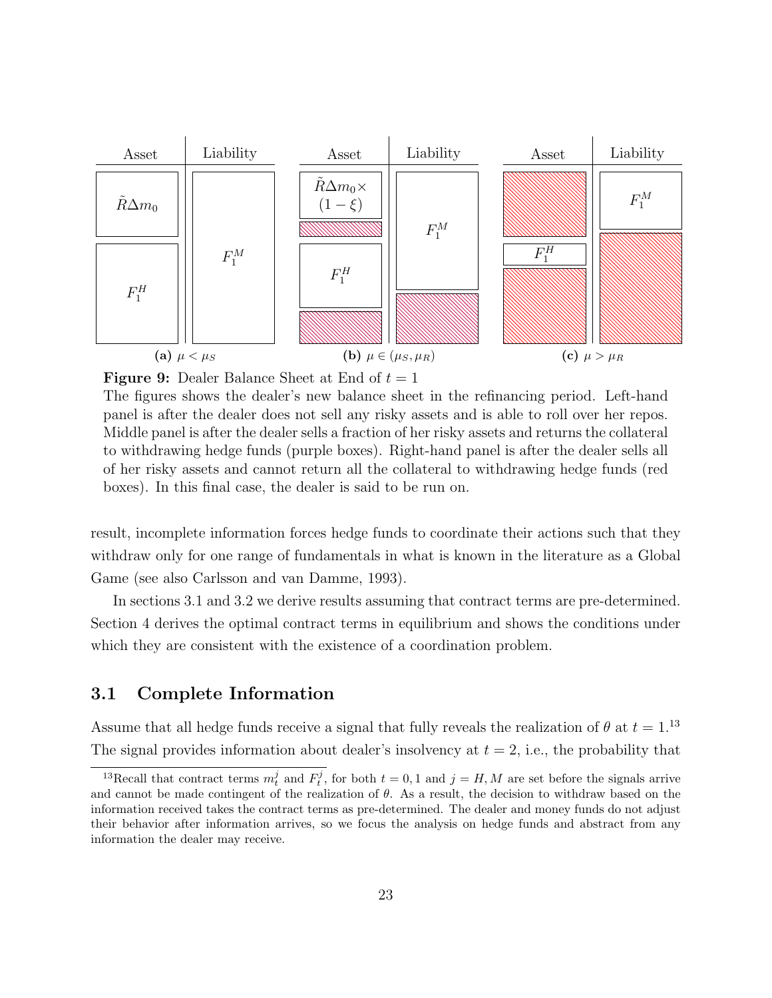

**Figure 9:** Dealer Balance Sheet at End of  $t = 1$ 

The figures shows the dealer's new balance sheet in the refinancing period. Left-hand panel is after the dealer does not sell any risky assets and is able to roll over her repos. Middle panel is after the dealer sells a fraction of her risky assets and returns the collateral to withdrawing hedge funds (purple boxes). Right-hand panel is after the dealer sells all of her risky assets and cannot return all the collateral to withdrawing hedge funds (red boxes). In this final case, the dealer is said to be run on.

result, incomplete information forces hedge funds to coordinate their actions such that they withdraw only for one range of fundamentals in what is known in the literature as a Global Game (see also Carlsson and van Damme, 1993).

In sections 3.1 and 3.2 we derive results assuming that contract terms are pre-determined. Section 4 derives the optimal contract terms in equilibrium and shows the conditions under which they are consistent with the existence of a coordination problem.

#### 3.1 Complete Information

Assume that all hedge funds receive a signal that fully reveals the realization of  $\theta$  at  $t = 1.13$ The signal provides information about dealer's insolvency at  $t = 2$ , i.e., the probability that

<sup>&</sup>lt;sup>13</sup>Recall that contract terms  $m_t^j$  and  $F_t^j$ , for both  $t = 0, 1$  and  $j = H, M$  are set before the signals arrive and cannot be made contingent of the realization of  $\theta$ . As a result, the decision to withdraw based on the information received takes the contract terms as pre-determined. The dealer and money funds do not adjust their behavior after information arrives, so we focus the analysis on hedge funds and abstract from any information the dealer may receive.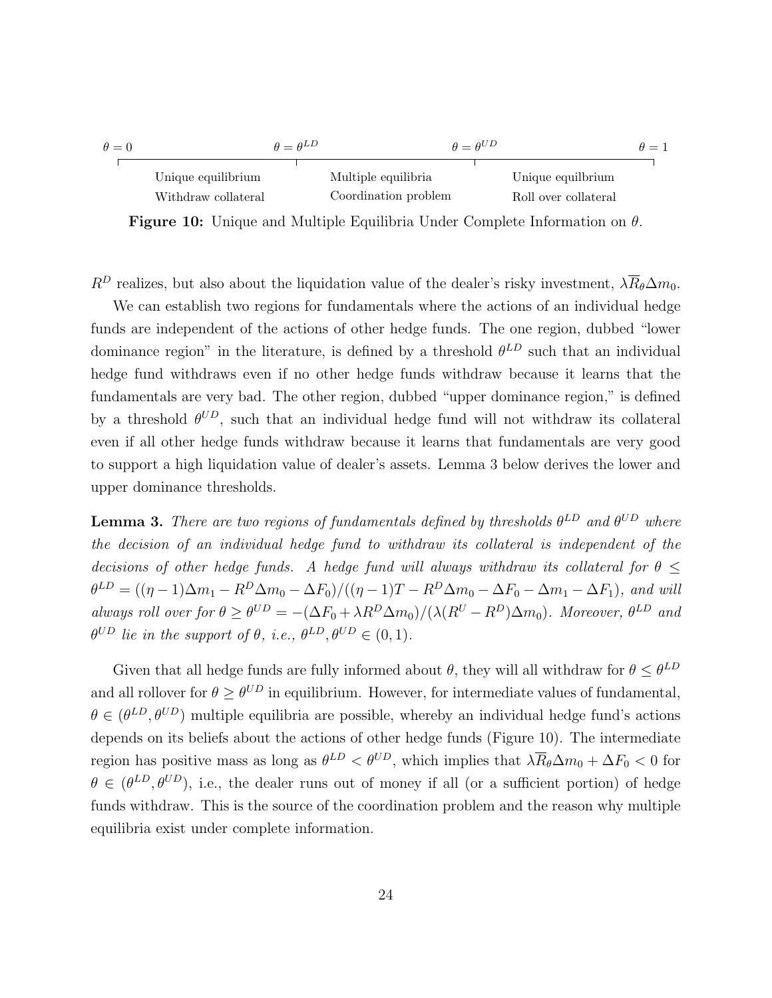| $\theta = 0$ |                     | $\theta = \theta^{LD}$ |                      | $\theta = \theta^{UD}$ |                      | $\theta = 1$ |
|--------------|---------------------|------------------------|----------------------|------------------------|----------------------|--------------|
|              |                     |                        |                      |                        |                      |              |
|              | Unique equilibrium  |                        | Multiple equilibria  |                        | Unique equilbrium    |              |
|              | Withdraw collateral |                        | Coordination problem |                        | Roll over collateral |              |

**Figure 10:** Unique and Multiple Equilibria Under Complete Information on  $\theta$ .

 $R^D$  realizes, but also about the liquidation value of the dealer's risky investment,  $\lambda \overline{R}_{\theta} \Delta m_0$ .

We can establish two regions for fundamentals where the actions of an individual hedge funds are independent of the actions of other hedge funds. The one region, dubbed "lower dominance region" in the literature, is defined by a threshold  $\theta^{LD}$  such that an individual hedge fund withdraws even if no other hedge funds withdraw because it learns that the fundamentals are very bad. The other region, dubbed "upper dominance region," is defined by a threshold  $\theta^{UD}$ , such that an individual hedge fund will not withdraw its collateral even if all other hedge funds withdraw because it learns that fundamentals are very good to support a high liquidation value of dealer's assets. Lemma 3 below derives the lower and upper dominance thresholds.

**Lemma 3.** There are two regions of fundamentals defined by thresholds  $\theta^{LD}$  and  $\theta^{UD}$  where the decision of an individual hedge fund to withdraw its collateral is independent of the decisions of other hedge funds. A hedge fund will always withdraw its collateral for  $\theta$  <  $\theta^{LD} = ((\eta - 1)\Delta m_1 - R^D \Delta m_0 - \Delta F_0)/((\eta - 1)T - R^D \Delta m_0 - \Delta F_0 - \Delta m_1 - \Delta F_1)$ , and will always roll over for  $\theta \ge \theta^{UD} = -(\Delta F_0 + \lambda R^D \Delta m_0)/(\lambda (R^U - R^D) \Delta m_0)$ . Moreover,  $\theta^{LD}$  and  $\theta^{UD}$  lie in the support of  $\theta$ , i.e.,  $\theta^{LD}, \theta^{UD} \in (0,1)$ .

Given that all hedge funds are fully informed about  $\theta$ , they will all withdraw for  $\theta \leq \theta^{LD}$ and all rollover for  $\theta \geq \theta^{UD}$  in equilibrium. However, for intermediate values of fundamental,  $\theta \in (\theta^{LD}, \theta^{UD})$  multiple equilibria are possible, whereby an individual hedge fund's actions depends on its beliefs about the actions of other hedge funds (Figure 10). The intermediate region has positive mass as long as  $\theta^{LD} < \theta^{UD}$ , which implies that  $\lambda \overline{R}_{\theta} \Delta m_0 + \Delta F_0 < 0$  for  $\theta \in (\theta^{LD}, \theta^{UD})$ , i.e., the dealer runs out of money if all (or a sufficient portion) of hedge funds withdraw. This is the source of the coordination problem and the reason why multiple equilibria exist under complete information.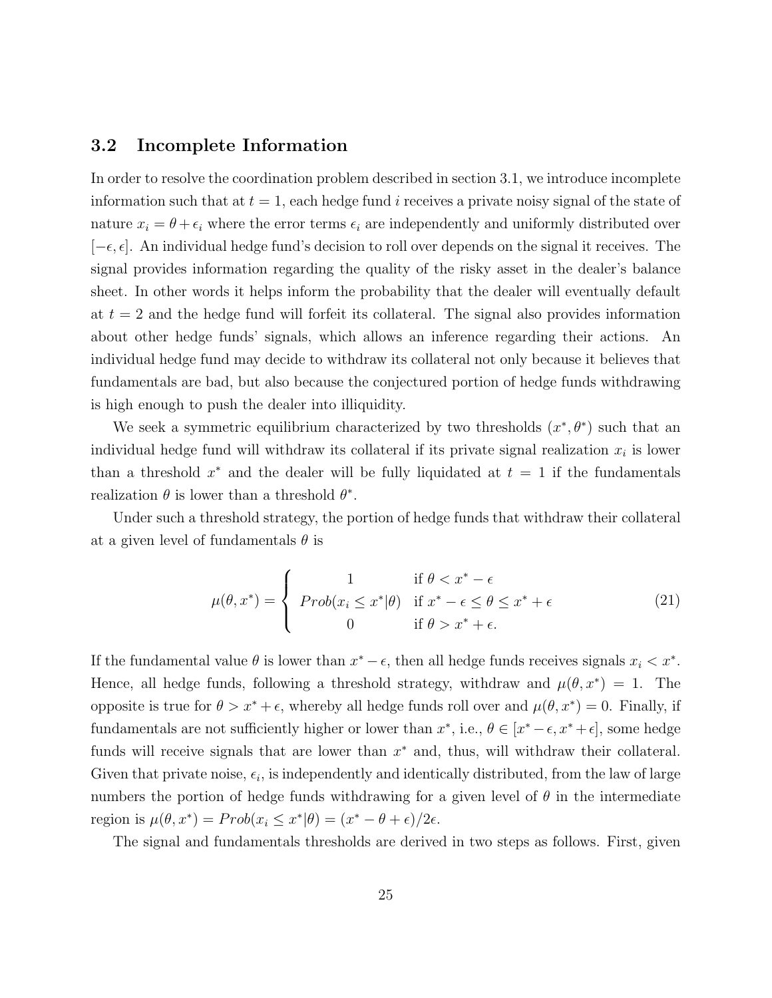### 3.2 Incomplete Information

In order to resolve the coordination problem described in section 3.1, we introduce incomplete information such that at  $t = 1$ , each hedge fund i receives a private noisy signal of the state of nature  $x_i = \theta + \epsilon_i$  where the error terms  $\epsilon_i$  are independently and uniformly distributed over  $[-\epsilon, \epsilon]$ . An individual hedge fund's decision to roll over depends on the signal it receives. The signal provides information regarding the quality of the risky asset in the dealer's balance sheet. In other words it helps inform the probability that the dealer will eventually default at  $t = 2$  and the hedge fund will forfeit its collateral. The signal also provides information about other hedge funds' signals, which allows an inference regarding their actions. An individual hedge fund may decide to withdraw its collateral not only because it believes that fundamentals are bad, but also because the conjectured portion of hedge funds withdrawing is high enough to push the dealer into illiquidity.

We seek a symmetric equilibrium characterized by two thresholds  $(x^*, \theta^*)$  such that an individual hedge fund will withdraw its collateral if its private signal realization  $x_i$  is lower than a threshold  $x^*$  and the dealer will be fully liquidated at  $t = 1$  if the fundamentals realization  $\theta$  is lower than a threshold  $\theta^*$ .

Under such a threshold strategy, the portion of hedge funds that withdraw their collateral at a given level of fundamentals  $\theta$  is

$$
\mu(\theta, x^*) = \begin{cases}\n1 & \text{if } \theta < x^* - \epsilon \\
\text{Prob}(x_i \le x^* | \theta) & \text{if } x^* - \epsilon \le \theta \le x^* + \epsilon \\
0 & \text{if } \theta > x^* + \epsilon.\n\end{cases} \tag{21}
$$

If the fundamental value  $\theta$  is lower than  $x^* - \epsilon$ , then all hedge funds receives signals  $x_i < x^*$ . Hence, all hedge funds, following a threshold strategy, withdraw and  $\mu(\theta, x^*) = 1$ . The opposite is true for  $\theta > x^* + \epsilon$ , whereby all hedge funds roll over and  $\mu(\theta, x^*) = 0$ . Finally, if fundamentals are not sufficiently higher or lower than  $x^*$ , i.e.,  $\theta \in [x^* - \epsilon, x^* + \epsilon]$ , some hedge funds will receive signals that are lower than  $x^*$  and, thus, will withdraw their collateral. Given that private noise,  $\epsilon_i$ , is independently and identically distributed, from the law of large numbers the portion of hedge funds withdrawing for a given level of  $\theta$  in the intermediate region is  $\mu(\theta, x^*) = Prob(x_i \leq x^*|\theta) = (x^* - \theta + \epsilon)/2\epsilon$ .

The signal and fundamentals thresholds are derived in two steps as follows. First, given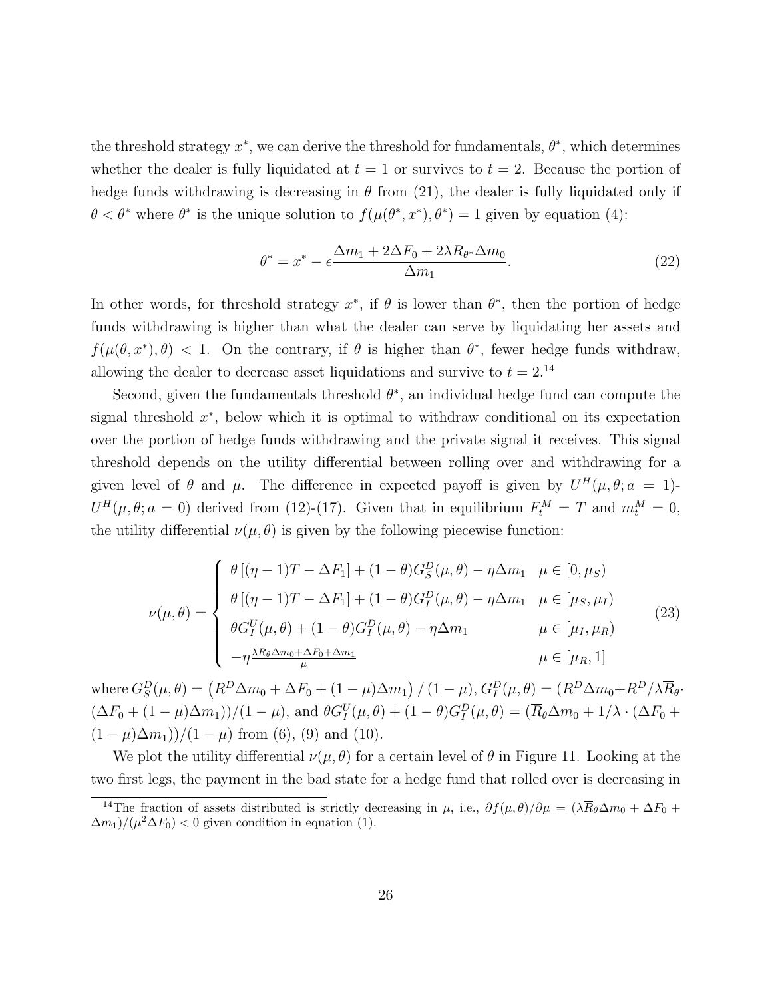the threshold strategy  $x^*$ , we can derive the threshold for fundamentals,  $\theta^*$ , which determines whether the dealer is fully liquidated at  $t = 1$  or survives to  $t = 2$ . Because the portion of hedge funds withdrawing is decreasing in  $\theta$  from (21), the dealer is fully liquidated only if  $\theta < \theta^*$  where  $\theta^*$  is the unique solution to  $f(\mu(\theta^*, x^*), \theta^*) = 1$  given by equation (4):

$$
\theta^* = x^* - \epsilon \frac{\Delta m_1 + 2\Delta F_0 + 2\lambda \overline{R}_{\theta^*} \Delta m_0}{\Delta m_1}.
$$
\n(22)

In other words, for threshold strategy  $x^*$ , if  $\theta$  is lower than  $\theta^*$ , then the portion of hedge funds withdrawing is higher than what the dealer can serve by liquidating her assets and  $f(\mu(\theta, x^*), \theta) < 1$ . On the contrary, if  $\theta$  is higher than  $\theta^*$ , fewer hedge funds withdraw, allowing the dealer to decrease asset liquidations and survive to  $t = 2.14$ 

Second, given the fundamentals threshold  $\theta^*$ , an individual hedge fund can compute the signal threshold  $x^*$ , below which it is optimal to withdraw conditional on its expectation over the portion of hedge funds withdrawing and the private signal it receives. This signal threshold depends on the utility differential between rolling over and withdrawing for a given level of  $\theta$  and  $\mu$ . The difference in expected payoff is given by  $U^H(\mu, \theta; a = 1)$ - $U^H(\mu, \theta; a = 0)$  derived from (12)-(17). Given that in equilibrium  $F_t^M = T$  and  $m_t^M = 0$ , the utility differential  $\nu(\mu, \theta)$  is given by the following piecewise function:

$$
\nu(\mu,\theta) = \begin{cases}\n\theta [(\eta - 1)T - \Delta F_1] + (1 - \theta)G_S^D(\mu,\theta) - \eta \Delta m_1 & \mu \in [0, \mu_S) \\
\theta [(\eta - 1)T - \Delta F_1] + (1 - \theta)G_I^D(\mu,\theta) - \eta \Delta m_1 & \mu \in [\mu_S, \mu_I) \\
\theta G_I^U(\mu,\theta) + (1 - \theta)G_I^D(\mu,\theta) - \eta \Delta m_1 & \mu \in [\mu_I, \mu_R) \\
-\eta \frac{\lambda \overline{R}_{\theta} \Delta m_0 + \Delta F_0 + \Delta m_1}{\mu} & \mu \in [\mu_R, 1]\n\end{cases}
$$
\n(23)

where  $G_S^D(\mu, \theta) = (R^D \Delta m_0 + \Delta F_0 + (1 - \mu) \Delta m_1) / (1 - \mu), G_I^D(\mu, \theta) = (R^D \Delta m_0 + R^D / \lambda \overline{R}_{\theta}$ .  $(\Delta F_0 + (1 - \mu)\Delta m_1)/(1 - \mu)$ , and  $\theta G_I^U(\mu, \theta) + (1 - \theta)G_I^D(\mu, \theta) = (\overline{R}_{\theta}\Delta m_0 + 1/\lambda \cdot (\Delta F_0 +$  $(1 - \mu)\Delta m_1$ )/ $(1 - \mu)$  from (6), (9) and (10).

We plot the utility differential  $\nu(\mu, \theta)$  for a certain level of  $\theta$  in Figure 11. Looking at the two first legs, the payment in the bad state for a hedge fund that rolled over is decreasing in

<sup>&</sup>lt;sup>14</sup>The fraction of assets distributed is strictly decreasing in  $\mu$ , i.e.,  $\partial f(\mu, \theta)/\partial \mu = (\lambda \overline{R}_{\theta} \Delta m_0 + \Delta F_0 +$  $(\Delta m_1)/(\mu^2 \Delta F_0) < 0$  given condition in equation (1).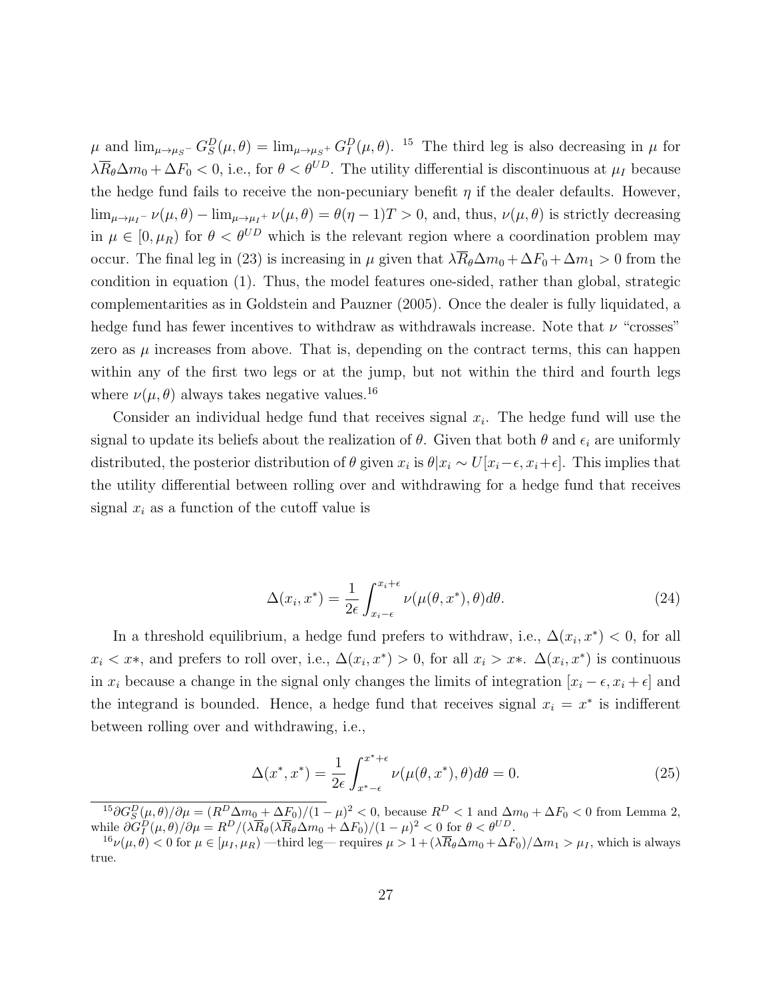$\mu$  and  $\lim_{\mu\to\mu_S^-} G_S^D(\mu,\theta) = \lim_{\mu\to\mu_S^+} G_I^D(\mu,\theta)$ . <sup>15</sup> The third leg is also decreasing in  $\mu$  for  $\lambda \overline{R}_{\theta} \Delta m_0 + \Delta F_0 < 0$ , i.e., for  $\theta < \theta^{UD}$ . The utility differential is discontinuous at  $\mu_I$  because the hedge fund fails to receive the non-pecuniary benefit  $\eta$  if the dealer defaults. However,  $\lim_{\mu\to\mu_I^-}\nu(\mu,\theta)-\lim_{\mu\to\mu_I^+}\nu(\mu,\theta)=\theta(\eta-1)T>0$ , and, thus,  $\nu(\mu,\theta)$  is strictly decreasing in  $\mu \in [0, \mu_R)$  for  $\theta < \theta^{UD}$  which is the relevant region where a coordination problem may occur. The final leg in (23) is increasing in  $\mu$  given that  $\lambda \overline{R}_{\theta} \Delta m_0 + \Delta F_0 + \Delta m_1 > 0$  from the condition in equation (1). Thus, the model features one-sided, rather than global, strategic complementarities as in Goldstein and Pauzner (2005). Once the dealer is fully liquidated, a hedge fund has fewer incentives to withdraw as withdrawals increase. Note that  $\nu$  "crosses" zero as  $\mu$  increases from above. That is, depending on the contract terms, this can happen within any of the first two legs or at the jump, but not within the third and fourth legs where  $\nu(\mu, \theta)$  always takes negative values.<sup>16</sup>

Consider an individual hedge fund that receives signal  $x_i$ . The hedge fund will use the signal to update its beliefs about the realization of  $\theta$ . Given that both  $\theta$  and  $\epsilon_i$  are uniformly distributed, the posterior distribution of  $\theta$  given  $x_i$  is  $\theta | x_i \sim U[x_i - \epsilon, x_i + \epsilon]$ . This implies that the utility differential between rolling over and withdrawing for a hedge fund that receives signal  $x_i$  as a function of the cutoff value is

$$
\Delta(x_i, x^*) = \frac{1}{2\epsilon} \int_{x_i - \epsilon}^{x_i + \epsilon} \nu(\mu(\theta, x^*), \theta) d\theta.
$$
 (24)

In a threshold equilibrium, a hedge fund prefers to withdraw, i.e.,  $\Delta(x_i, x^*)$  < 0, for all  $x_i \leq x^*$ , and prefers to roll over, i.e.,  $\Delta(x_i, x^*) > 0$ , for all  $x_i > x^*$ .  $\Delta(x_i, x^*)$  is continuous in  $x_i$  because a change in the signal only changes the limits of integration  $[x_i - \epsilon, x_i + \epsilon]$  and the integrand is bounded. Hence, a hedge fund that receives signal  $x_i = x^*$  is indifferent between rolling over and withdrawing, i.e.,

$$
\Delta(x^*, x^*) = \frac{1}{2\epsilon} \int_{x^*-\epsilon}^{x^*+\epsilon} \nu(\mu(\theta, x^*), \theta) d\theta = 0.
$$
 (25)

 $15\partial G_S^D(\mu,\theta)/\partial\mu = (R^D\Delta m_0 + \Delta F_0)/(1-\mu)^2 < 0$ , because  $R^D < 1$  and  $\Delta m_0 + \Delta F_0 < 0$  from Lemma 2, while  $\partial G_I^D(\mu, \theta)/\partial \mu = R^D/(\lambda \overline{R}_{\theta}(\lambda \overline{R}_{\theta} \Delta m_0 + \Delta F_0)/(1 - \mu)^2 < 0$  for  $\theta < \theta^{UD}$ .

 $16\nu(\mu,\theta) < 0$  for  $\mu \in [\mu_I,\mu_R)$  —third leg— requires  $\mu > 1 + (\lambda \overline{R}_{\theta} \Delta m_0 + \Delta F_0)/\Delta m_1 > \mu_I$ , which is always true.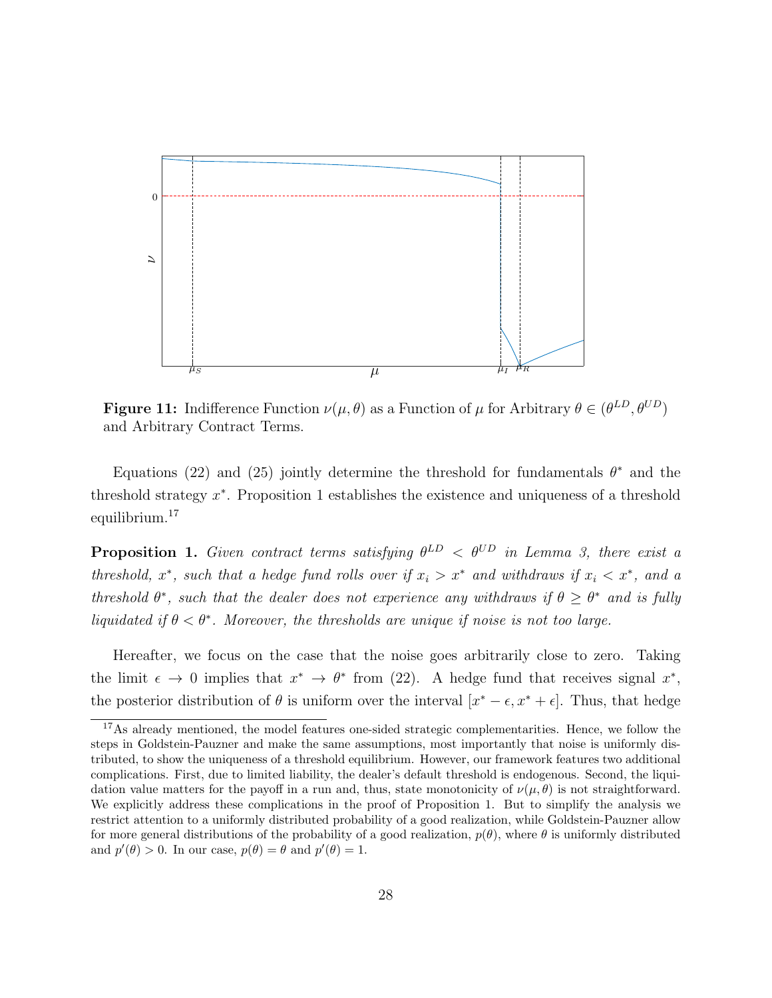

**Figure 11:** Indifference Function  $\nu(\mu, \theta)$  as a Function of  $\mu$  for Arbitrary  $\theta \in (\theta^{LD}, \theta^{UD})$ and Arbitrary Contract Terms.

Equations (22) and (25) jointly determine the threshold for fundamentals  $\theta^*$  and the threshold strategy  $x^*$ . Proposition 1 establishes the existence and uniqueness of a threshold equilibrium.<sup>17</sup>

**Proposition 1.** Given contract terms satisfying  $\theta^{LD} < \theta^{UD}$  in Lemma 3, there exist a threshold,  $x^*$ , such that a hedge fund rolls over if  $x_i > x^*$  and withdraws if  $x_i < x^*$ , and a threshold  $\theta^*$ , such that the dealer does not experience any withdraws if  $\theta \geq \theta^*$  and is fully liquidated if  $\theta < \theta^*$ . Moreover, the thresholds are unique if noise is not too large.

Hereafter, we focus on the case that the noise goes arbitrarily close to zero. Taking the limit  $\epsilon \to 0$  implies that  $x^* \to \theta^*$  from (22). A hedge fund that receives signal  $x^*$ , the posterior distribution of  $\theta$  is uniform over the interval  $[x^* - \epsilon, x^* + \epsilon]$ . Thus, that hedge

<sup>&</sup>lt;sup>17</sup>As already mentioned, the model features one-sided strategic complementarities. Hence, we follow the steps in Goldstein-Pauzner and make the same assumptions, most importantly that noise is uniformly distributed, to show the uniqueness of a threshold equilibrium. However, our framework features two additional complications. First, due to limited liability, the dealer's default threshold is endogenous. Second, the liquidation value matters for the payoff in a run and, thus, state monotonicity of  $\nu(\mu, \theta)$  is not straightforward. We explicitly address these complications in the proof of Proposition 1. But to simplify the analysis we restrict attention to a uniformly distributed probability of a good realization, while Goldstein-Pauzner allow for more general distributions of the probability of a good realization,  $p(\theta)$ , where  $\theta$  is uniformly distributed and  $p'(\theta) > 0$ . In our case,  $p(\theta) = \theta$  and  $p'(\theta) = 1$ .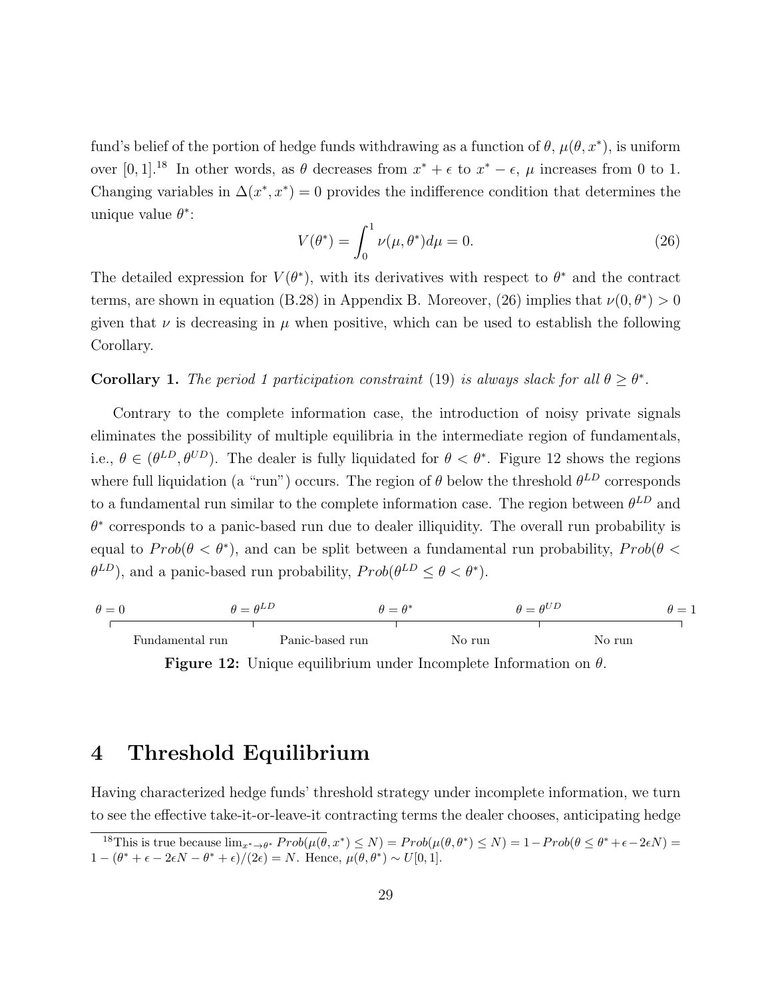fund's belief of the portion of hedge funds withdrawing as a function of  $\theta$ ,  $\mu(\theta, x^*)$ , is uniform over [0, 1].<sup>18</sup> In other words, as  $\theta$  decreases from  $x^* + \epsilon$  to  $x^* - \epsilon$ ,  $\mu$  increases from 0 to 1. Changing variables in  $\Delta(x^*, x^*) = 0$  provides the indifference condition that determines the unique value  $\theta^*$ :

$$
V(\theta^*) = \int_0^1 \nu(\mu, \theta^*) d\mu = 0.
$$
 (26)

The detailed expression for  $V(\theta^*)$ , with its derivatives with respect to  $\theta^*$  and the contract terms, are shown in equation (B.28) in Appendix B. Moreover, (26) implies that  $\nu(0,\theta^*)>0$ given that  $\nu$  is decreasing in  $\mu$  when positive, which can be used to establish the following Corollary.

#### **Corollary 1.** The period 1 participation constraint (19) is always slack for all  $\theta \ge \theta^*$ .

Contrary to the complete information case, the introduction of noisy private signals eliminates the possibility of multiple equilibria in the intermediate region of fundamentals, i.e.,  $\theta \in (\theta^{LD}, \theta^{UD})$ . The dealer is fully liquidated for  $\theta < \theta^*$ . Figure 12 shows the regions where full liquidation (a "run") occurs. The region of  $\theta$  below the threshold  $\theta^{LD}$  corresponds to a fundamental run similar to the complete information case. The region between  $\theta^{LD}$  and  $\theta^*$  corresponds to a panic-based run due to dealer illiquidity. The overall run probability is equal to  $Prob(\theta < \theta^*)$ , and can be split between a fundamental run probability,  $Prob(\theta <$  $(\theta^{LD})$ , and a panic-based run probability,  $Prob(\theta^{LD} \leq \theta < \theta^*)$ .

$$
\theta = \theta^{LD} \qquad \theta = \theta^*
$$
\n
$$
\theta = \theta^{UD} \qquad \theta = 1
$$
\nFundamental run

\nPanic-based run

\nNo run

\nNo run

\nNo run

**Figure 12:** Unique equilibrium under Incomplete Information on  $\theta$ .

# 4 Threshold Equilibrium

Having characterized hedge funds' threshold strategy under incomplete information, we turn to see the effective take-it-or-leave-it contracting terms the dealer chooses, anticipating hedge

<sup>&</sup>lt;sup>18</sup>This is true because  $\lim_{x^* \to \theta^*} Prob(\mu(\theta, x^*) \leq N) = Prob(\mu(\theta, \theta^*) \leq N) = 1 - Prob(\theta \leq \theta^* + \epsilon - 2\epsilon N) =$  $1-(\theta^*+\epsilon-2\epsilon N-\theta^*+\epsilon)/(2\epsilon)=N.$  Hence,  $\mu(\theta,\theta^*)\sim U[0,1].$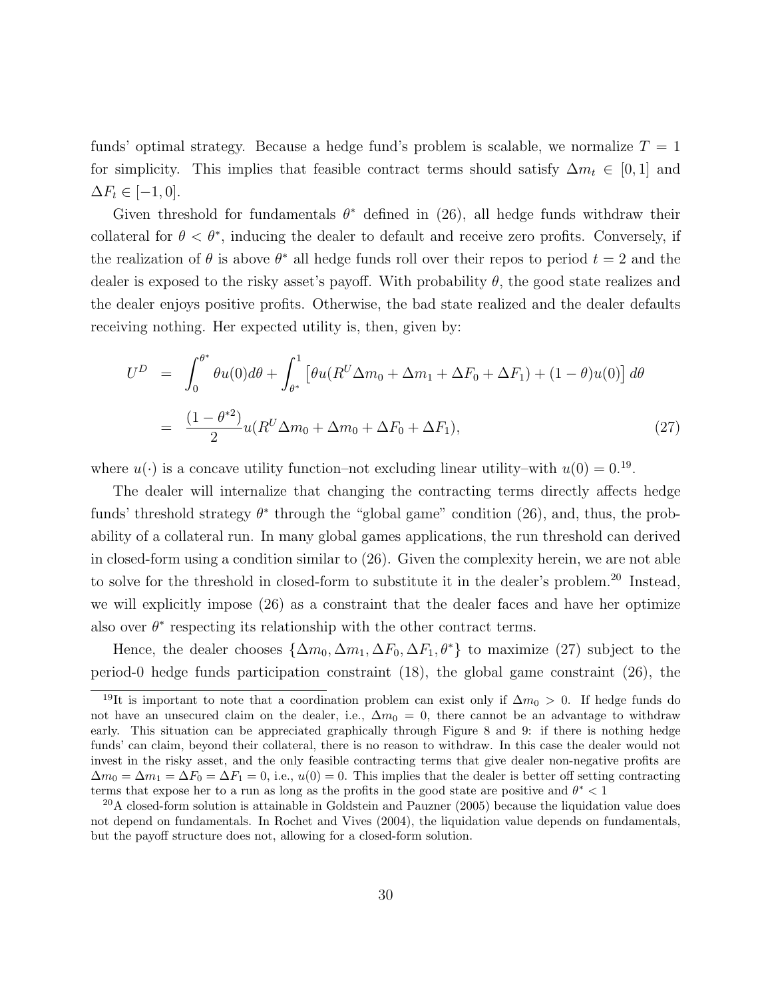funds' optimal strategy. Because a hedge fund's problem is scalable, we normalize  $T = 1$ for simplicity. This implies that feasible contract terms should satisfy  $\Delta m_t \in [0, 1]$  and  $\Delta F_t \in [-1,0].$ 

Given threshold for fundamentals  $\theta^*$  defined in (26), all hedge funds withdraw their collateral for  $\theta < \theta^*$ , inducing the dealer to default and receive zero profits. Conversely, if the realization of  $\theta$  is above  $\theta^*$  all hedge funds roll over their repos to period  $t = 2$  and the dealer is exposed to the risky asset's payoff. With probability  $\theta$ , the good state realizes and the dealer enjoys positive profits. Otherwise, the bad state realized and the dealer defaults receiving nothing. Her expected utility is, then, given by:

$$
U^{D} = \int_{0}^{\theta^{*}} \theta u(0) d\theta + \int_{\theta^{*}}^{1} \left[ \theta u(R^{U} \Delta m_{0} + \Delta m_{1} + \Delta F_{0} + \Delta F_{1}) + (1 - \theta) u(0) \right] d\theta
$$

$$
= \frac{(1 - \theta^{*2})}{2} u(R^{U} \Delta m_{0} + \Delta m_{0} + \Delta F_{0} + \Delta F_{1}), \tag{27}
$$

where  $u(\cdot)$  is a concave utility function–not excluding linear utility–with  $u(0) = 0.19$ .

The dealer will internalize that changing the contracting terms directly affects hedge funds' threshold strategy  $\theta^*$  through the "global game" condition (26), and, thus, the probability of a collateral run. In many global games applications, the run threshold can derived in closed-form using a condition similar to (26). Given the complexity herein, we are not able to solve for the threshold in closed-form to substitute it in the dealer's problem.<sup>20</sup> Instead, we will explicitly impose (26) as a constraint that the dealer faces and have her optimize also over  $\theta^*$  respecting its relationship with the other contract terms.

Hence, the dealer chooses  $\{\Delta m_0, \Delta m_1, \Delta F_0, \Delta F_1, \theta^*\}$  to maximize (27) subject to the period-0 hedge funds participation constraint (18), the global game constraint (26), the

<sup>&</sup>lt;sup>19</sup>It is important to note that a coordination problem can exist only if  $\Delta m_0 > 0$ . If hedge funds do not have an unsecured claim on the dealer, i.e.,  $\Delta m_0 = 0$ , there cannot be an advantage to withdraw early. This situation can be appreciated graphically through Figure 8 and 9: if there is nothing hedge funds' can claim, beyond their collateral, there is no reason to withdraw. In this case the dealer would not invest in the risky asset, and the only feasible contracting terms that give dealer non-negative profits are  $\Delta m_0 = \Delta m_1 = \Delta F_0 = \Delta F_1 = 0$ , i.e.,  $u(0) = 0$ . This implies that the dealer is better off setting contracting terms that expose her to a run as long as the profits in the good state are positive and  $\theta^* < 1$ 

 $^{20}$ A closed-form solution is attainable in Goldstein and Pauzner (2005) because the liquidation value does not depend on fundamentals. In Rochet and Vives (2004), the liquidation value depends on fundamentals, but the payoff structure does not, allowing for a closed-form solution.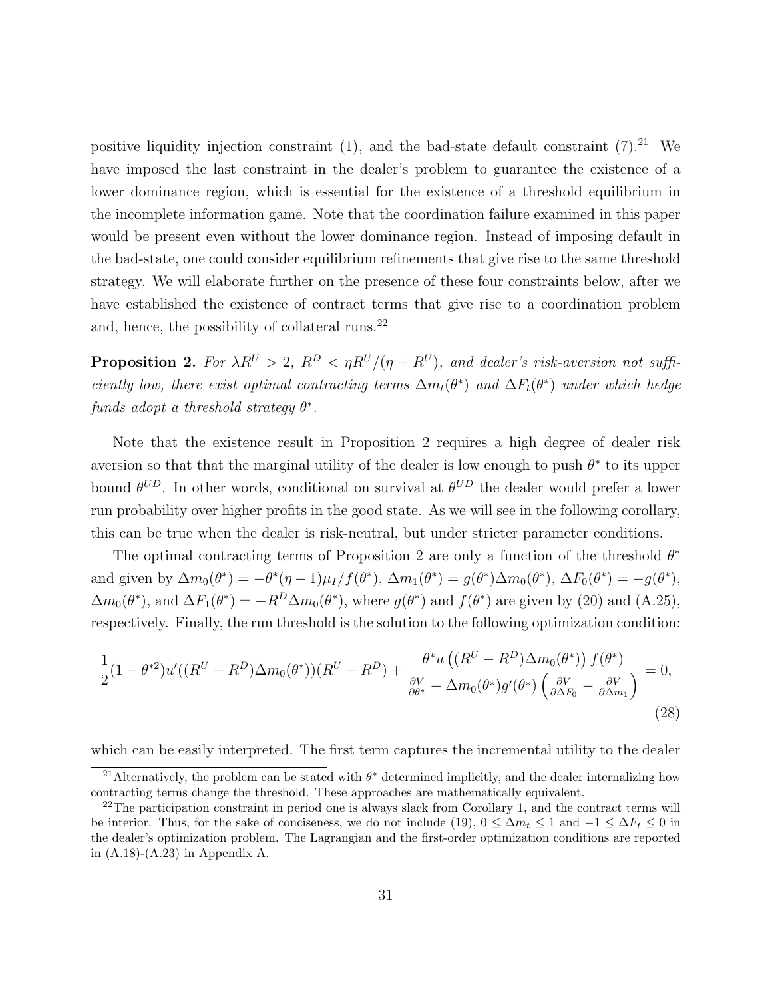positive liquidity injection constraint  $(1)$ , and the bad-state default constraint  $(7).^{21}$  We have imposed the last constraint in the dealer's problem to guarantee the existence of a lower dominance region, which is essential for the existence of a threshold equilibrium in the incomplete information game. Note that the coordination failure examined in this paper would be present even without the lower dominance region. Instead of imposing default in the bad-state, one could consider equilibrium refinements that give rise to the same threshold strategy. We will elaborate further on the presence of these four constraints below, after we have established the existence of contract terms that give rise to a coordination problem and, hence, the possibility of collateral runs.<sup>22</sup>

**Proposition 2.** For  $\lambda R^U > 2$ ,  $R^D < \eta R^U/(\eta + R^U)$ , and dealer's risk-aversion not sufficiently low, there exist optimal contracting terms  $\Delta m_t(\theta^*)$  and  $\Delta F_t(\theta^*)$  under which hedge  $\emph{funds adopt a threshold strategy $\theta^*$}.$ 

Note that the existence result in Proposition 2 requires a high degree of dealer risk aversion so that that the marginal utility of the dealer is low enough to push  $\theta^*$  to its upper bound  $\theta^{UD}$ . In other words, conditional on survival at  $\theta^{UD}$  the dealer would prefer a lower run probability over higher profits in the good state. As we will see in the following corollary, this can be true when the dealer is risk-neutral, but under stricter parameter conditions.

The optimal contracting terms of Proposition 2 are only a function of the threshold  $\theta^*$ and given by  $\Delta m_0(\theta^*) = -\theta^*(\eta - 1)\mu_I/f(\theta^*)$ ,  $\Delta m_1(\theta^*) = g(\theta^*)\Delta m_0(\theta^*)$ ,  $\Delta F_0(\theta^*) = -g(\theta^*)$ ,  $\Delta m_0(\theta^*)$ , and  $\Delta F_1(\theta^*) = -R^D \Delta m_0(\theta^*)$ , where  $g(\theta^*)$  and  $f(\theta^*)$  are given by (20) and (A.25), respectively. Finally, the run threshold is the solution to the following optimization condition:

$$
\frac{1}{2}(1-\theta^{*2})u'((R^U-R^D)\Delta m_0(\theta^*)) (R^U-R^D) + \frac{\theta^* u\left((R^U-R^D)\Delta m_0(\theta^*)\right) f(\theta^*)}{\frac{\partial V}{\partial \theta^*} - \Delta m_0(\theta^*) g'(\theta^*) \left(\frac{\partial V}{\partial \Delta F_0} - \frac{\partial V}{\partial \Delta m_1}\right)} = 0,
$$
\n(28)

which can be easily interpreted. The first term captures the incremental utility to the dealer

<sup>&</sup>lt;sup>21</sup> Alternatively, the problem can be stated with  $\theta^*$  determined implicitly, and the dealer internalizing how contracting terms change the threshold. These approaches are mathematically equivalent.

<sup>&</sup>lt;sup>22</sup>The participation constraint in period one is always slack from Corollary 1, and the contract terms will be interior. Thus, for the sake of conciseness, we do not include (19),  $0 \leq \Delta m_t \leq 1$  and  $-1 \leq \Delta F_t \leq 0$  in the dealer's optimization problem. The Lagrangian and the first-order optimization conditions are reported in (A.18)-(A.23) in Appendix A.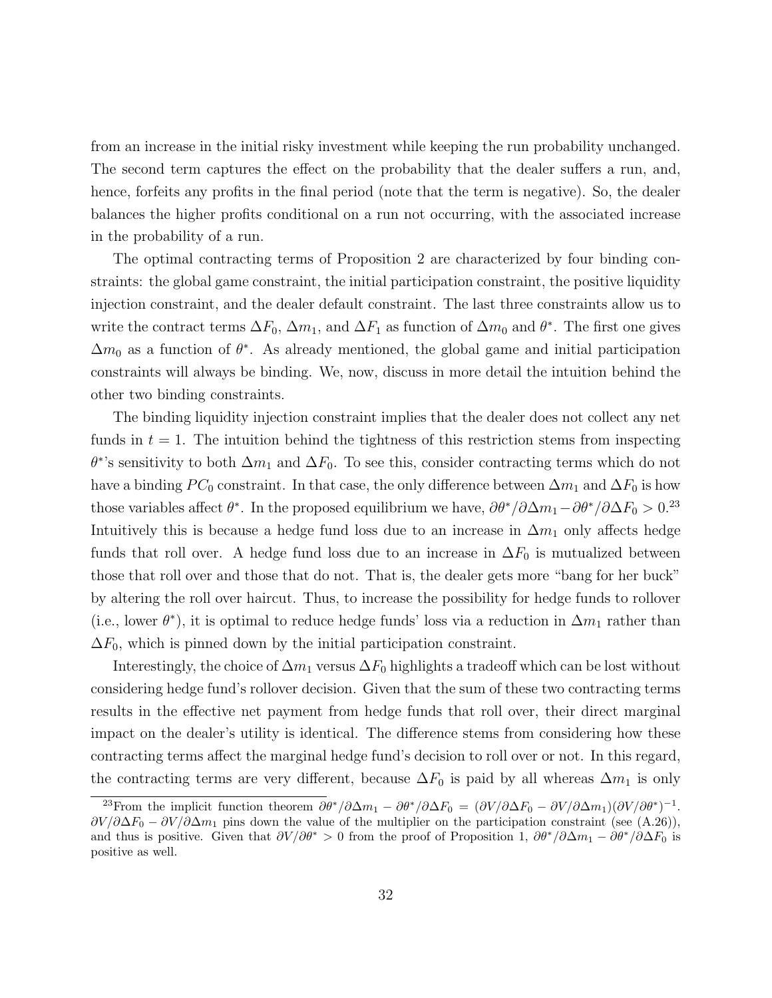from an increase in the initial risky investment while keeping the run probability unchanged. The second term captures the effect on the probability that the dealer suffers a run, and, hence, forfeits any profits in the final period (note that the term is negative). So, the dealer balances the higher profits conditional on a run not occurring, with the associated increase in the probability of a run.

The optimal contracting terms of Proposition 2 are characterized by four binding constraints: the global game constraint, the initial participation constraint, the positive liquidity injection constraint, and the dealer default constraint. The last three constraints allow us to write the contract terms  $\Delta F_0$ ,  $\Delta m_1$ , and  $\Delta F_1$  as function of  $\Delta m_0$  and  $\theta^*$ . The first one gives  $\Delta m_0$  as a function of  $\theta^*$ . As already mentioned, the global game and initial participation constraints will always be binding. We, now, discuss in more detail the intuition behind the other two binding constraints.

The binding liquidity injection constraint implies that the dealer does not collect any net funds in  $t = 1$ . The intuition behind the tightness of this restriction stems from inspecting  $\theta^*$ 's sensitivity to both  $\Delta m_1$  and  $\Delta F_0$ . To see this, consider contracting terms which do not have a binding  $PC_0$  constraint. In that case, the only difference between  $\Delta m_1$  and  $\Delta F_0$  is how those variables affect  $\theta^*$ . In the proposed equilibrium we have,  $\partial\theta^*/\partial\Delta m_1-\partial\theta^*/\partial\Delta F_0 > 0^{23}$ Intuitively this is because a hedge fund loss due to an increase in  $\Delta m_1$  only affects hedge funds that roll over. A hedge fund loss due to an increase in  $\Delta F_0$  is mutualized between those that roll over and those that do not. That is, the dealer gets more "bang for her buck" by altering the roll over haircut. Thus, to increase the possibility for hedge funds to rollover (i.e., lower  $\theta^*$ ), it is optimal to reduce hedge funds' loss via a reduction in  $\Delta m_1$  rather than  $\Delta F_0$ , which is pinned down by the initial participation constraint.

Interestingly, the choice of  $\Delta m_1$  versus  $\Delta F_0$  highlights a tradeoff which can be lost without considering hedge fund's rollover decision. Given that the sum of these two contracting terms results in the effective net payment from hedge funds that roll over, their direct marginal impact on the dealer's utility is identical. The difference stems from considering how these contracting terms affect the marginal hedge fund's decision to roll over or not. In this regard, the contracting terms are very different, because  $\Delta F_0$  is paid by all whereas  $\Delta m_1$  is only

<sup>&</sup>lt;sup>23</sup>From the implicit function theorem  $\partial \theta^* / \partial \Delta m_1 - \partial \theta^* / \partial \Delta F_0 = (\partial V / \partial \Delta F_0 - \partial V / \partial \Delta m_1) (\partial V / \partial \theta^*)^{-1}$ .  $\partial V/\partial \Delta F_0 - \partial V/\partial \Delta m_1$  pins down the value of the multiplier on the participation constraint (see (A.26)), and thus is positive. Given that  $\partial V/\partial \theta^* > 0$  from the proof of Proposition 1,  $\partial \theta^*/\partial \Delta m_1 - \partial \theta^*/\partial \Delta F_0$  is positive as well.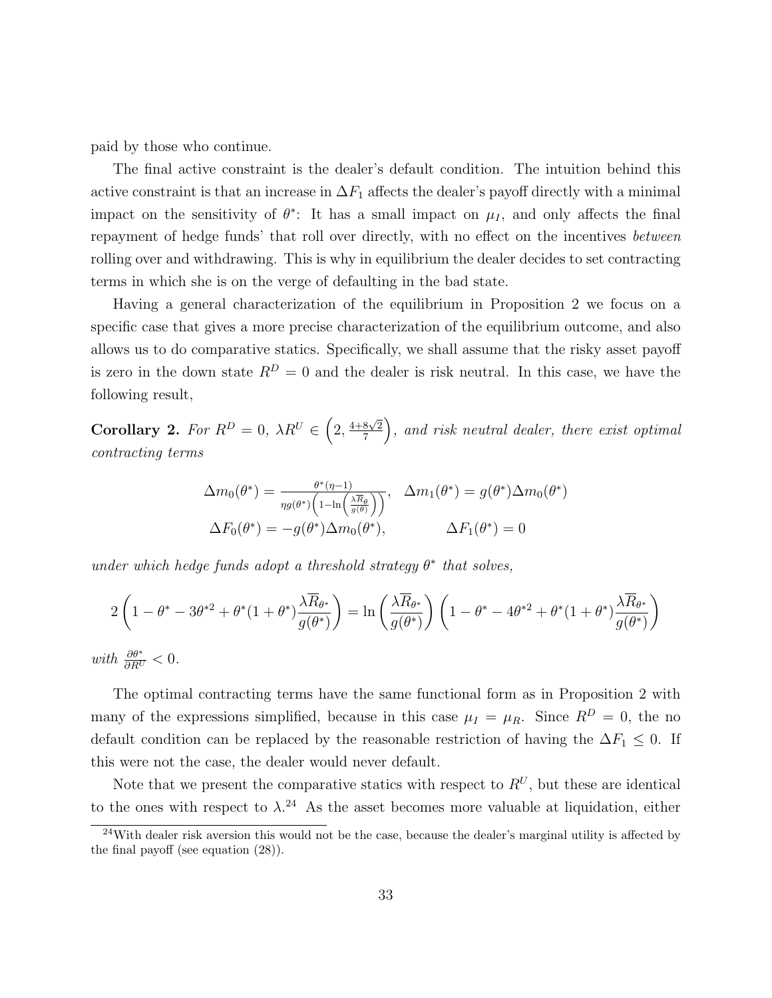paid by those who continue.

The final active constraint is the dealer's default condition. The intuition behind this active constraint is that an increase in  $\Delta F_1$  affects the dealer's payoff directly with a minimal impact on the sensitivity of  $\theta^*$ : It has a small impact on  $\mu_I$ , and only affects the final repayment of hedge funds' that roll over directly, with no effect on the incentives between rolling over and withdrawing. This is why in equilibrium the dealer decides to set contracting terms in which she is on the verge of defaulting in the bad state.

Having a general characterization of the equilibrium in Proposition 2 we focus on a specific case that gives a more precise characterization of the equilibrium outcome, and also allows us to do comparative statics. Specifically, we shall assume that the risky asset payoff is zero in the down state  $R^D = 0$  and the dealer is risk neutral. In this case, we have the following result,

Corollary 2. For  $R^D = 0$ ,  $\lambda R^U \in \left(2, \frac{4+8\sqrt{2}}{7}\right)$ 7 , and risk neutral dealer, there exist optimal contracting terms

$$
\Delta m_0(\theta^*) = \frac{\theta^*(\eta - 1)}{\eta g(\theta^*) \left(1 - \ln\left(\frac{\lambda \overline{R}_{\theta}}{g(\theta)}\right)\right)}, \quad \Delta m_1(\theta^*) = g(\theta^*) \Delta m_0(\theta^*)
$$

$$
\Delta F_0(\theta^*) = -g(\theta^*) \Delta m_0(\theta^*), \qquad \Delta F_1(\theta^*) = 0
$$

under which hedge funds adopt a threshold strategy  $\theta^*$  that solves,

$$
2\left(1-\theta^* - 3\theta^{*2} + \theta^*(1+\theta^*)\frac{\lambda \overline{R}_{\theta^*}}{g(\theta^*)}\right) = \ln\left(\frac{\lambda \overline{R}_{\theta^*}}{g(\theta^*)}\right)\left(1-\theta^* - 4\theta^{*2} + \theta^*(1+\theta^*)\frac{\lambda \overline{R}_{\theta^*}}{g(\theta^*)}\right)
$$

with  $\frac{\partial \theta^*}{\partial R^U} < 0$ .

The optimal contracting terms have the same functional form as in Proposition 2 with many of the expressions simplified, because in this case  $\mu_I = \mu_R$ . Since  $R^D = 0$ , the no default condition can be replaced by the reasonable restriction of having the  $\Delta F_1 \leq 0$ . If this were not the case, the dealer would never default.

Note that we present the comparative statics with respect to  $R^U$ , but these are identical to the ones with respect to  $\lambda$ <sup>24</sup> As the asset becomes more valuable at liquidation, either

 $24$ With dealer risk aversion this would not be the case, because the dealer's marginal utility is affected by the final payoff (see equation (28)).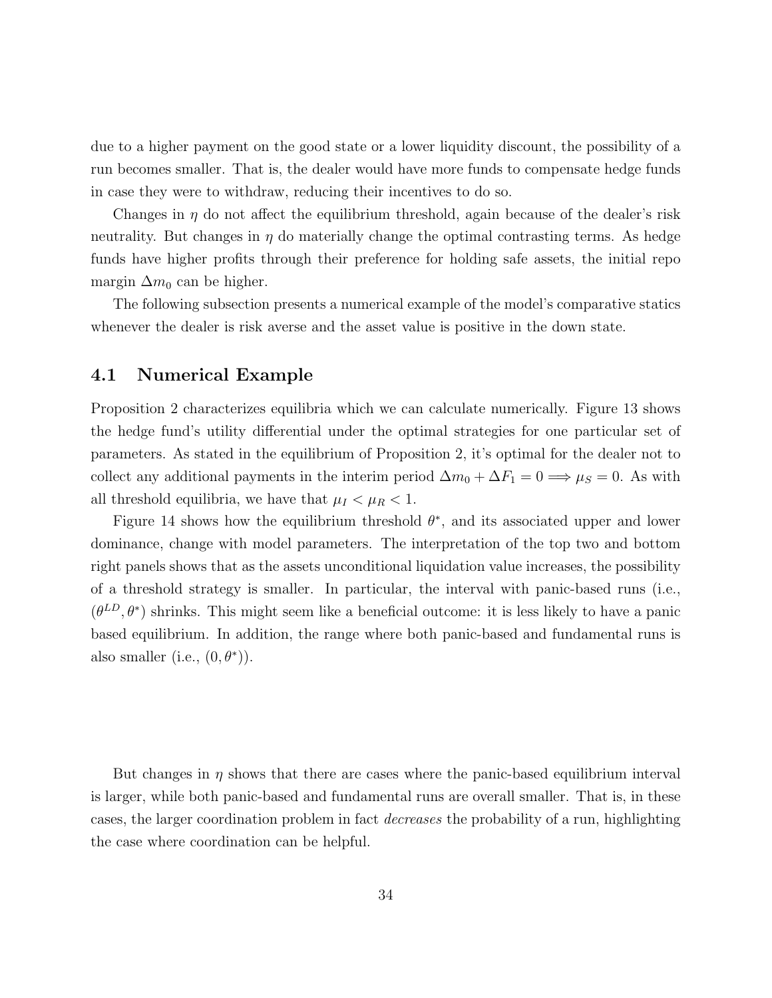due to a higher payment on the good state or a lower liquidity discount, the possibility of a run becomes smaller. That is, the dealer would have more funds to compensate hedge funds in case they were to withdraw, reducing their incentives to do so.

Changes in  $\eta$  do not affect the equilibrium threshold, again because of the dealer's risk neutrality. But changes in  $\eta$  do materially change the optimal contrasting terms. As hedge funds have higher profits through their preference for holding safe assets, the initial repo margin  $\Delta m_0$  can be higher.

The following subsection presents a numerical example of the model's comparative statics whenever the dealer is risk averse and the asset value is positive in the down state.

#### 4.1 Numerical Example

Proposition 2 characterizes equilibria which we can calculate numerically. Figure 13 shows the hedge fund's utility differential under the optimal strategies for one particular set of parameters. As stated in the equilibrium of Proposition 2, it's optimal for the dealer not to collect any additional payments in the interim period  $\Delta m_0 + \Delta F_1 = 0 \implies \mu_S = 0$ . As with all threshold equilibria, we have that  $\mu_I < \mu_R < 1$ .

Figure 14 shows how the equilibrium threshold  $\theta^*$ , and its associated upper and lower dominance, change with model parameters. The interpretation of the top two and bottom right panels shows that as the assets unconditional liquidation value increases, the possibility of a threshold strategy is smaller. In particular, the interval with panic-based runs (i.e.,  $(\theta^{LD}, \theta^*)$  shrinks. This might seem like a beneficial outcome: it is less likely to have a panic based equilibrium. In addition, the range where both panic-based and fundamental runs is also smaller (i.e.,  $(0, \theta^*)$ ).

But changes in  $\eta$  shows that there are cases where the panic-based equilibrium interval is larger, while both panic-based and fundamental runs are overall smaller. That is, in these cases, the larger coordination problem in fact decreases the probability of a run, highlighting the case where coordination can be helpful.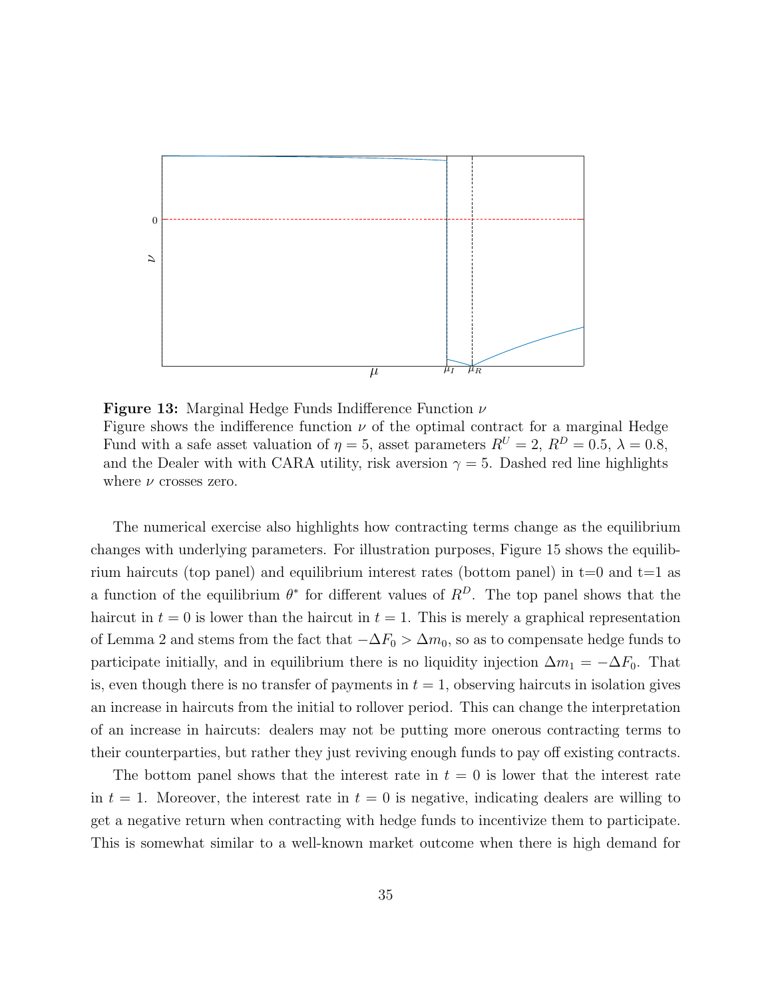

**Figure 13:** Marginal Hedge Funds Indifference Function  $\nu$ Figure shows the indifference function  $\nu$  of the optimal contract for a marginal Hedge Fund with a safe asset valuation of  $\eta = 5$ , asset parameters  $R^U = 2$ ,  $R^D = 0.5$ ,  $\lambda = 0.8$ , and the Dealer with with CARA utility, risk aversion  $\gamma = 5$ . Dashed red line highlights where  $\nu$  crosses zero.

The numerical exercise also highlights how contracting terms change as the equilibrium changes with underlying parameters. For illustration purposes, Figure 15 shows the equilibrium haircuts (top panel) and equilibrium interest rates (bottom panel) in  $t=0$  and  $t=1$  as a function of the equilibrium  $\theta^*$  for different values of  $R^D$ . The top panel shows that the haircut in  $t = 0$  is lower than the haircut in  $t = 1$ . This is merely a graphical representation of Lemma 2 and stems from the fact that  $-\Delta F_0 > \Delta m_0$ , so as to compensate hedge funds to participate initially, and in equilibrium there is no liquidity injection  $\Delta m_1 = -\Delta F_0$ . That is, even though there is no transfer of payments in  $t = 1$ , observing haircuts in isolation gives an increase in haircuts from the initial to rollover period. This can change the interpretation of an increase in haircuts: dealers may not be putting more onerous contracting terms to their counterparties, but rather they just reviving enough funds to pay off existing contracts.

The bottom panel shows that the interest rate in  $t = 0$  is lower that the interest rate in  $t = 1$ . Moreover, the interest rate in  $t = 0$  is negative, indicating dealers are willing to get a negative return when contracting with hedge funds to incentivize them to participate. This is somewhat similar to a well-known market outcome when there is high demand for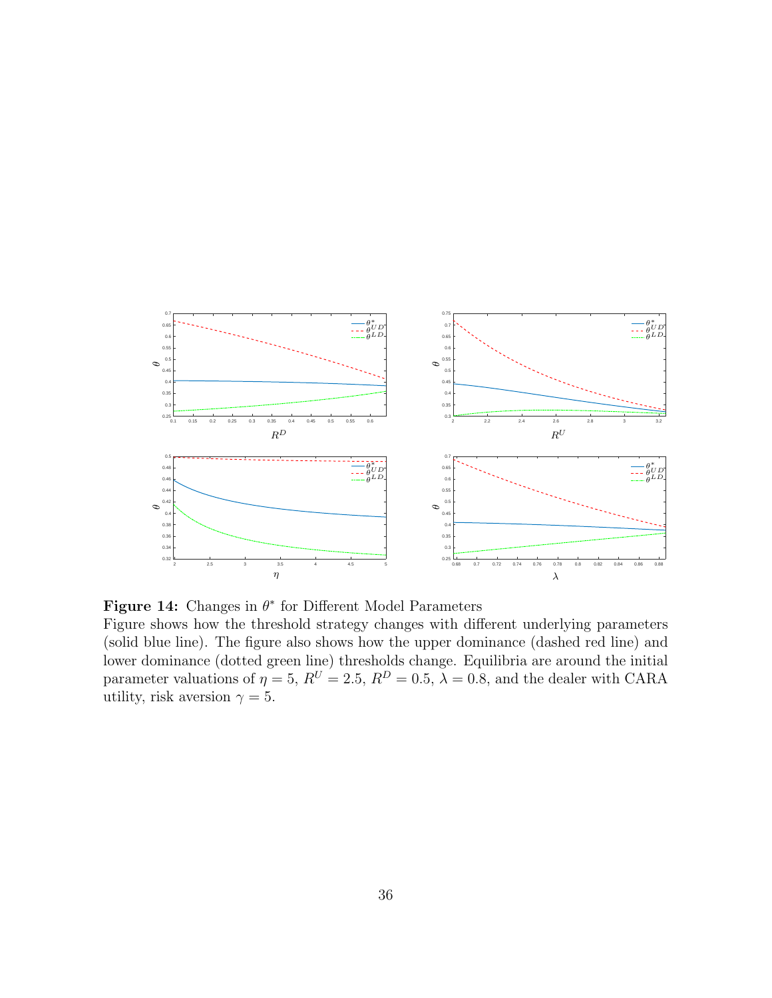

**Figure 14:** Changes in  $\theta^*$  for Different Model Parameters

Figure shows how the threshold strategy changes with different underlying parameters (solid blue line). The figure also shows how the upper dominance (dashed red line) and lower dominance (dotted green line) thresholds change. Equilibria are around the initial parameter valuations of  $\eta = 5$ ,  $R^U = 2.5$ ,  $R^D = 0.5$ ,  $\lambda = 0.8$ , and the dealer with CARA utility, risk aversion  $\gamma = 5$ .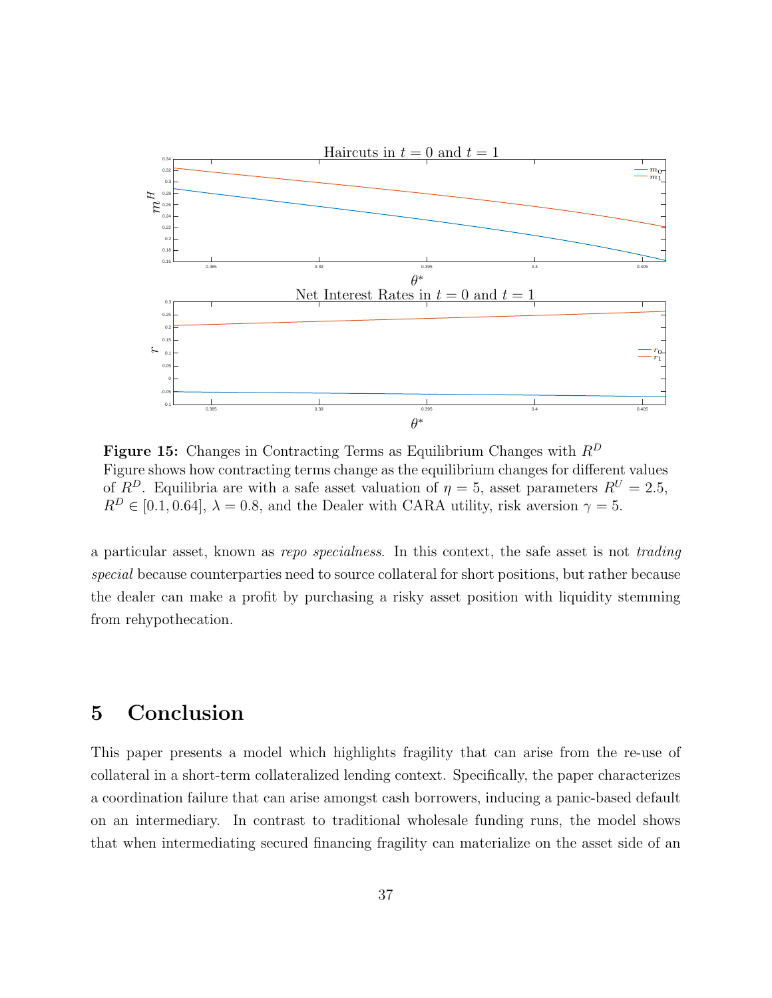

**Figure 15:** Changes in Contracting Terms as Equilibrium Changes with  $R^D$ Figure shows how contracting terms change as the equilibrium changes for different values of  $R^D$ . Equilibria are with a safe asset valuation of  $\eta = 5$ , asset parameters  $R^U = 2.5$ ,  $R^D \in [0.1, 0.64], \lambda = 0.8$ , and the Dealer with CARA utility, risk aversion  $\gamma = 5$ .

a particular asset, known as repo specialness. In this context, the safe asset is not trading special because counterparties need to source collateral for short positions, but rather because the dealer can make a profit by purchasing a risky asset position with liquidity stemming from rehypothecation.

# 5 Conclusion

This paper presents a model which highlights fragility that can arise from the re-use of collateral in a short-term collateralized lending context. Specifically, the paper characterizes a coordination failure that can arise amongst cash borrowers, inducing a panic-based default on an intermediary. In contrast to traditional wholesale funding runs, the model shows that when intermediating secured financing fragility can materialize on the asset side of an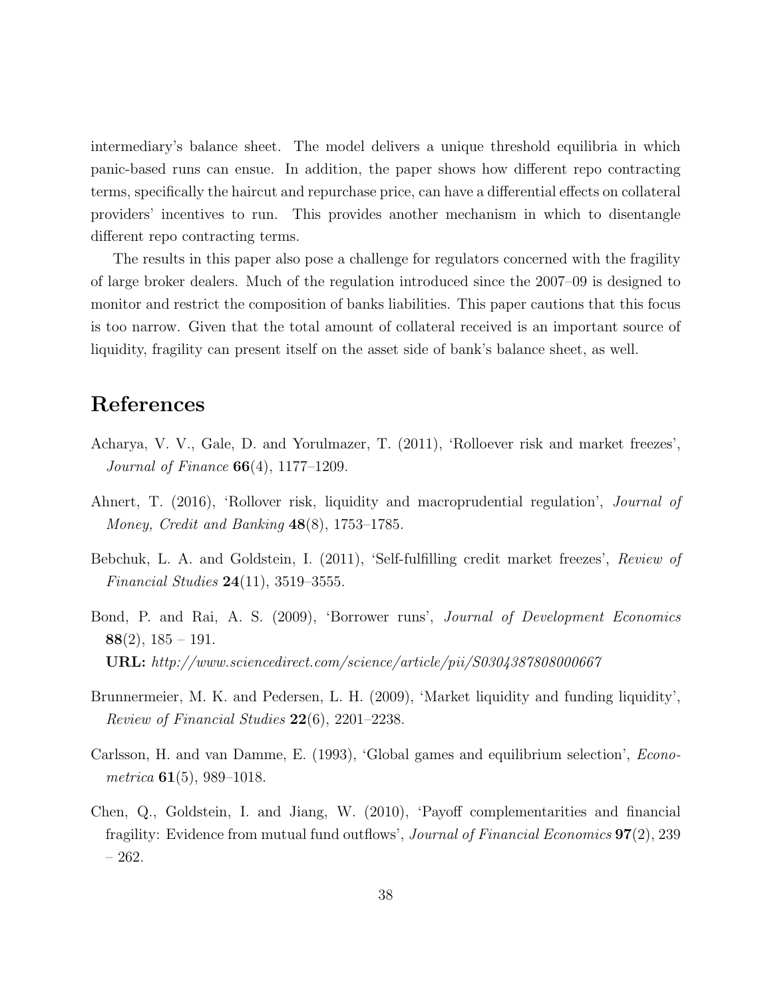intermediary's balance sheet. The model delivers a unique threshold equilibria in which panic-based runs can ensue. In addition, the paper shows how different repo contracting terms, specifically the haircut and repurchase price, can have a differential effects on collateral providers' incentives to run. This provides another mechanism in which to disentangle different repo contracting terms.

The results in this paper also pose a challenge for regulators concerned with the fragility of large broker dealers. Much of the regulation introduced since the 2007–09 is designed to monitor and restrict the composition of banks liabilities. This paper cautions that this focus is too narrow. Given that the total amount of collateral received is an important source of liquidity, fragility can present itself on the asset side of bank's balance sheet, as well.

### References

- Acharya, V. V., Gale, D. and Yorulmazer, T. (2011), 'Rolloever risk and market freezes', Journal of Finance 66(4), 1177–1209.
- Ahnert, T. (2016), 'Rollover risk, liquidity and macroprudential regulation', Journal of Money, Credit and Banking 48(8), 1753–1785.
- Bebchuk, L. A. and Goldstein, I. (2011), 'Self-fulfilling credit market freezes', Review of *Financial Studies*  $24(11)$ , 3519-3555.
- Bond, P. and Rai, A. S. (2009), 'Borrower runs', Journal of Development Economics  $88(2)$ ,  $185 - 191$ . URL: http://www.sciencedirect.com/science/article/pii/S0304387808000667
- Brunnermeier, M. K. and Pedersen, L. H. (2009), 'Market liquidity and funding liquidity', Review of Financial Studies 22(6), 2201–2238.
- Carlsson, H. and van Damme, E. (1993), 'Global games and equilibrium selection', Econometrica  $61(5)$ , 989-1018.
- Chen, Q., Goldstein, I. and Jiang, W. (2010), 'Payoff complementarities and financial fragility: Evidence from mutual fund outflows', Journal of Financial Economics 97(2), 239 – 262.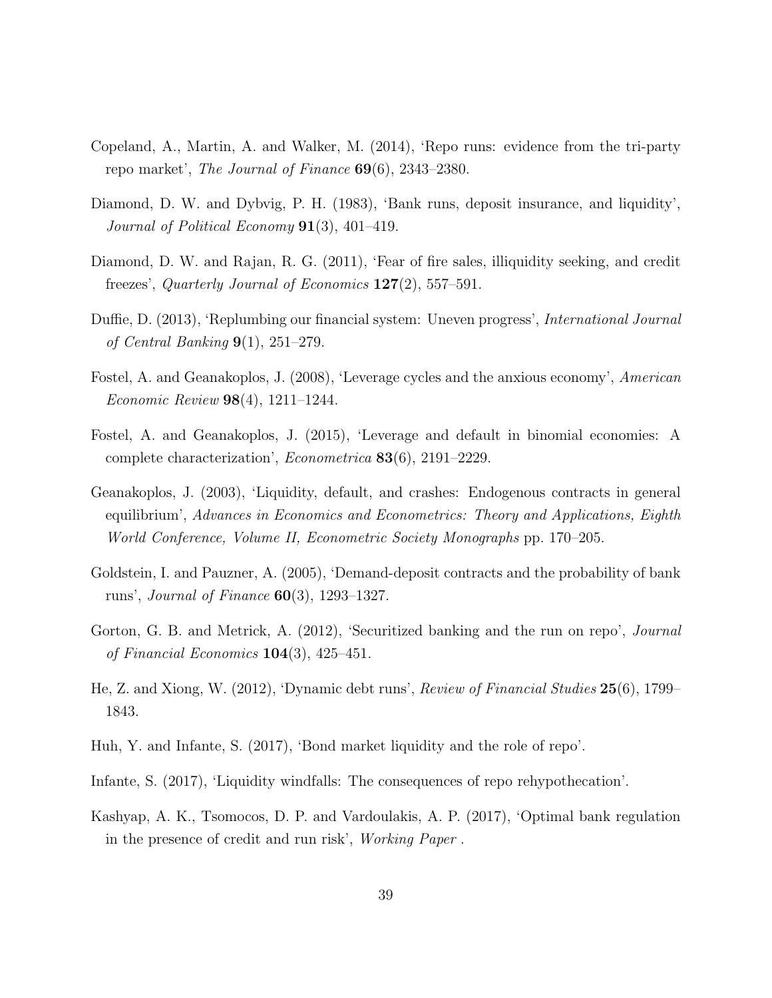- Copeland, A., Martin, A. and Walker, M. (2014), 'Repo runs: evidence from the tri-party repo market', The Journal of Finance 69(6), 2343–2380.
- Diamond, D. W. and Dybvig, P. H. (1983), 'Bank runs, deposit insurance, and liquidity', Journal of Political Economy  $91(3)$ , 401–419.
- Diamond, D. W. and Rajan, R. G. (2011), 'Fear of fire sales, illiquidity seeking, and credit freezes', Quarterly Journal of Economics  $127(2)$ , 557-591.
- Duffie, D. (2013), 'Replumbing our financial system: Uneven progress', International Journal of Central Banking 9(1), 251–279.
- Fostel, A. and Geanakoplos, J. (2008), 'Leverage cycles and the anxious economy', American Economic Review 98(4), 1211–1244.
- Fostel, A. and Geanakoplos, J. (2015), 'Leverage and default in binomial economies: A complete characterization', Econometrica 83(6), 2191–2229.
- Geanakoplos, J. (2003), 'Liquidity, default, and crashes: Endogenous contracts in general equilibrium', Advances in Economics and Econometrics: Theory and Applications, Eighth World Conference, Volume II, Econometric Society Monographs pp. 170–205.
- Goldstein, I. and Pauzner, A. (2005), 'Demand-deposit contracts and the probability of bank runs', Journal of Finance 60(3), 1293–1327.
- Gorton, G. B. and Metrick, A. (2012), 'Securitized banking and the run on repo', *Journal* of Financial Economics 104(3), 425–451.
- He, Z. and Xiong, W. (2012), 'Dynamic debt runs', Review of Financial Studies 25(6), 1799– 1843.
- Huh, Y. and Infante, S. (2017), 'Bond market liquidity and the role of repo'.
- Infante, S. (2017), 'Liquidity windfalls: The consequences of repo rehypothecation'.
- Kashyap, A. K., Tsomocos, D. P. and Vardoulakis, A. P. (2017), 'Optimal bank regulation in the presence of credit and run risk', Working Paper .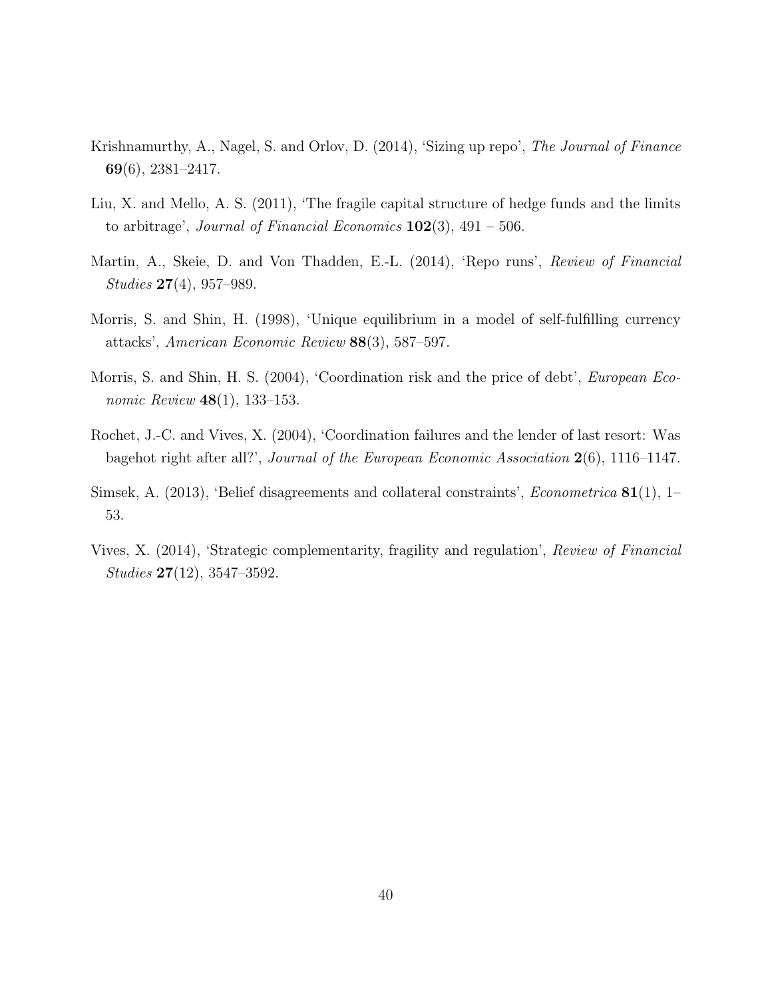- Krishnamurthy, A., Nagel, S. and Orlov, D. (2014), 'Sizing up repo', The Journal of Finance 69(6), 2381–2417.
- Liu, X. and Mello, A. S. (2011), 'The fragile capital structure of hedge funds and the limits to arbitrage', Journal of Financial Economics  $102(3)$ , 491 – 506.
- Martin, A., Skeie, D. and Von Thadden, E.-L. (2014), 'Repo runs', Review of Financial Studies 27(4), 957–989.
- Morris, S. and Shin, H. (1998), 'Unique equilibrium in a model of self-fulfilling currency attacks', American Economic Review 88(3), 587–597.
- Morris, S. and Shin, H. S. (2004), 'Coordination risk and the price of debt', European Economic Review **48**(1), 133–153.
- Rochet, J.-C. and Vives, X. (2004), 'Coordination failures and the lender of last resort: Was bagehot right after all?', Journal of the European Economic Association 2(6), 1116-1147.
- Simsek, A. (2013), 'Belief disagreements and collateral constraints', Econometrica 81(1), 1– 53.
- Vives, X. (2014), 'Strategic complementarity, fragility and regulation', Review of Financial Studies 27(12), 3547–3592.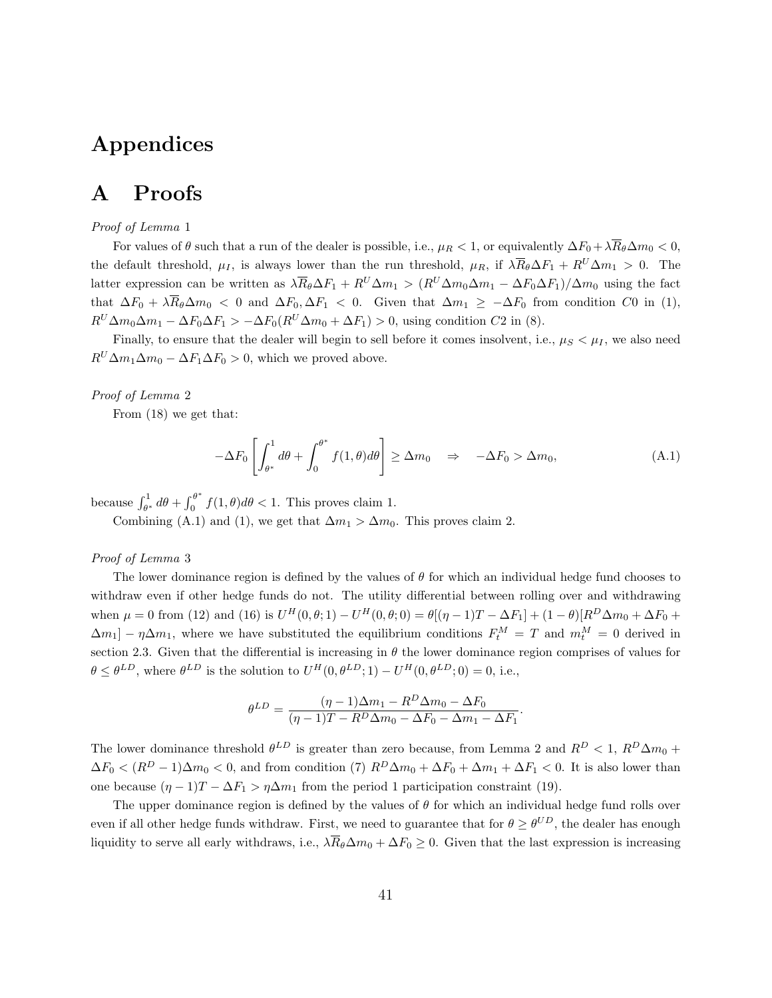# Appendices

# A Proofs

#### Proof of Lemma 1

For values of  $\theta$  such that a run of the dealer is possible, i.e.,  $\mu_R < 1$ , or equivalently  $\Delta F_0 + \lambda \overline{R}_{\theta} \Delta m_0 < 0$ , the default threshold,  $\mu_I$ , is always lower than the run threshold,  $\mu_R$ , if  $\lambda \overline{R}_{\theta} \Delta F_1 + R^U \Delta m_1 > 0$ . The latter expression can be written as  $\lambda \overline{R}_{\theta} \Delta F_1 + R^U \Delta m_1 > (R^U \Delta m_0 \Delta m_1 - \Delta F_0 \Delta F_1)/\Delta m_0$  using the fact that  $\Delta F_0 + \lambda \overline{R}_{\theta} \Delta m_0 < 0$  and  $\Delta F_0, \Delta F_1 < 0$ . Given that  $\Delta m_1 \geq -\Delta F_0$  from condition C0 in (1),  $R^U\Delta m_0\Delta m_1 - \Delta F_0\Delta F_1 > -\Delta F_0(R^U\Delta m_0 + \Delta F_1) > 0$ , using condition C2 in (8).

Finally, to ensure that the dealer will begin to sell before it comes insolvent, i.e.,  $\mu_S < \mu_I$ , we also need  $R^U\Delta m_1\Delta m_0 - \Delta F_1\Delta F_0 > 0$ , which we proved above.

#### Proof of Lemma 2

From (18) we get that:

$$
-\Delta F_0 \left[ \int_{\theta^*}^1 d\theta + \int_0^{\theta^*} f(1,\theta) d\theta \right] \ge \Delta m_0 \quad \Rightarrow \quad -\Delta F_0 > \Delta m_0,
$$
\n(A.1)

because  $\int_{\theta^*}^1 d\theta + \int_0^{\theta^*}$  $\int_0^b f(1,\theta)d\theta < 1$ . This proves claim 1.

Combining (A.1) and (1), we get that  $\Delta m_1 > \Delta m_0$ . This proves claim 2.

#### Proof of Lemma 3

The lower dominance region is defined by the values of  $\theta$  for which an individual hedge fund chooses to withdraw even if other hedge funds do not. The utility differential between rolling over and withdrawing when  $\mu = 0$  from (12) and (16) is  $U^H(0, \theta; 1) - U^H(0, \theta; 0) = \theta[(\eta - 1)T - \Delta F_1] + (1 - \theta)[R^D \Delta m_0 + \Delta F_0 +$  $\Delta m_1$ ] –  $\eta \Delta m_1$ , where we have substituted the equilibrium conditions  $F_t^M = T$  and  $m_t^M = 0$  derived in section 2.3. Given that the differential is increasing in  $\theta$  the lower dominance region comprises of values for  $\theta \le \theta^{LD}$ , where  $\theta^{LD}$  is the solution to  $U^H(0, \theta^{LD}; 1) - U^H(0, \theta^{LD}; 0) = 0$ , i.e.,

$$
\theta^{LD} = \frac{(\eta - 1)\Delta m_1 - R^D \Delta m_0 - \Delta F_0}{(\eta - 1)T - R^D \Delta m_0 - \Delta F_0 - \Delta m_1 - \Delta F_1}.
$$

The lower dominance threshold  $\theta^{LD}$  is greater than zero because, from Lemma 2 and  $R^D < 1$ ,  $R^D \Delta m_0 +$  $\Delta F_0 < (R^D - 1)\Delta m_0 < 0$ , and from condition (7)  $R^D \Delta m_0 + \Delta F_0 + \Delta m_1 + \Delta F_1 < 0$ . It is also lower than one because  $(\eta - 1)T - \Delta F_1 > \eta \Delta m_1$  from the period 1 participation constraint (19).

The upper dominance region is defined by the values of  $\theta$  for which an individual hedge fund rolls over even if all other hedge funds withdraw. First, we need to guarantee that for  $\theta \ge \theta^{UD}$ , the dealer has enough liquidity to serve all early withdraws, i.e.,  $\lambda \overline{R}_{\theta} \Delta m_0 + \Delta F_0 \geq 0$ . Given that the last expression is increasing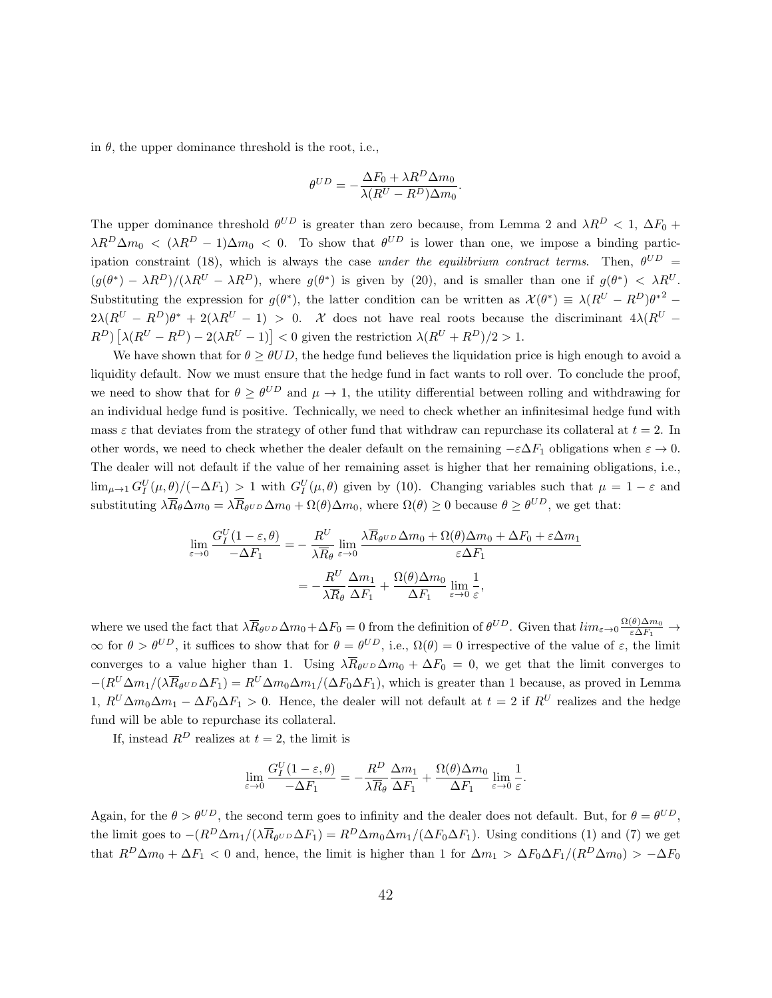in  $\theta$ , the upper dominance threshold is the root, i.e.,

$$
\theta^{UD} = -\frac{\Delta F_0 + \lambda R^D \Delta m_0}{\lambda (R^U - R^D) \Delta m_0}.
$$

The upper dominance threshold  $\theta^{UD}$  is greater than zero because, from Lemma 2 and  $\lambda R^D < 1$ ,  $\Delta F_0 +$  $\lambda R^D \Delta m_0 < (\lambda R^D - 1) \Delta m_0 < 0$ . To show that  $\theta^{UD}$  is lower than one, we impose a binding participation constraint (18), which is always the case under the equilibrium contract terms. Then,  $\theta^{UD}$  =  $(g(\theta^*) - \lambda R^D)/(\lambda R^U - \lambda R^D)$ , where  $g(\theta^*)$  is given by (20), and is smaller than one if  $g(\theta^*) < \lambda R^U$ . Substituting the expression for  $g(\theta^*)$ , the latter condition can be written as  $\mathcal{X}(\theta^*) \equiv \lambda (R^U - R^D) \theta^{*2}$  $2\lambda(R^U - R^D)\theta^* + 2(\lambda R^U - 1) > 0$ . X does not have real roots because the discriminant  $4\lambda(R^U - 1)$  $(R^D) \left[ \lambda (R^U - R^D) - 2(\lambda R^U - 1) \right] < 0$  given the restriction  $\lambda (R^U + R^D)/2 > 1$ .

We have shown that for  $\theta > \theta UD$ , the hedge fund believes the liquidation price is high enough to avoid a liquidity default. Now we must ensure that the hedge fund in fact wants to roll over. To conclude the proof, we need to show that for  $\theta \geq \theta^{UD}$  and  $\mu \to 1$ , the utility differential between rolling and withdrawing for an individual hedge fund is positive. Technically, we need to check whether an infinitesimal hedge fund with mass  $\varepsilon$  that deviates from the strategy of other fund that withdraw can repurchase its collateral at  $t = 2$ . In other words, we need to check whether the dealer default on the remaining  $-\varepsilon\Delta F_1$  obligations when  $\varepsilon \to 0$ . The dealer will not default if the value of her remaining asset is higher that her remaining obligations, i.e.,  $\lim_{\mu\to 1} G_I^U(\mu,\theta)/(-\Delta F_1) > 1$  with  $G_I^U(\mu,\theta)$  given by (10). Changing variables such that  $\mu = 1 - \varepsilon$  and substituting  $\lambda \overline{R}_{\theta} \Delta m_0 = \lambda \overline{R}_{\theta^{UD}} \Delta m_0 + \Omega(\theta) \Delta m_0$ , where  $\Omega(\theta) \ge 0$  because  $\theta \ge \theta^{UD}$ , we get that:

$$
\lim_{\varepsilon \to 0} \frac{G_I^U (1 - \varepsilon, \theta)}{-\Delta F_1} = -\frac{R^U}{\lambda \overline{R}_{\theta}} \lim_{\varepsilon \to 0} \frac{\lambda \overline{R}_{\theta^{UD}} \Delta m_0 + \Omega(\theta) \Delta m_0 + \Delta F_0 + \varepsilon \Delta m_1}{\varepsilon \Delta F_1}
$$

$$
= -\frac{R^U}{\lambda \overline{R}_{\theta}} \frac{\Delta m_1}{\Delta F_1} + \frac{\Omega(\theta) \Delta m_0}{\Delta F_1} \lim_{\varepsilon \to 0} \frac{1}{\varepsilon},
$$

where we used the fact that  $\lambda \overline{R}_{\theta^{UD}} \Delta m_0 + \Delta F_0 = 0$  from the definition of  $\theta^{UD}$ . Given that  $\lim_{\varepsilon \to 0} \frac{\Omega(\theta) \Delta m_0}{\varepsilon \Delta F_1} \to$  $\infty$  for  $\theta > \theta^{UD}$ , it suffices to show that for  $\theta = \theta^{UD}$ , i.e.,  $\Omega(\theta) = 0$  irrespective of the value of  $\varepsilon$ , the limit converges to a value higher than 1. Using  $\lambda \overline{R}_{\theta^{UD}} \Delta m_0 + \Delta F_0 = 0$ , we get that the limit converges to  $-(R^U\Delta m_1/(\lambda \overline{R}_{\theta^{UD}}\Delta F_1) = R^U\Delta m_0\Delta m_1/(\Delta F_0\Delta F_1)$ , which is greater than 1 because, as proved in Lemma 1,  $R^U \Delta m_0 \Delta m_1 - \Delta F_0 \Delta F_1 > 0$ . Hence, the dealer will not default at  $t = 2$  if  $R^U$  realizes and the hedge fund will be able to repurchase its collateral.

If, instead  $R^D$  realizes at  $t = 2$ , the limit is

$$
\lim_{\varepsilon \to 0} \frac{G_I^U(1-\varepsilon,\theta)}{-\Delta F_1} = -\frac{R^D}{\lambda \overline{R}_{\theta}} \frac{\Delta m_1}{\Delta F_1} + \frac{\Omega(\theta)\Delta m_0}{\Delta F_1} \lim_{\varepsilon \to 0} \frac{1}{\varepsilon}.
$$

Again, for the  $\theta > \theta^{UD}$ , the second term goes to infinity and the dealer does not default. But, for  $\theta = \theta^{UD}$ , the limit goes to  $-(R^D\Delta m_1/(\lambda \overline{R}_{\theta^{UD}}\Delta F_1) = R^D\Delta m_0\Delta m_1/(\Delta F_0\Delta F_1)$ . Using conditions (1) and (7) we get that  $R^D\Delta m_0 + \Delta F_1 < 0$  and, hence, the limit is higher than 1 for  $\Delta m_1 > \Delta F_0 \Delta F_1/(R^D\Delta m_0) > -\Delta F_0$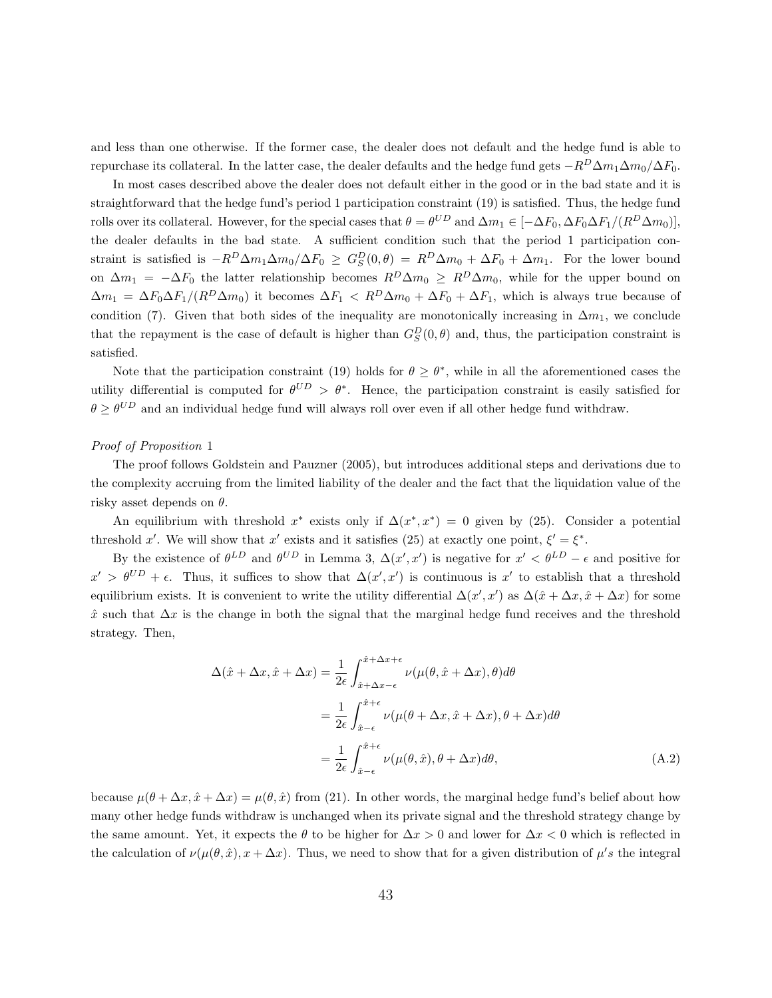and less than one otherwise. If the former case, the dealer does not default and the hedge fund is able to repurchase its collateral. In the latter case, the dealer defaults and the hedge fund gets  $-R^D\Delta m_1\Delta m_0/\Delta F_0$ .

In most cases described above the dealer does not default either in the good or in the bad state and it is straightforward that the hedge fund's period 1 participation constraint (19) is satisfied. Thus, the hedge fund rolls over its collateral. However, for the special cases that  $\theta = \theta^{UD}$  and  $\Delta m_1 \in [-\Delta F_0, \Delta F_0 \Delta F_1/(R^D \Delta m_0)],$ the dealer defaults in the bad state. A sufficient condition such that the period 1 participation constraint is satisfied is  $-R^D\Delta m_1\Delta m_0/\Delta F_0 \geq G_S^D(0,\theta) = R^D\Delta m_0 + \Delta F_0 + \Delta m_1$ . For the lower bound on  $\Delta m_1 = -\Delta F_0$  the latter relationship becomes  $R^D \Delta m_0 \geq R^D \Delta m_0$ , while for the upper bound on  $\Delta m_1 = \Delta F_0 \Delta F_1/(R^D \Delta m_0)$  it becomes  $\Delta F_1 < R^D \Delta m_0 + \Delta F_0 + \Delta F_1$ , which is always true because of condition (7). Given that both sides of the inequality are monotonically increasing in  $\Delta m_1$ , we conclude that the repayment is the case of default is higher than  $G_S^D(0, \theta)$  and, thus, the participation constraint is satisfied.

Note that the participation constraint (19) holds for  $\theta \geq \theta^*$ , while in all the aforementioned cases the utility differential is computed for  $\theta^{UD} > \theta^*$ . Hence, the participation constraint is easily satisfied for  $\theta \ge \theta^{UD}$  and an individual hedge fund will always roll over even if all other hedge fund withdraw.

#### Proof of Proposition 1

The proof follows Goldstein and Pauzner (2005), but introduces additional steps and derivations due to the complexity accruing from the limited liability of the dealer and the fact that the liquidation value of the risky asset depends on  $\theta$ .

An equilibrium with threshold x<sup>\*</sup> exists only if  $\Delta(x^*,x^*)=0$  given by (25). Consider a potential threshold x'. We will show that x' exists and it satisfies (25) at exactly one point,  $\xi' = \xi^*$ .

By the existence of  $\theta^{LD}$  and  $\theta^{UD}$  in Lemma 3,  $\Delta(x', x')$  is negative for  $x' < \theta^{LD} - \epsilon$  and positive for  $x' > \theta^{UD} + \epsilon$ . Thus, it suffices to show that  $\Delta(x', x')$  is continuous is x' to establish that a threshold equilibrium exists. It is convenient to write the utility differential  $\Delta(x', x')$  as  $\Delta(\hat{x} + \Delta x, \hat{x} + \Delta x)$  for some  $\hat{x}$  such that  $\Delta x$  is the change in both the signal that the marginal hedge fund receives and the threshold strategy. Then,

$$
\Delta(\hat{x} + \Delta x, \hat{x} + \Delta x) = \frac{1}{2\epsilon} \int_{\hat{x} + \Delta x - \epsilon}^{\hat{x} + \Delta x + \epsilon} \nu(\mu(\theta, \hat{x} + \Delta x), \theta) d\theta
$$
  

$$
= \frac{1}{2\epsilon} \int_{\hat{x} - \epsilon}^{\hat{x} + \epsilon} \nu(\mu(\theta + \Delta x, \hat{x} + \Delta x), \theta + \Delta x) d\theta
$$
  

$$
= \frac{1}{2\epsilon} \int_{\hat{x} - \epsilon}^{\hat{x} + \epsilon} \nu(\mu(\theta, \hat{x}), \theta + \Delta x) d\theta,
$$
 (A.2)

because  $\mu(\theta + \Delta x, \hat{x} + \Delta x) = \mu(\theta, \hat{x})$  from (21). In other words, the marginal hedge fund's belief about how many other hedge funds withdraw is unchanged when its private signal and the threshold strategy change by the same amount. Yet, it expects the  $\theta$  to be higher for  $\Delta x > 0$  and lower for  $\Delta x < 0$  which is reflected in the calculation of  $\nu(\mu(\theta, \hat{x}), x + \Delta x)$ . Thus, we need to show that for a given distribution of  $\mu$ 's the integral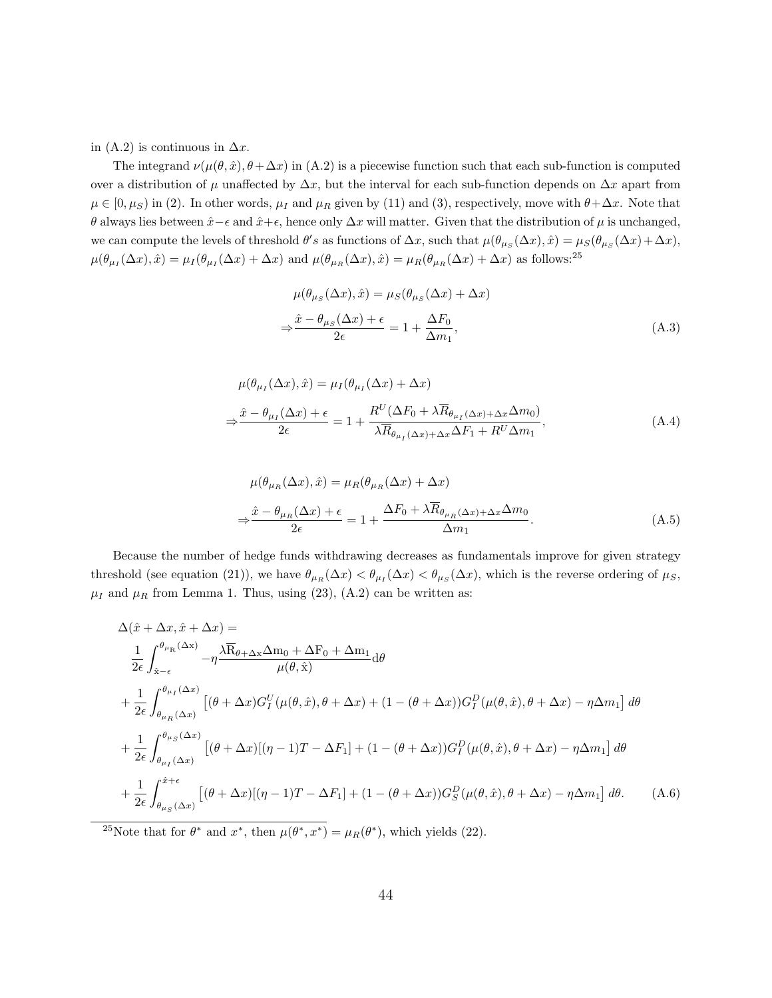in (A.2) is continuous in  $\Delta x$ .

The integrand  $\nu(\mu(\theta, \hat{x}), \theta + \Delta x)$  in (A.2) is a piecewise function such that each sub-function is computed over a distribution of  $\mu$  unaffected by  $\Delta x$ , but the interval for each sub-function depends on  $\Delta x$  apart from  $\mu \in [0, \mu_S)$  in (2). In other words,  $\mu_I$  and  $\mu_R$  given by (11) and (3), respectively, move with  $\theta + \Delta x$ . Note that θ always lies between  $\hat{x} - \epsilon$  and  $\hat{x} + \epsilon$ , hence only  $\Delta x$  will matter. Given that the distribution of  $\mu$  is unchanged, we can compute the levels of threshold  $\theta's$  as functions of  $\Delta x$ , such that  $\mu(\theta_{\mu s}(\Delta x), \hat{x}) = \mu_S(\theta_{\mu s}(\Delta x) + \Delta x)$ ,  $\mu(\theta_{\mu_I}(\Delta x), \hat{x}) = \mu_I(\theta_{\mu_I}(\Delta x) + \Delta x)$  and  $\mu(\theta_{\mu_R}(\Delta x), \hat{x}) = \mu_R(\theta_{\mu_R}(\Delta x) + \Delta x)$  as follows:<sup>25</sup>

$$
\mu(\theta_{\mu_S}(\Delta x), \hat{x}) = \mu_S(\theta_{\mu_S}(\Delta x) + \Delta x)
$$

$$
\Rightarrow \frac{\hat{x} - \theta_{\mu_S}(\Delta x) + \epsilon}{2\epsilon} = 1 + \frac{\Delta F_0}{\Delta m_1},
$$
(A.3)

$$
\mu(\theta_{\mu_I}(\Delta x), \hat{x}) = \mu_I(\theta_{\mu_I}(\Delta x) + \Delta x)
$$
  
\n
$$
\Rightarrow \frac{\hat{x} - \theta_{\mu_I}(\Delta x) + \epsilon}{2\epsilon} = 1 + \frac{R^U(\Delta F_0 + \lambda \overline{R}_{\theta_{\mu_I}(\Delta x) + \Delta x} \Delta m_0)}{\lambda \overline{R}_{\theta_{\mu_I}(\Delta x) + \Delta x} \Delta F_1 + R^U \Delta m_1},
$$
\n(A.4)

$$
\mu(\theta_{\mu_R}(\Delta x), \hat{x}) = \mu_R(\theta_{\mu_R}(\Delta x) + \Delta x)
$$

$$
\Rightarrow \frac{\hat{x} - \theta_{\mu_R}(\Delta x) + \epsilon}{2\epsilon} = 1 + \frac{\Delta F_0 + \lambda \overline{R}_{\theta_{\mu_R}(\Delta x) + \Delta x} \Delta m_0}{\Delta m_1}.
$$
(A.5)

Because the number of hedge funds withdrawing decreases as fundamentals improve for given strategy threshold (see equation (21)), we have  $\theta_{\mu_R}(\Delta x) < \theta_{\mu_I}(\Delta x) < \theta_{\mu_S}(\Delta x)$ , which is the reverse ordering of  $\mu_S$ ,  $\mu_I$  and  $\mu_R$  from Lemma 1. Thus, using (23), (A.2) can be written as:

$$
\Delta(\hat{x} + \Delta x, \hat{x} + \Delta x) =
$$
\n
$$
\frac{1}{2\epsilon} \int_{\hat{x}-\epsilon}^{\theta_{\mu_{\rm R}}(\Delta x)} -\eta \frac{\lambda \overline{R}_{\theta+\Delta x} \Delta m_{0} + \Delta F_{0} + \Delta m_{1}}{\mu(\theta, \hat{x})} d\theta
$$
\n
$$
+ \frac{1}{2\epsilon} \int_{\theta_{\mu_{R}}(\Delta x)}^{\theta_{\mu_{I}}(\Delta x)} \left[ (\theta + \Delta x) G_{I}^{U}(\mu(\theta, \hat{x}), \theta + \Delta x) + (1 - (\theta + \Delta x)) G_{I}^{D}(\mu(\theta, \hat{x}), \theta + \Delta x) - \eta \Delta m_{1} \right] d\theta
$$
\n
$$
+ \frac{1}{2\epsilon} \int_{\theta_{\mu_{I}}(\Delta x)}^{\theta_{\mu_{S}}(\Delta x)} \left[ (\theta + \Delta x)[(\eta - 1)T - \Delta F_{1}] + (1 - (\theta + \Delta x)) G_{I}^{D}(\mu(\theta, \hat{x}), \theta + \Delta x) - \eta \Delta m_{1} \right] d\theta
$$
\n
$$
+ \frac{1}{2\epsilon} \int_{\theta_{\mu_{S}}(\Delta x)}^{\theta_{\mu_{S}}(\Delta x)} \left[ (\theta + \Delta x)[(\eta - 1)T - \Delta F_{1}] + (1 - (\theta + \Delta x)) G_{S}^{D}(\mu(\theta, \hat{x}), \theta + \Delta x) - \eta \Delta m_{1} \right] d\theta.
$$
\n(A.6)

<sup>25</sup>Note that for  $\theta^*$  and  $x^*$ , then  $\mu(\theta^*, x^*) = \mu_R(\theta^*)$ , which yields (22).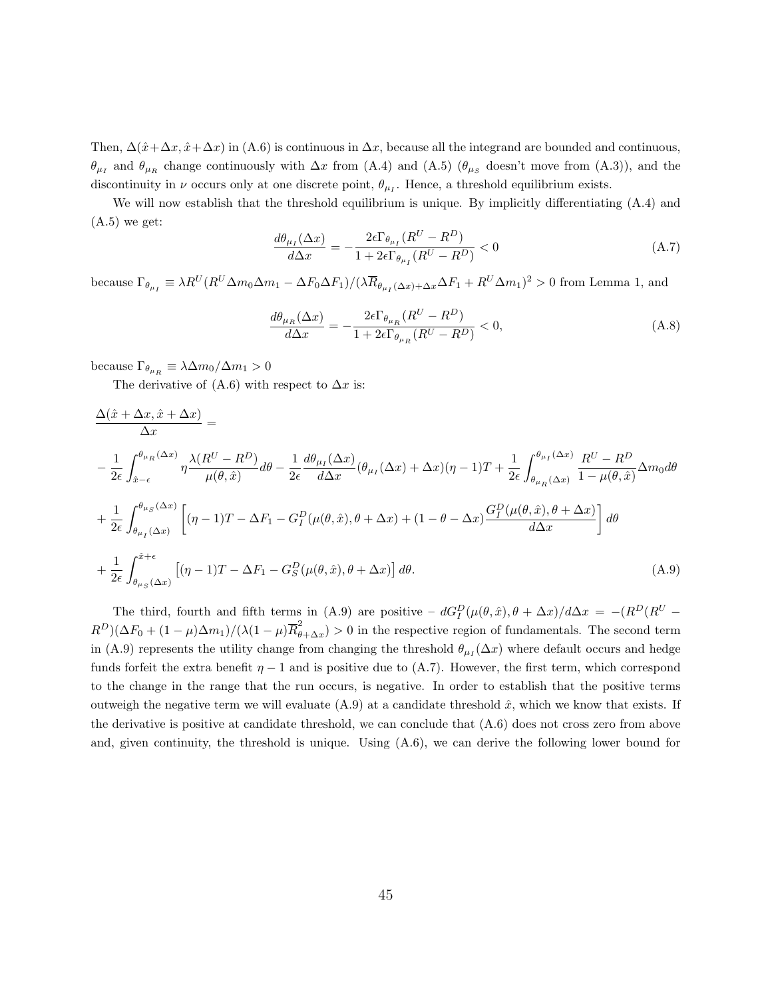Then,  $\Delta(\hat{x}+\Delta x,\hat{x}+\Delta x)$  in (A.6) is continuous in  $\Delta x$ , because all the integrand are bounded and continuous,  $\theta_{\mu_I}$  and  $\theta_{\mu_R}$  change continuously with  $\Delta x$  from (A.4) and (A.5) ( $\theta_{\mu_S}$  doesn't move from (A.3)), and the discontinuity in  $\nu$  occurs only at one discrete point,  $\theta_{\mu_I}$ . Hence, a threshold equilibrium exists.

We will now establish that the threshold equilibrium is unique. By implicitly differentiating (A.4) and  $(A.5)$  we get:

$$
\frac{d\theta_{\mu_I}(\Delta x)}{d\Delta x} = -\frac{2\epsilon \Gamma_{\theta_{\mu_I}}(R^U - R^D)}{1 + 2\epsilon \Gamma_{\theta_{\mu_I}}(R^U - R^D)} < 0\tag{A.7}
$$

because  $\Gamma_{\theta_{\mu_I}} \equiv \lambda R^{U} (R^{U} \Delta m_0 \Delta m_1 - \Delta F_0 \Delta F_1)/(\lambda \overline{R}_{\theta_{\mu_I}(\Delta x) + \Delta x} \Delta F_1 + R^{U} \Delta m_1)^2 > 0$  from Lemma 1, and

$$
\frac{d\theta_{\mu_R}(\Delta x)}{d\Delta x} = -\frac{2\epsilon \Gamma_{\theta_{\mu_R}}(R^U - R^D)}{1 + 2\epsilon \Gamma_{\theta_{\mu_R}}(R^U - R^D)} < 0,\tag{A.8}
$$

because  $\Gamma_{\theta_{\mu_R}} \equiv \lambda \Delta m_0 / \Delta m_1 > 0$ 

The derivative of (A.6) with respect to  $\Delta x$  is:

$$
\frac{\Delta(\hat{x} + \Delta x, \hat{x} + \Delta x)}{\Delta x} =
$$
\n
$$
-\frac{1}{2\epsilon} \int_{\hat{x}-\epsilon}^{\theta_{\mu_R}(\Delta x)} \eta \frac{\lambda(R^U - R^D)}{\mu(\theta, \hat{x})} d\theta - \frac{1}{2\epsilon} \frac{d\theta_{\mu_I}(\Delta x)}{d\Delta x} (\theta_{\mu_I}(\Delta x) + \Delta x)(\eta - 1) T + \frac{1}{2\epsilon} \int_{\theta_{\mu_R}(\Delta x)}^{\theta_{\mu_I}(\Delta x)} \frac{R^U - R^D}{1 - \mu(\theta, \hat{x})} \Delta m_0 d\theta
$$
\n
$$
+\frac{1}{2\epsilon} \int_{\theta_{\mu_I}(\Delta x)}^{\theta_{\mu_S}(\Delta x)} \left[ (\eta - 1) T - \Delta F_1 - G_I^D(\mu(\theta, \hat{x}), \theta + \Delta x) + (1 - \theta - \Delta x) \frac{G_I^D(\mu(\theta, \hat{x}), \theta + \Delta x)}{d\Delta x} \right] d\theta
$$
\n
$$
+\frac{1}{2\epsilon} \int_{\theta_{\mu_S}(\Delta x)}^{\hat{x}+\epsilon} \left[ (\eta - 1) T - \Delta F_1 - G_S^D(\mu(\theta, \hat{x}), \theta + \Delta x) \right] d\theta.
$$
\n(A.9)

The third, fourth and fifth terms in (A.9) are positive –  $dG_I^D(\mu(\theta, \hat{x}), \theta + \Delta x)/d\Delta x = -(R^D(R^U (R^D)(\Delta F_0 + (1-\mu)\Delta m_1)/(\lambda(1-\mu)\overline{R}_{\theta}^2)$  $\epsilon_{\theta+\Delta x}$  > 0 in the respective region of fundamentals. The second term in (A.9) represents the utility change from changing the threshold  $\theta_{\mu_I}(\Delta x)$  where default occurs and hedge funds forfeit the extra benefit  $\eta - 1$  and is positive due to (A.7). However, the first term, which correspond to the change in the range that the run occurs, is negative. In order to establish that the positive terms outweigh the negative term we will evaluate  $(A.9)$  at a candidate threshold  $\hat{x}$ , which we know that exists. If the derivative is positive at candidate threshold, we can conclude that (A.6) does not cross zero from above and, given continuity, the threshold is unique. Using  $(A.6)$ , we can derive the following lower bound for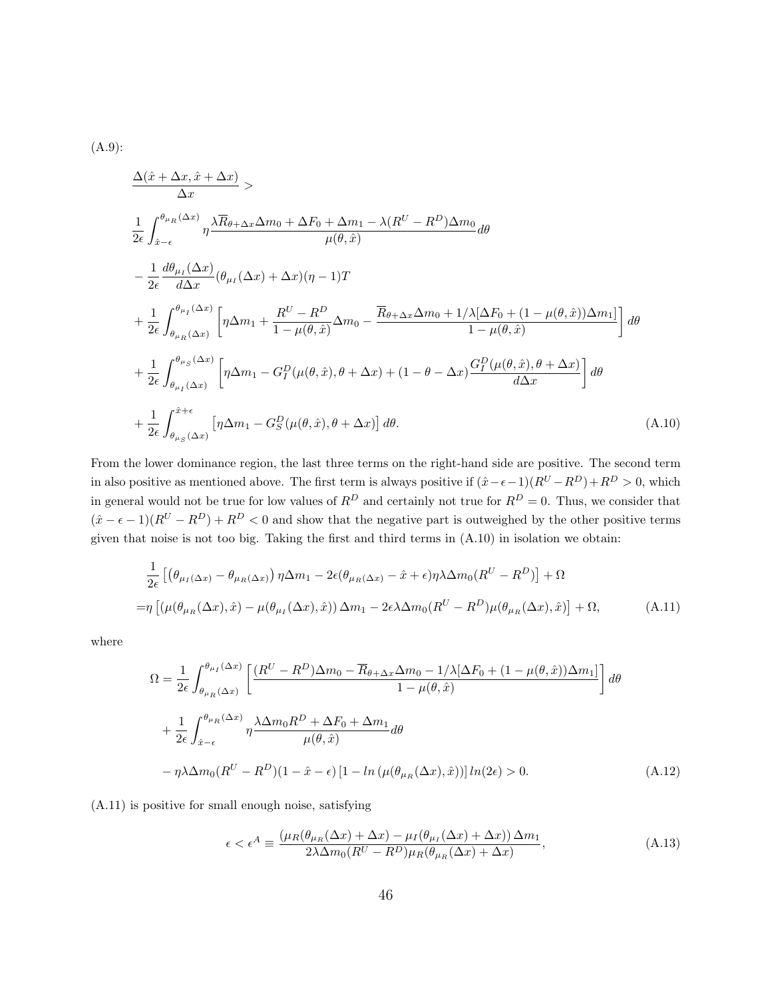$$
(A.9)
$$
:

$$
\frac{\Delta(\hat{x} + \Delta x, \hat{x} + \Delta x)}{\Delta x} > \n\frac{1}{2\epsilon} \int_{\hat{x}-\epsilon}^{\theta_{\mu_R}(\Delta x)} \eta \frac{\lambda \overline{R}_{\theta+\Delta x} \Delta m_0 + \Delta F_0 + \Delta m_1 - \lambda (R^U - R^D) \Delta m_0}{\mu(\theta, \hat{x})} d\theta \n- \frac{1}{2\epsilon} \frac{d\theta_{\mu_I}(\Delta x)}{d\Delta x} (\theta_{\mu_I}(\Delta x) + \Delta x)(\eta - 1)T \n+ \frac{1}{2\epsilon} \int_{\theta_{\mu_R}(\Delta x)}^{\theta_{\mu_I}(\Delta x)} \left[ \eta \Delta m_1 + \frac{R^U - R^D}{1 - \mu(\theta, \hat{x})} \Delta m_0 - \frac{\overline{R}_{\theta+\Delta x} \Delta m_0 + 1/\lambda [\Delta F_0 + (1 - \mu(\theta, \hat{x})) \Delta m_1]}{1 - \mu(\theta, \hat{x})} \right] d\theta \n+ \frac{1}{2\epsilon} \int_{\theta_{\mu_I}(\Delta x)}^{\theta_{\mu_S}(\Delta x)} \left[ \eta \Delta m_1 - G_I^D(\mu(\theta, \hat{x}), \theta + \Delta x) + (1 - \theta - \Delta x) \frac{G_I^D(\mu(\theta, \hat{x}), \theta + \Delta x)}{d\Delta x} \right] d\theta \n+ \frac{1}{2\epsilon} \int_{\theta_{\mu_S}(\Delta x)}^{\hat{x} + \epsilon} \left[ \eta \Delta m_1 - G_S^D(\mu(\theta, \hat{x}), \theta + \Delta x) \right] d\theta.
$$
\n(A.10)

From the lower dominance region, the last three terms on the right-hand side are positive. The second term in also positive as mentioned above. The first term is always positive if  $(\hat{x}-\epsilon-1)(R^U-R^D)+R^D > 0$ , which in general would not be true for low values of  $R^D$  and certainly not true for  $R^D = 0$ . Thus, we consider that  $(\hat{x} - \epsilon - 1)(R^U - R^D) + R^D < 0$  and show that the negative part is outweighed by the other positive terms given that noise is not too big. Taking the first and third terms in (A.10) in isolation we obtain:

$$
\frac{1}{2\epsilon} \left[ \left( \theta_{\mu_I(\Delta x)} - \theta_{\mu_R(\Delta x)} \right) \eta \Delta m_1 - 2\epsilon (\theta_{\mu_R(\Delta x)} - \hat{x} + \epsilon) \eta \lambda \Delta m_0 (R^U - R^D) \right] + \Omega
$$
\n
$$
= \eta \left[ \left( \mu(\theta_{\mu_R}(\Delta x), \hat{x}) - \mu(\theta_{\mu_I}(\Delta x), \hat{x}) \right) \Delta m_1 - 2\epsilon \lambda \Delta m_0 (R^U - R^D) \mu(\theta_{\mu_R}(\Delta x), \hat{x}) \right] + \Omega, \tag{A.11}
$$

where

$$
\Omega = \frac{1}{2\epsilon} \int_{\theta_{\mu_R}(\Delta x)}^{\theta_{\mu_I}(\Delta x)} \left[ \frac{(R^U - R^D)\Delta m_0 - \overline{R}_{\theta + \Delta x} \Delta m_0 - 1/\lambda [\Delta F_0 + (1 - \mu(\theta, \hat{x})) \Delta m_1]}{1 - \mu(\theta, \hat{x})} \right] d\theta
$$
  
+ 
$$
\frac{1}{2\epsilon} \int_{\hat{x} - \epsilon}^{\theta_{\mu_R}(\Delta x)} \eta \frac{\lambda \Delta m_0 R^D + \Delta F_0 + \Delta m_1}{\mu(\theta, \hat{x})} d\theta
$$
  
- 
$$
\eta \lambda \Delta m_0 (R^U - R^D)(1 - \hat{x} - \epsilon) \left[1 - \ln \left(\mu(\theta_{\mu_R}(\Delta x), \hat{x})\right)\right] \ln(2\epsilon) > 0. \tag{A.12}
$$

(A.11) is positive for small enough noise, satisfying

$$
\epsilon < \epsilon^A \equiv \frac{\left(\mu_R(\theta_{\mu_R}(\Delta x) + \Delta x) - \mu_I(\theta_{\mu_I}(\Delta x) + \Delta x)\right)\Delta m_1}{2\lambda \Delta m_0(R^U - R^D)\mu_R(\theta_{\mu_R}(\Delta x) + \Delta x)},\tag{A.13}
$$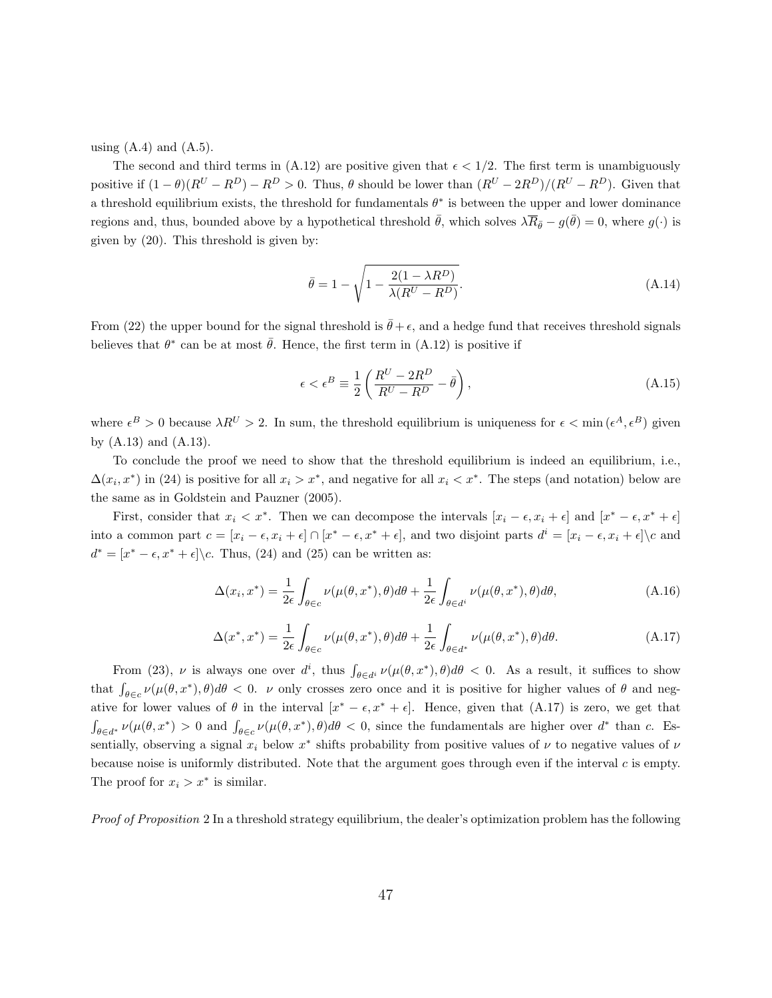using  $(A.4)$  and  $(A.5)$ .

The second and third terms in (A.12) are positive given that  $\epsilon < 1/2$ . The first term is unambiguously positive if  $(1 - \theta)(R^U - R^D) - R^D > 0$ . Thus,  $\theta$  should be lower than  $(R^U - 2R^D)/(R^U - R^D)$ . Given that a threshold equilibrium exists, the threshold for fundamentals  $\theta^*$  is between the upper and lower dominance regions and, thus, bounded above by a hypothetical threshold  $\bar{\theta}$ , which solves  $\lambda \overline{R}_{\bar{\theta}} - g(\bar{\theta}) = 0$ , where  $g(\cdot)$  is given by (20). This threshold is given by:

$$
\bar{\theta} = 1 - \sqrt{1 - \frac{2(1 - \lambda R^D)}{\lambda (R^U - R^D)}}.
$$
\n(A.14)

From (22) the upper bound for the signal threshold is  $\bar{\theta} + \epsilon$ , and a hedge fund that receives threshold signals believes that  $\theta^*$  can be at most  $\bar{\theta}$ . Hence, the first term in (A.12) is positive if

$$
\epsilon < \epsilon^B \equiv \frac{1}{2} \left( \frac{R^U - 2R^D}{R^U - R^D} - \bar{\theta} \right),\tag{A.15}
$$

where  $\epsilon^B > 0$  because  $\lambda R^U > 2$ . In sum, the threshold equilibrium is uniqueness for  $\epsilon < \min(\epsilon^A, \epsilon^B)$  given by (A.13) and (A.13).

To conclude the proof we need to show that the threshold equilibrium is indeed an equilibrium, i.e.,  $\Delta(x_i, x^*)$  in (24) is positive for all  $x_i > x^*$ , and negative for all  $x_i < x^*$ . The steps (and notation) below are the same as in Goldstein and Pauzner (2005).

First, consider that  $x_i < x^*$ . Then we can decompose the intervals  $[x_i - \epsilon, x_i + \epsilon]$  and  $[x^* - \epsilon, x^* + \epsilon]$ into a common part  $c = [x_i - \epsilon, x_i + \epsilon] \cap [x^* - \epsilon, x^* + \epsilon]$ , and two disjoint parts  $d^i = [x_i - \epsilon, x_i + \epsilon] \setminus c$  and  $d^* = [x^* - \epsilon, x^* + \epsilon] \backslash c$ . Thus, (24) and (25) can be written as:

$$
\Delta(x_i, x^*) = \frac{1}{2\epsilon} \int_{\theta \in c} \nu(\mu(\theta, x^*), \theta) d\theta + \frac{1}{2\epsilon} \int_{\theta \in d^i} \nu(\mu(\theta, x^*), \theta) d\theta,
$$
\n(A.16)

$$
\Delta(x^*, x^*) = \frac{1}{2\epsilon} \int_{\theta \in c} \nu(\mu(\theta, x^*), \theta) d\theta + \frac{1}{2\epsilon} \int_{\theta \in d^*} \nu(\mu(\theta, x^*), \theta) d\theta.
$$
 (A.17)

From (23),  $\nu$  is always one over  $d^i$ , thus  $\int_{\theta \in d^i} \nu(\mu(\theta, x^*), \theta) d\theta < 0$ . As a result, it suffices to show that  $\int_{\theta \in c} \nu(\mu(\theta, x^*), \theta) d\theta < 0$ . v only crosses zero once and it is positive for higher values of  $\theta$  and negative for lower values of  $\theta$  in the interval  $[x^* - \epsilon, x^* + \epsilon]$ . Hence, given that  $(A.17)$  is zero, we get that  $\int_{\theta \in d^*} \nu(\mu(\theta, x^*) > 0 \text{ and } \int_{\theta \in c} \nu(\mu(\theta, x^*), \theta) d\theta < 0$ , since the fundamentals are higher over  $d^*$  than c. Essentially, observing a signal  $x_i$  below  $x^*$  shifts probability from positive values of  $\nu$  to negative values of  $\nu$ because noise is uniformly distributed. Note that the argument goes through even if the interval c is empty. The proof for  $x_i > x^*$  is similar.

Proof of Proposition 2 In a threshold strategy equilibrium, the dealer's optimization problem has the following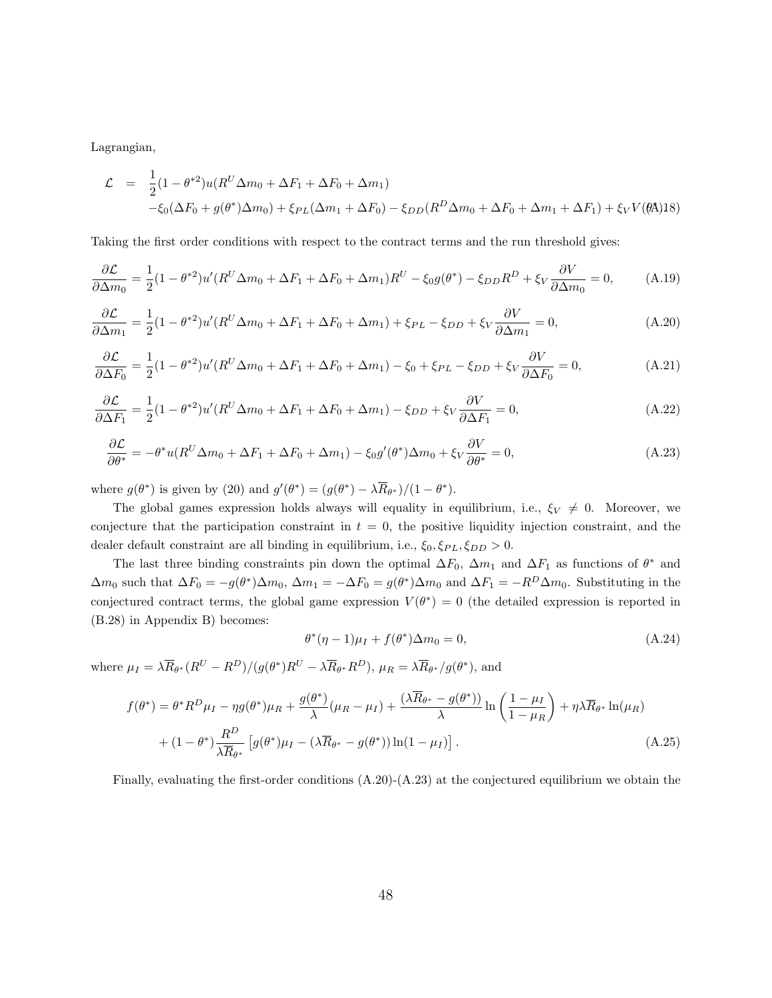Lagrangian,

$$
\mathcal{L} = \frac{1}{2} (1 - \theta^{*2}) u (R^U \Delta m_0 + \Delta F_1 + \Delta F_0 + \Delta m_1)
$$
  
- $\xi_0 (\Delta F_0 + g(\theta^*) \Delta m_0) + \xi_{PL} (\Delta m_1 + \Delta F_0) - \xi_{DD} (R^D \Delta m_0 + \Delta F_0 + \Delta m_1 + \Delta F_1) + \xi_V V(\theta \mathbf{\hat{A}}) 18)$ 

Taking the first order conditions with respect to the contract terms and the run threshold gives:

$$
\frac{\partial \mathcal{L}}{\partial \Delta m_0} = \frac{1}{2} (1 - \theta^{*2}) u'(R^U \Delta m_0 + \Delta F_1 + \Delta F_0 + \Delta m_1) R^U - \xi_0 g(\theta^*) - \xi_{DD} R^D + \xi_V \frac{\partial V}{\partial \Delta m_0} = 0, \tag{A.19}
$$

$$
\frac{\partial \mathcal{L}}{\partial \Delta m_1} = \frac{1}{2} (1 - \theta^{*2}) u'(R^U \Delta m_0 + \Delta F_1 + \Delta F_0 + \Delta m_1) + \xi_{PL} - \xi_{DD} + \xi_V \frac{\partial V}{\partial \Delta m_1} = 0, \tag{A.20}
$$

$$
\frac{\partial \mathcal{L}}{\partial \Delta F_0} = \frac{1}{2} (1 - \theta^{*2}) u'(R^U \Delta m_0 + \Delta F_1 + \Delta F_0 + \Delta m_1) - \xi_0 + \xi_{PL} - \xi_{DD} + \xi_V \frac{\partial V}{\partial \Delta F_0} = 0,
$$
(A.21)

$$
\frac{\partial \mathcal{L}}{\partial \Delta F_1} = \frac{1}{2} (1 - \theta^{*2}) u' (R^U \Delta m_0 + \Delta F_1 + \Delta F_0 + \Delta m_1) - \xi_{DD} + \xi_V \frac{\partial V}{\partial \Delta F_1} = 0,
$$
(A.22)

$$
\frac{\partial \mathcal{L}}{\partial \theta^*} = -\theta^* u(R^U \Delta m_0 + \Delta F_1 + \Delta F_0 + \Delta m_1) - \xi_0 g'(\theta^*) \Delta m_0 + \xi_V \frac{\partial V}{\partial \theta^*} = 0,
$$
\n(A.23)

where  $g(\theta^*)$  is given by (20) and  $g'(\theta^*) = (g(\theta^*) - \lambda R_{\theta^*})/(1 - \theta^*).$ 

The global games expression holds always will equality in equilibrium, i.e.,  $\xi_V \neq 0$ . Moreover, we conjecture that the participation constraint in  $t = 0$ , the positive liquidity injection constraint, and the dealer default constraint are all binding in equilibrium, i.e.,  $\xi_0$ ,  $\xi_{PL}$ ,  $\xi_{DD} > 0$ .

The last three binding constraints pin down the optimal  $\Delta F_0$ ,  $\Delta m_1$  and  $\Delta F_1$  as functions of  $\theta^*$  and  $\Delta m_0$  such that  $\Delta F_0 = -g(\theta^*) \Delta m_0$ ,  $\Delta m_1 = -\Delta F_0 = g(\theta^*) \Delta m_0$  and  $\Delta F_1 = -R^D \Delta m_0$ . Substituting in the conjectured contract terms, the global game expression  $V(\theta^*) = 0$  (the detailed expression is reported in (B.28) in Appendix B) becomes:

$$
\theta^*(\eta - 1)\mu_I + f(\theta^*)\Delta m_0 = 0, \tag{A.24}
$$

where  $\mu_I = \lambda \overline{R}_{\theta^*}(R^U - R^D)/(g(\theta^*)R^U - \lambda \overline{R}_{\theta^*}R^D)$ ,  $\mu_R = \lambda \overline{R}_{\theta^*}/g(\theta^*)$ , and

$$
f(\theta^*) = \theta^* R^D \mu_I - \eta g(\theta^*) \mu_R + \frac{g(\theta^*)}{\lambda} (\mu_R - \mu_I) + \frac{(\lambda \overline{R}_{\theta^*} - g(\theta^*))}{\lambda} \ln \left( \frac{1 - \mu_I}{1 - \mu_R} \right) + \eta \lambda \overline{R}_{\theta^*} \ln(\mu_R)
$$
  
+ 
$$
(1 - \theta^*) \frac{R^D}{\lambda \overline{R}_{\theta^*}} \left[ g(\theta^*) \mu_I - (\lambda \overline{R}_{\theta^*} - g(\theta^*)) \ln(1 - \mu_I) \right].
$$
 (A.25)

Finally, evaluating the first-order conditions  $(A.20)-(A.23)$  at the conjectured equilibrium we obtain the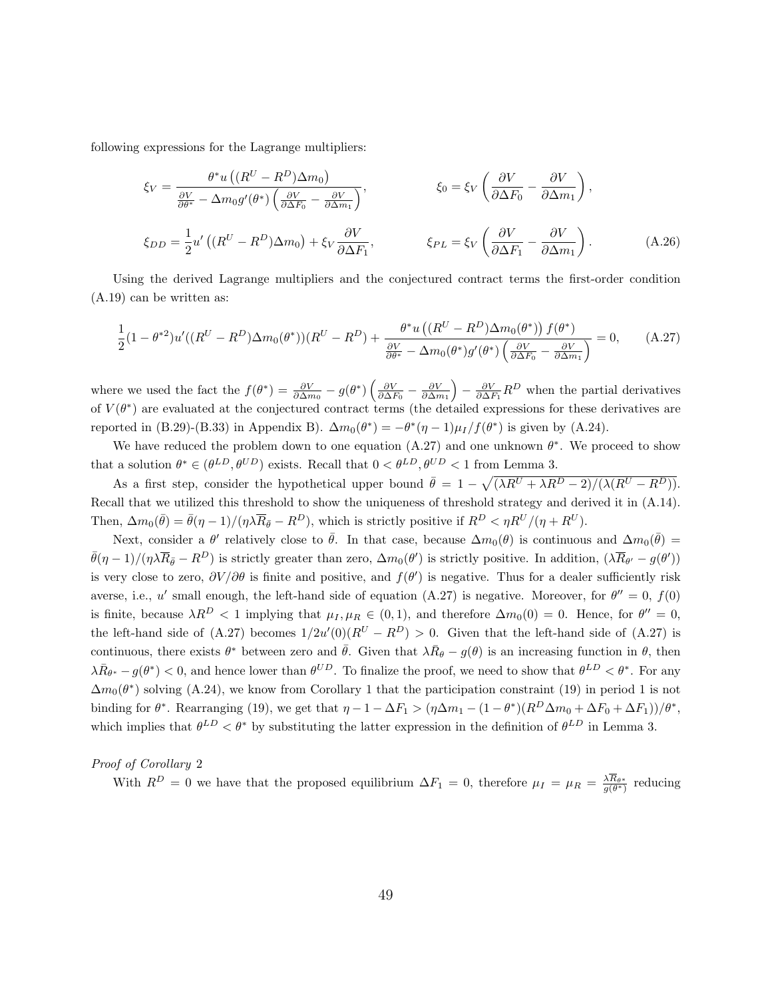following expressions for the Lagrange multipliers:

$$
\xi_V = \frac{\theta^* u \left( (R^U - R^D) \Delta m_0 \right)}{\frac{\partial V}{\partial \theta^*} - \Delta m_0 g'(\theta^*) \left( \frac{\partial V}{\partial \Delta F_0} - \frac{\partial V}{\partial \Delta m_1} \right)}, \qquad \xi_0 = \xi_V \left( \frac{\partial V}{\partial \Delta F_0} - \frac{\partial V}{\partial \Delta m_1} \right),
$$
  

$$
\xi_{DD} = \frac{1}{2} u' \left( (R^U - R^D) \Delta m_0 \right) + \xi_V \frac{\partial V}{\partial \Delta F_1}, \qquad \xi_{PL} = \xi_V \left( \frac{\partial V}{\partial \Delta F_1} - \frac{\partial V}{\partial \Delta m_1} \right).
$$
(A.26)

Using the derived Lagrange multipliers and the conjectured contract terms the first-order condition (A.19) can be written as:

$$
\frac{1}{2}(1-\theta^{*2})u'((R^U-R^D)\Delta m_0(\theta^*)) (R^U-R^D) + \frac{\theta^* u((R^U-R^D)\Delta m_0(\theta^*)) f(\theta^*)}{\frac{\partial V}{\partial \theta^*} - \Delta m_0(\theta^*) g'(\theta^*) \left(\frac{\partial V}{\partial \Delta F_0} - \frac{\partial V}{\partial \Delta m_1}\right)} = 0, \quad (A.27)
$$

where we used the fact the  $f(\theta^*) = \frac{\partial V}{\partial \Delta m_0} - g(\theta^*) \left( \frac{\partial V}{\partial \Delta F_0} - \frac{\partial V}{\partial \Delta m_1} \right) - \frac{\partial V}{\partial \Delta F_1} R^D$  when the partial derivatives of  $V(\theta^*)$  are evaluated at the conjectured contract terms (the detailed expressions for these derivatives are reported in (B.29)-(B.33) in Appendix B).  $\Delta m_0(\theta^*) = -\theta^*(\eta - 1)\mu_I/f(\theta^*)$  is given by (A.24).

We have reduced the problem down to one equation  $(A.27)$  and one unknown  $\theta^*$ . We proceed to show that a solution  $\theta^* \in (\theta^{LD}, \theta^{UD})$  exists. Recall that  $0 < \theta^{LD}, \theta^{UD} < 1$  from Lemma 3.

As a first step, consider the hypothetical upper bound  $\bar{\theta} = 1 - \sqrt{(\lambda R^{U} + \lambda R^{D} - 2)/(\lambda (R^{U} - R^{D}))}$ . Recall that we utilized this threshold to show the uniqueness of threshold strategy and derived it in (A.14). Then,  $\Delta m_0(\bar{\theta}) = \bar{\theta}(\eta - 1)/(\eta \lambda \overline{R}_{\bar{\theta}} - R^D)$ , which is strictly positive if  $R^D < \eta R^U/(\eta + R^U)$ .

Next, consider a  $\theta'$  relatively close to  $\bar{\theta}$ . In that case, because  $\Delta m_0(\theta)$  is continuous and  $\Delta m_0(\bar{\theta}) =$  $\bar{\theta}(\eta-1)/(\eta\lambda \overline{R}_{\bar{\theta}} - R^D)$  is strictly greater than zero,  $\Delta m_0(\theta')$  is strictly positive. In addition,  $(\lambda \overline{R}_{\theta'} - g(\theta'))$ is very close to zero,  $\partial V/\partial \theta$  is finite and positive, and  $f(\theta')$  is negative. Thus for a dealer sufficiently risk averse, i.e., u' small enough, the left-hand side of equation (A.27) is negative. Moreover, for  $\theta'' = 0$ ,  $f(0)$ is finite, because  $\lambda R^D < 1$  implying that  $\mu_I, \mu_R \in (0,1)$ , and therefore  $\Delta m_0(0) = 0$ . Hence, for  $\theta'' = 0$ , the left-hand side of  $(A.27)$  becomes  $1/2u'(0)(R^U - R^D) > 0$ . Given that the left-hand side of  $(A.27)$  is continuous, there exists  $\theta^*$  between zero and  $\bar{\theta}$ . Given that  $\lambda \bar{R}_{\theta} - g(\theta)$  is an increasing function in  $\theta$ , then  $\lambda \bar{R}_{\theta^*} - g(\theta^*) < 0$ , and hence lower than  $\theta^{UD}$ . To finalize the proof, we need to show that  $\theta^{LD} < \theta^*$ . For any  $\Delta m_0(\theta^*)$  solving (A.24), we know from Corollary 1 that the participation constraint (19) in period 1 is not binding for  $\theta^*$ . Rearranging (19), we get that  $\eta - 1 - \Delta F_1 > (\eta \Delta m_1 - (1 - \theta^*)(R^D \Delta m_0 + \Delta F_0 + \Delta F_1))/\theta^*$ , which implies that  $\theta^{LD} < \theta^*$  by substituting the latter expression in the definition of  $\theta^{LD}$  in Lemma 3.

Proof of Corollary 2

With  $R^D = 0$  we have that the proposed equilibrium  $\Delta F_1 = 0$ , therefore  $\mu_I = \mu_R = \frac{\lambda R_{\theta^*}}{g(\theta^*)}$  reducing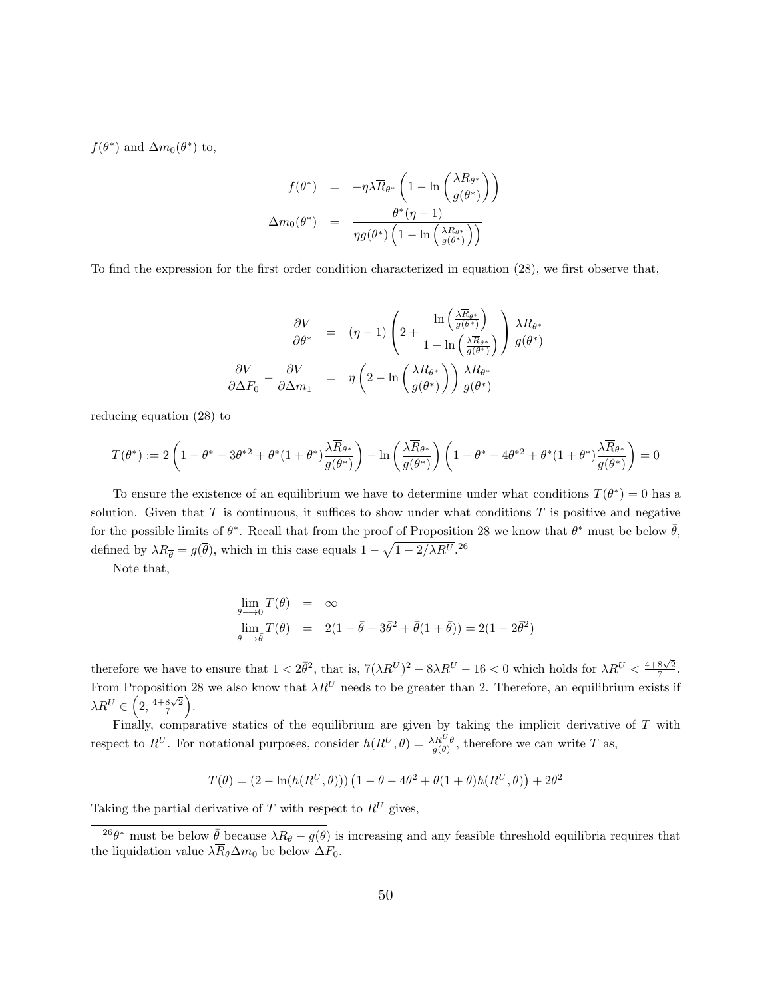$f(\theta^*)$  and  $\Delta m_0(\theta^*)$  to,

$$
f(\theta^*) = -\eta \lambda \overline{R}_{\theta^*} \left( 1 - \ln \left( \frac{\lambda \overline{R}_{\theta^*}}{g(\theta^*)} \right) \right)
$$

$$
\Delta m_0(\theta^*) = \frac{\theta^*(\eta - 1)}{\eta g(\theta^*) \left( 1 - \ln \left( \frac{\lambda \overline{R}_{\theta^*}}{g(\theta^*)} \right) \right)}
$$

To find the expression for the first order condition characterized in equation (28), we first observe that,

$$
\frac{\partial V}{\partial \theta^*} = (\eta - 1) \left( 2 + \frac{\ln\left(\frac{\lambda \overline{R}_{\theta^*}}{g(\theta^*)}\right)}{1 - \ln\left(\frac{\lambda \overline{R}_{\theta^*}}{g(\theta^*)}\right)} \right) \frac{\lambda \overline{R}_{\theta^*}}{g(\theta^*)}
$$

$$
\frac{\partial V}{\partial \Delta F_0} - \frac{\partial V}{\partial \Delta m_1} = \eta \left( 2 - \ln\left(\frac{\lambda \overline{R}_{\theta^*}}{g(\theta^*)}\right) \right) \frac{\lambda \overline{R}_{\theta^*}}{g(\theta^*)}
$$

reducing equation (28) to

$$
T(\theta^*) := 2\left(1 - \theta^* - 3\theta^{*2} + \theta^*(1 + \theta^*)\frac{\lambda \overline{R}_{\theta^*}}{g(\theta^*)}\right) - \ln\left(\frac{\lambda \overline{R}_{\theta^*}}{g(\theta^*)}\right)\left(1 - \theta^* - 4\theta^{*2} + \theta^*(1 + \theta^*)\frac{\lambda \overline{R}_{\theta^*}}{g(\theta^*)}\right) = 0
$$

To ensure the existence of an equilibrium we have to determine under what conditions  $T(\theta^*) = 0$  has a solution. Given that  $T$  is continuous, it suffices to show under what conditions  $T$  is positive and negative for the possible limits of  $\theta^*$ . Recall that from the proof of Proposition 28 we know that  $\theta^*$  must be below  $\bar{\theta}$ , defined by  $\lambda \overline{R}_{\overline{\theta}} = g(\overline{\theta})$ , which in this case equals  $1 - \sqrt{1 - 2/\lambda R^{U}}$ .<sup>26</sup>

Note that,

$$
\lim_{\theta \to 0} T(\theta) = \infty
$$
  
\n
$$
\lim_{\theta \to \bar{\theta}} T(\theta) = 2(1 - \bar{\theta} - 3\bar{\theta}^2 + \bar{\theta}(1 + \bar{\theta})) = 2(1 - 2\bar{\theta}^2)
$$

therefore we have to ensure that  $1 < 2\bar{\theta}^2$ , that is,  $7(\lambda R^U)^2 - 8\lambda R^U - 16 < 0$  which holds for  $\lambda R^U < \frac{4+8\sqrt{2}}{7}$ . From Proposition 28 we also know that  $\lambda R^U$  needs to be greater than 2. Therefore, an equilibrium exists if  $\lambda R^{U}\in\left(2,\frac{4+8\sqrt{2}}{7}\right).$ 

Finally, comparative statics of the equilibrium are given by taking the implicit derivative of  $T$  with respect to  $R^U$ . For notational purposes, consider  $h(R^U, \theta) = \frac{\lambda R^U \theta}{g(\theta)}$ , therefore we can write T as,

$$
T(\theta) = (2 - \ln(h(R^U, \theta))) (1 - \theta - 4\theta^2 + \theta(1 + \theta)h(R^U, \theta)) + 2\theta^2
$$

Taking the partial derivative of  $T$  with respect to  $R^U$  gives,

<sup>&</sup>lt;sup>26</sup> $\theta^*$  must be below  $\bar{\theta}$  because  $\lambda \bar{R}_{\theta} - g(\theta)$  is increasing and any feasible threshold equilibria requires that the liquidation value  $\lambda \overline{R}_{\theta} \Delta m_0$  be below  $\Delta F_0$ .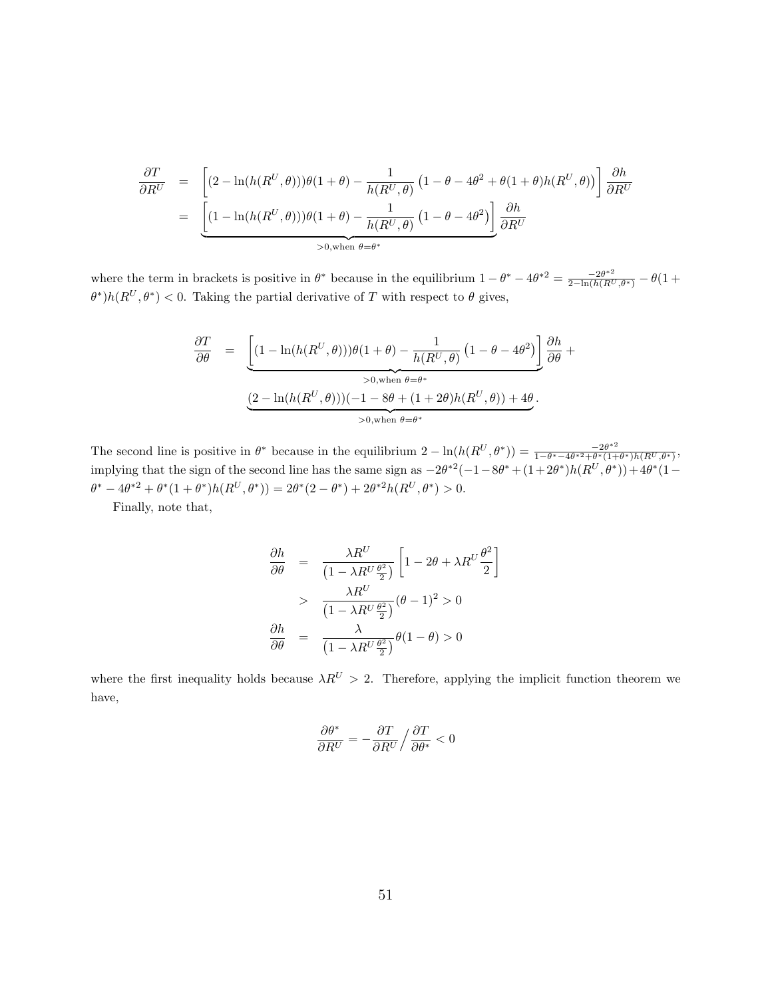$$
\frac{\partial T}{\partial R^U} = \left[ (2 - \ln(h(R^U, \theta)))\theta(1 + \theta) - \frac{1}{h(R^U, \theta)} \left( 1 - \theta - 4\theta^2 + \theta(1 + \theta)h(R^U, \theta) \right) \right] \frac{\partial h}{\partial R^U}
$$

$$
= \underbrace{\left[ (1 - \ln(h(R^U, \theta)))\theta(1 + \theta) - \frac{1}{h(R^U, \theta)} \left( 1 - \theta - 4\theta^2 \right) \right]}_{>0, \text{when } \theta = \theta^*} \frac{\partial h}{\partial R^U}
$$

where the term in brackets is positive in  $\theta^*$  because in the equilibrium  $1 - \theta^* - 4\theta^{*2} = \frac{-2\theta^{*2}}{2 - \ln(h(R^U, \theta^*)} - \theta(1 +$  $(\theta^*)h(R^U,\theta^*)$  < 0. Taking the partial derivative of T with respect to  $\theta$  gives,

$$
\frac{\partial T}{\partial \theta} = \underbrace{\left[ (1 - \ln(h(R^U, \theta))) \theta (1 + \theta) - \frac{1}{h(R^U, \theta)} (1 - \theta - 4\theta^2) \right]}_{> 0, \text{when } \theta = \theta^*} \frac{\partial h}{\partial \theta} + \underbrace{(2 - \ln(h(R^U, \theta)))(-1 - 8\theta + (1 + 2\theta)h(R^U, \theta)) + 4\theta}_{> 0, \text{when } \theta = \theta^*}.
$$

The second line is positive in  $\theta^*$  because in the equilibrium  $2 - \ln(h(R^U, \theta^*)) = \frac{-2\theta^{*2}}{1 - \theta^* - 4\theta^{*2} + \theta^* (1 + \theta^*)}$  $\frac{-2\theta^{2}}{1-\theta^{*}-4\theta^{*2}+\theta^{*}(1+\theta^{*})h(R^{U},\theta^{*})},$ implying that the sign of the second line has the same sign as  $-2\theta^{*2}(-1-8\theta^{*}+(1+2\theta^{*})h(R^{U},\theta^{*}))+4\theta^{*}(1-\theta^{*})$  $\theta^* - 4\theta^{*2} + \theta^*(1+\theta^*)h(R^U, \theta^*)) = 2\theta^*(2-\theta^*) + 2\theta^{*2}h(R^U, \theta^*) > 0.$ 

Finally, note that,

$$
\frac{\partial h}{\partial \theta} = \frac{\lambda R^U}{\left(1 - \lambda R^U \frac{\theta^2}{2}\right)} \left[1 - 2\theta + \lambda R^U \frac{\theta^2}{2}\right]
$$

$$
> \frac{\lambda R^U}{\left(1 - \lambda R^U \frac{\theta^2}{2}\right)} (\theta - 1)^2 > 0
$$

$$
\frac{\partial h}{\partial \theta} = \frac{\lambda}{\left(1 - \lambda R^U \frac{\theta^2}{2}\right)} \theta(1 - \theta) > 0
$$

where the first inequality holds because  $\lambda R^{U} > 2$ . Therefore, applying the implicit function theorem we have,

$$
\frac{\partial \theta^*}{\partial R^U} = - \frac{\partial T}{\partial R^U} \Big/ \frac{\partial T}{\partial \theta^*} < 0
$$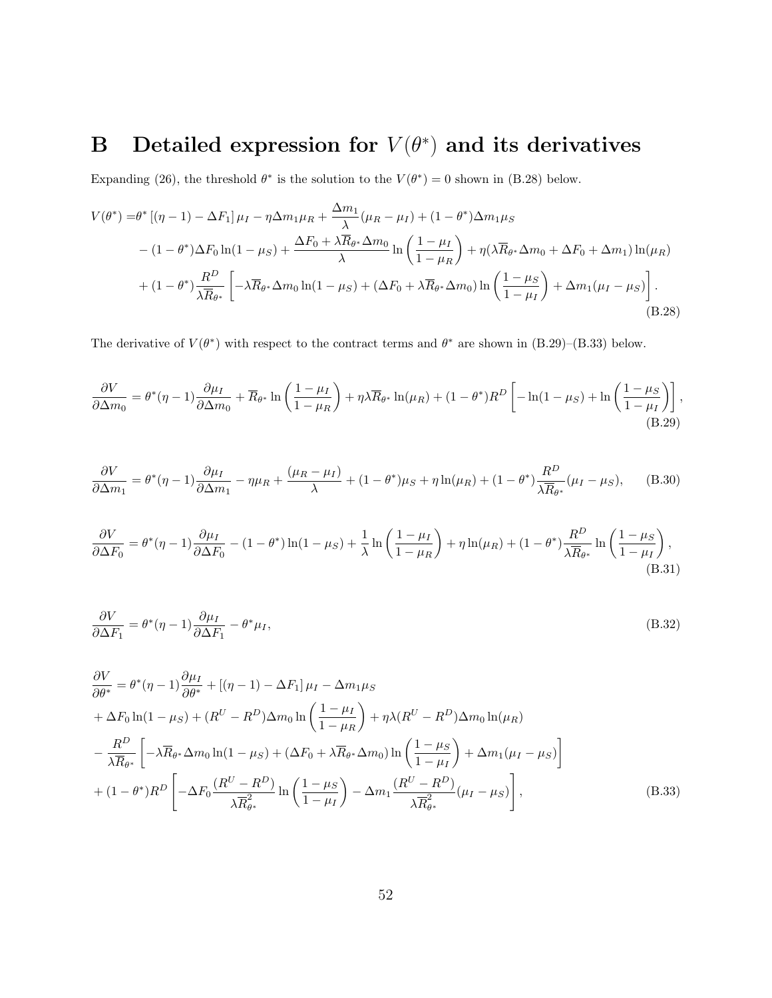# B Detailed expression for  $V(\theta^*)$  and its derivatives

Expanding (26), the threshold  $\theta^*$  is the solution to the  $V(\theta^*)=0$  shown in (B.28) below.

$$
V(\theta^*) = \theta^* \left[ (\eta - 1) - \Delta F_1 \right] \mu_I - \eta \Delta m_1 \mu_R + \frac{\Delta m_1}{\lambda} (\mu_R - \mu_I) + (1 - \theta^*) \Delta m_1 \mu_S
$$
  

$$
- (1 - \theta^*) \Delta F_0 \ln(1 - \mu_S) + \frac{\Delta F_0 + \lambda \overline{R}_{\theta^*} \Delta m_0}{\lambda} \ln \left( \frac{1 - \mu_I}{1 - \mu_R} \right) + \eta (\lambda \overline{R}_{\theta^*} \Delta m_0 + \Delta F_0 + \Delta m_1) \ln(\mu_R)
$$
  

$$
+ (1 - \theta^*) \frac{R^D}{\lambda \overline{R}_{\theta^*}} \left[ -\lambda \overline{R}_{\theta^*} \Delta m_0 \ln(1 - \mu_S) + (\Delta F_0 + \lambda \overline{R}_{\theta^*} \Delta m_0) \ln \left( \frac{1 - \mu_S}{1 - \mu_I} \right) + \Delta m_1 (\mu_I - \mu_S) \right].
$$
  
(B.28)

The derivative of  $V(\theta^*)$  with respect to the contract terms and  $\theta^*$  are shown in (B.29)–(B.33) below.

$$
\frac{\partial V}{\partial \Delta m_0} = \theta^* (\eta - 1) \frac{\partial \mu_I}{\partial \Delta m_0} + \overline{R}_{\theta^*} \ln \left( \frac{1 - \mu_I}{1 - \mu_R} \right) + \eta \lambda \overline{R}_{\theta^*} \ln(\mu_R) + (1 - \theta^*) R^D \left[ -\ln(1 - \mu_S) + \ln \left( \frac{1 - \mu_S}{1 - \mu_I} \right) \right],
$$
\n(B.29)

$$
\frac{\partial V}{\partial \Delta m_1} = \theta^* (\eta - 1) \frac{\partial \mu_I}{\partial \Delta m_1} - \eta \mu_R + \frac{(\mu_R - \mu_I)}{\lambda} + (1 - \theta^*) \mu_S + \eta \ln(\mu_R) + (1 - \theta^*) \frac{R^D}{\lambda \overline{R}_{\theta^*}} (\mu_I - \mu_S), \tag{B.30}
$$

$$
\frac{\partial V}{\partial \Delta F_0} = \theta^*(\eta - 1) \frac{\partial \mu_I}{\partial \Delta F_0} - (1 - \theta^*) \ln(1 - \mu_S) + \frac{1}{\lambda} \ln\left(\frac{1 - \mu_I}{1 - \mu_R}\right) + \eta \ln(\mu_R) + (1 - \theta^*) \frac{R^D}{\lambda \overline{R}_{\theta^*}} \ln\left(\frac{1 - \mu_S}{1 - \mu_I}\right),\tag{B.31}
$$

$$
\frac{\partial V}{\partial \Delta F_1} = \theta^*(\eta - 1) \frac{\partial \mu_I}{\partial \Delta F_1} - \theta^* \mu_I,
$$
\n(B.32)

$$
\frac{\partial V}{\partial \theta^*} = \theta^*(\eta - 1) \frac{\partial \mu_I}{\partial \theta^*} + [(\eta - 1) - \Delta F_1] \mu_I - \Delta m_1 \mu_S
$$
  
+  $\Delta F_0 \ln(1 - \mu_S) + (R^U - R^D) \Delta m_0 \ln\left(\frac{1 - \mu_I}{1 - \mu_R}\right) + \eta \lambda (R^U - R^D) \Delta m_0 \ln(\mu_R)$   
-  $\frac{R^D}{\lambda \overline{R}_{\theta^*}} \left[ -\lambda \overline{R}_{\theta^*} \Delta m_0 \ln(1 - \mu_S) + (\Delta F_0 + \lambda \overline{R}_{\theta^*} \Delta m_0) \ln\left(\frac{1 - \mu_S}{1 - \mu_I}\right) + \Delta m_1 (\mu_I - \mu_S) \right]$   
+  $(1 - \theta^*) R^D \left[ -\Delta F_0 \frac{(R^U - R^D)}{\lambda \overline{R}_{\theta^*}^2} \ln\left(\frac{1 - \mu_S}{1 - \mu_I}\right) - \Delta m_1 \frac{(R^U - R^D)}{\lambda \overline{R}_{\theta^*}^2} (\mu_I - \mu_S) \right],$  (B.33)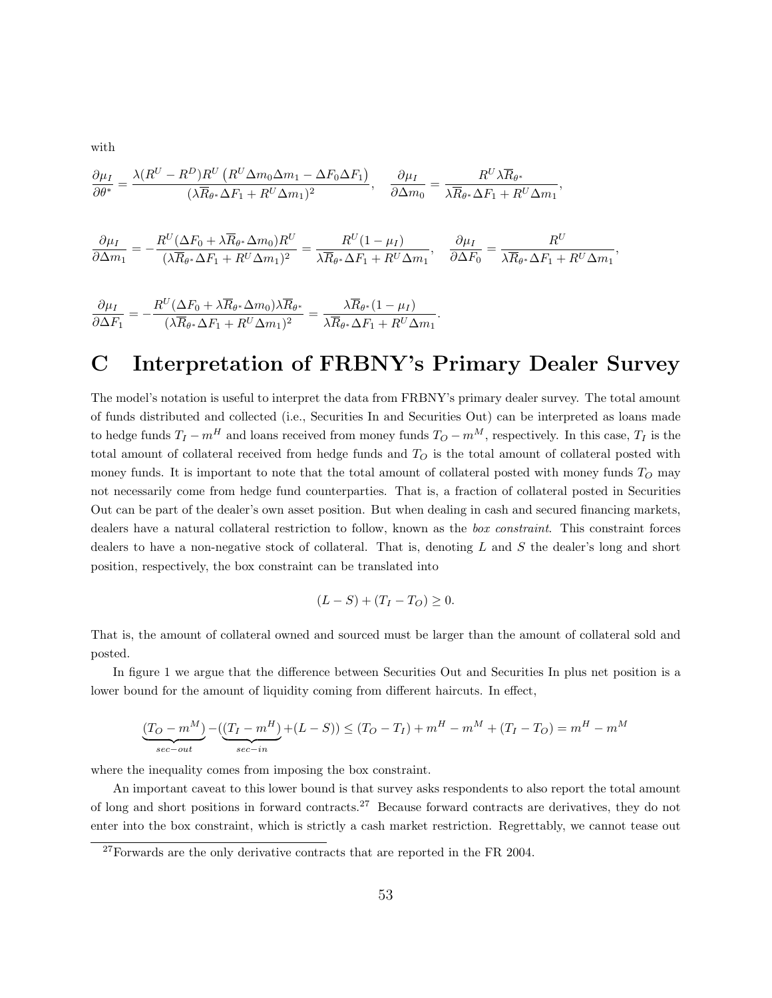with

$$
\frac{\partial \mu_I}{\partial \theta^*} = \frac{\lambda (R^U - R^D) R^U (R^U \Delta m_0 \Delta m_1 - \Delta F_0 \Delta F_1)}{(\lambda \overline{R}_{\theta^*} \Delta F_1 + R^U \Delta m_1)^2}, \quad \frac{\partial \mu_I}{\partial \Delta m_0} = \frac{R^U \lambda \overline{R}_{\theta^*}}{\lambda \overline{R}_{\theta^*} \Delta F_1 + R^U \Delta m_1},
$$

$$
\frac{\partial \mu_I}{\partial \Delta m_1} = -\frac{R^U(\Delta F_0 + \lambda \overline{R}_{\theta^*} \Delta m_0)R^U}{(\lambda \overline{R}_{\theta^*} \Delta F_1 + R^U \Delta m_1)^2} = \frac{R^U(1 - \mu_I)}{\lambda \overline{R}_{\theta^*} \Delta F_1 + R^U \Delta m_1}, \quad \frac{\partial \mu_I}{\partial \Delta F_0} = \frac{R^U}{\lambda \overline{R}_{\theta^*} \Delta F_1 + R^U \Delta m_1},
$$

$$
\frac{\partial \mu_I}{\partial \Delta F_1} = -\frac{R^U(\Delta F_0 + \lambda \overline{R}_{\theta^*} \Delta m_0) \lambda \overline{R}_{\theta^*}}{(\lambda \overline{R}_{\theta^*} \Delta F_1 + R^U \Delta m_1)^2} = \frac{\lambda \overline{R}_{\theta^*} (1 - \mu_I)}{\lambda \overline{R}_{\theta^*} \Delta F_1 + R^U \Delta m_1}.
$$

# C Interpretation of FRBNY's Primary Dealer Survey

The model's notation is useful to interpret the data from FRBNY's primary dealer survey. The total amount of funds distributed and collected (i.e., Securities In and Securities Out) can be interpreted as loans made to hedge funds  $T_I - m^H$  and loans received from money funds  $T_O - m^M$ , respectively. In this case,  $T_I$  is the total amount of collateral received from hedge funds and  $T<sub>O</sub>$  is the total amount of collateral posted with money funds. It is important to note that the total amount of collateral posted with money funds  $T<sub>O</sub>$  may not necessarily come from hedge fund counterparties. That is, a fraction of collateral posted in Securities Out can be part of the dealer's own asset position. But when dealing in cash and secured financing markets, dealers have a natural collateral restriction to follow, known as the box constraint. This constraint forces dealers to have a non-negative stock of collateral. That is, denoting  $L$  and  $S$  the dealer's long and short position, respectively, the box constraint can be translated into

$$
(L - S) + (T_I - T_O) \ge 0.
$$

That is, the amount of collateral owned and sourced must be larger than the amount of collateral sold and posted.

In figure 1 we argue that the difference between Securities Out and Securities In plus net position is a lower bound for the amount of liquidity coming from different haircuts. In effect,

$$
\underbrace{(T_O - m^M)}_{sec-out} - \underbrace{((T_I - m^H)}_{sec-in} + (L - S)) \le (T_O - T_I) + m^H - m^M + (T_I - T_O) = m^H - m^M
$$

where the inequality comes from imposing the box constraint.

An important caveat to this lower bound is that survey asks respondents to also report the total amount of long and short positions in forward contracts.<sup>27</sup> Because forward contracts are derivatives, they do not enter into the box constraint, which is strictly a cash market restriction. Regrettably, we cannot tease out

 $27$  Forwards are the only derivative contracts that are reported in the FR 2004.